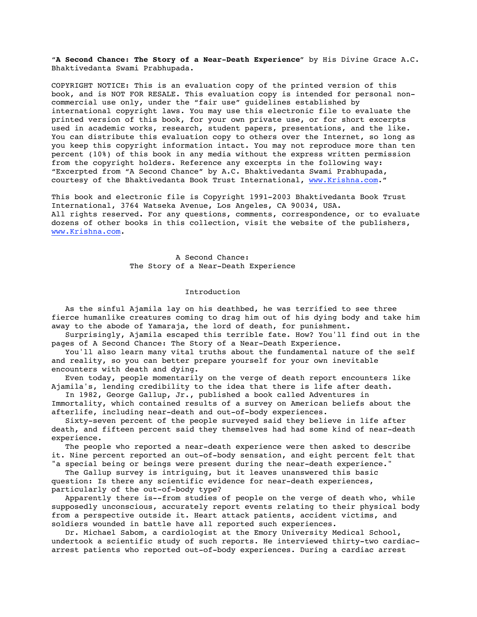"**A Second Chance: The Story of a Near-Death Experience**" by His Divine Grace A.C. Bhaktivedanta Swami Prabhupada.

COPYRIGHT NOTICE: This is an evaluation copy of the printed version of this book, and is NOT FOR RESALE. This evaluation copy is intended for personal noncommercial use only, under the "fair use" guidelines established by international copyright laws. You may use this electronic file to evaluate the printed version of this book, for your own private use, or for short excerpts used in academic works, research, student papers, presentations, and the like. You can distribute this evaluation copy to others over the Internet, so long as you keep this copyright information intact. You may not reproduce more than ten percent (10%) of this book in any media without the express written permission from the copyright holders. Reference any excerpts in the following way: "Excerpted from "A Second Chance" by A.C. Bhaktivedanta Swami Prabhupada, courtesy of the Bhaktivedanta Book Trust International, www.Krishna.com."

This book and electronic file is Copyright 1991-2003 Bhaktivedanta Book Trust International, 3764 Watseka Avenue, Los Angeles, CA 90034, USA. All rights reserved. For any questions, comments, correspondence, or to evaluate dozens of other books in this collection, visit the website of the publishers, www.Krishna.com.

> A Second Chance: The Story of a Near-Death Experience

### Introduction

 As the sinful Ajamila lay on his deathbed, he was terrified to see three fierce humanlike creatures coming to drag him out of his dying body and take him away to the abode of Yamaraja, the lord of death, for punishment.

 Surprisingly, Ajamila escaped this terrible fate. How? You'll find out in the pages of A Second Chance: The Story of a Near-Death Experience.

 You'll also learn many vital truths about the fundamental nature of the self and reality, so you can better prepare yourself for your own inevitable encounters with death and dying.

 Even today, people momentarily on the verge of death report encounters like Ajamila's, lending credibility to the idea that there is life after death.

 In 1982, George Gallup, Jr., published a book called Adventures in Immortality, which contained results of a survey on American beliefs about the afterlife, including near-death and out-of-body experiences.

 Sixty-seven percent of the people surveyed said they believe in life after death, and fifteen percent said they themselves had had some kind of near-death experience.

 The people who reported a near-death experience were then asked to describe it. Nine percent reported an out-of-body sensation, and eight percent felt that "a special being or beings were present during the near-death experience."

 The Gallup survey is intriguing, but it leaves unanswered this basic question: Is there any scientific evidence for near-death experiences, particularly of the out-of-body type?

 Apparently there is--from studies of people on the verge of death who, while supposedly unconscious, accurately report events relating to their physical body from a perspective outside it. Heart attack patients, accident victims, and soldiers wounded in battle have all reported such experiences.

 Dr. Michael Sabom, a cardiologist at the Emory University Medical School, undertook a scientific study of such reports. He interviewed thirty-two cardiacarrest patients who reported out-of-body experiences. During a cardiac arrest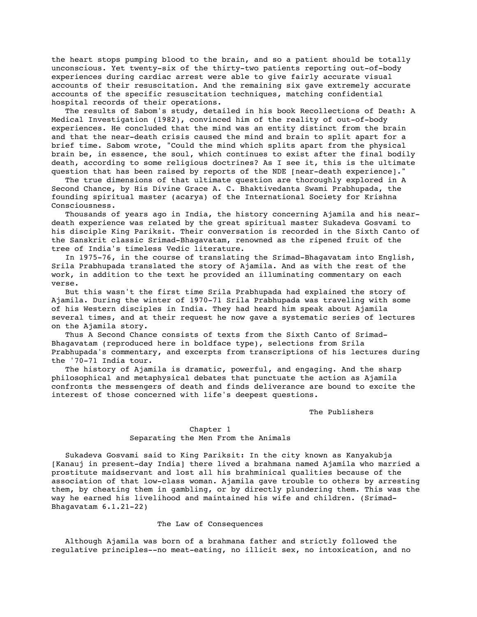the heart stops pumping blood to the brain, and so a patient should be totally unconscious. Yet twenty-six of the thirty-two patients reporting out-of-body experiences during cardiac arrest were able to give fairly accurate visual accounts of their resuscitation. And the remaining six gave extremely accurate accounts of the specific resuscitation techniques, matching confidential hospital records of their operations.

 The results of Sabom's study, detailed in his book Recollections of Death: A Medical Investigation (1982), convinced him of the reality of out-of-body experiences. He concluded that the mind was an entity distinct from the brain and that the near-death crisis caused the mind and brain to split apart for a brief time. Sabom wrote, "Could the mind which splits apart from the physical brain be, in essence, the soul, which continues to exist after the final bodily death, according to some religious doctrines? As I see it, this is the ultimate question that has been raised by reports of the NDE [near-death experience]."

 The true dimensions of that ultimate question are thoroughly explored in A Second Chance, by His Divine Grace A. C. Bhaktivedanta Swami Prabhupada, the founding spiritual master (acarya) of the International Society for Krishna Consciousness.

 Thousands of years ago in India, the history concerning Ajamila and his neardeath experience was related by the great spiritual master Sukadeva Gosvami to his disciple King Pariksit. Their conversation is recorded in the Sixth Canto of the Sanskrit classic Srimad-Bhagavatam, renowned as the ripened fruit of the tree of India's timeless Vedic literature.

 In 1975-76, in the course of translating the Srimad-Bhagavatam into English, Srila Prabhupada translated the story of Ajamila. And as with the rest of the work, in addition to the text he provided an illuminating commentary on each verse.

 But this wasn't the first time Srila Prabhupada had explained the story of Ajamila. During the winter of 1970-71 Srila Prabhupada was traveling with some of his Western disciples in India. They had heard him speak about Ajamila several times, and at their request he now gave a systematic series of lectures on the Ajamila story.

 Thus A Second Chance consists of texts from the Sixth Canto of Srimad-Bhagavatam (reproduced here in boldface type), selections from Srila Prabhupada's commentary, and excerpts from transcriptions of his lectures during the '70-71 India tour.

The history of Ajamila is dramatic, powerful, and engaging. And the sharp philosophical and metaphysical debates that punctuate the action as Ajamila confronts the messengers of death and finds deliverance are bound to excite the interest of those concerned with life's deepest questions.

The Publishers

# Chapter 1 Separating the Men From the Animals

 Sukadeva Gosvami said to King Pariksit: In the city known as Kanyakubja [Kanauj in present-day India] there lived a brahmana named Ajamila who married a prostitute maidservant and lost all his brahminical qualities because of the association of that low-class woman. Ajamila gave trouble to others by arresting them, by cheating them in gambling, or by directly plundering them. This was the way he earned his livelihood and maintained his wife and children. (Srimad-Bhagavatam 6.1.21-22)

#### The Law of Consequences

 Although Ajamila was born of a brahmana father and strictly followed the regulative principles--no meat-eating, no illicit sex, no intoxication, and no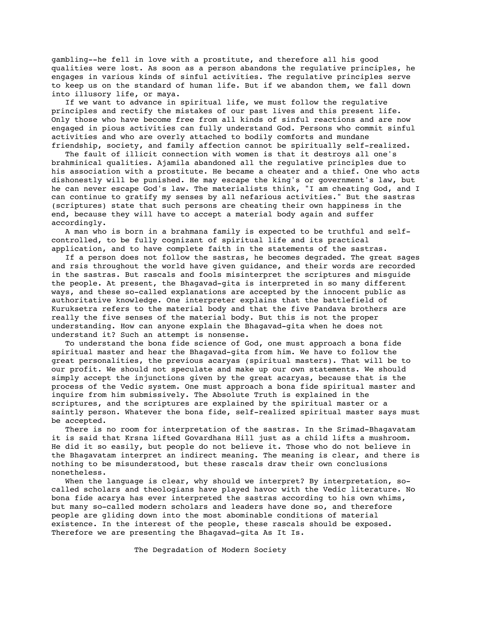gambling--he fell in love with a prostitute, and therefore all his good qualities were lost. As soon as a person abandons the regulative principles, he engages in various kinds of sinful activities. The regulative principles serve to keep us on the standard of human life. But if we abandon them, we fall down into illusory life, or maya.

 If we want to advance in spiritual life, we must follow the regulative principles and rectify the mistakes of our past lives and this present life. Only those who have become free from all kinds of sinful reactions and are now engaged in pious activities can fully understand God. Persons who commit sinful activities and who are overly attached to bodily comforts and mundane friendship, society, and family affection cannot be spiritually self-realized.

 The fault of illicit connection with women is that it destroys all one's brahminical qualities. Ajamila abandoned all the regulative principles due to his association with a prostitute. He became a cheater and a thief. One who acts dishonestly will be punished. He may escape the king's or government's law, but he can never escape God's law. The materialists think, "I am cheating God, and I can continue to gratify my senses by all nefarious activities." But the sastras (scriptures) state that such persons are cheating their own happiness in the end, because they will have to accept a material body again and suffer accordingly.

 A man who is born in a brahmana family is expected to be truthful and selfcontrolled, to be fully cognizant of spiritual life and its practical application, and to have complete faith in the statements of the sastras.

 If a person does not follow the sastras, he becomes degraded. The great sages and rsis throughout the world have given guidance, and their words are recorded in the sastras. But rascals and fools misinterpret the scriptures and misguide the people. At present, the Bhagavad-gita is interpreted in so many different ways, and these so-called explanations are accepted by the innocent public as authoritative knowledge. One interpreter explains that the battlefield of Kuruksetra refers to the material body and that the five Pandava brothers are really the five senses of the material body. But this is not the proper understanding. How can anyone explain the Bhagavad-gita when he does not understand it? Such an attempt is nonsense.

 To understand the bona fide science of God, one must approach a bona fide spiritual master and hear the Bhagavad-gita from him. We have to follow the great personalities, the previous acaryas (spiritual masters). That will be to our profit. We should not speculate and make up our own statements. We should simply accept the injunctions given by the great acaryas, because that is the process of the Vedic system. One must approach a bona fide spiritual master and inquire from him submissively. The Absolute Truth is explained in the scriptures, and the scriptures are explained by the spiritual master or a saintly person. Whatever the bona fide, self-realized spiritual master says must be accepted.

 There is no room for interpretation of the sastras. In the Srimad-Bhagavatam it is said that Krsna lifted Govardhana Hill just as a child lifts a mushroom. He did it so easily, but people do not believe it. Those who do not believe in the Bhagavatam interpret an indirect meaning. The meaning is clear, and there is nothing to be misunderstood, but these rascals draw their own conclusions nonetheless.

When the language is clear, why should we interpret? By interpretation, socalled scholars and theologians have played havoc with the Vedic literature. No bona fide acarya has ever interpreted the sastras according to his own whims, but many so-called modern scholars and leaders have done so, and therefore people are gliding down into the most abominable conditions of material existence. In the interest of the people, these rascals should be exposed. Therefore we are presenting the Bhagavad-gita As It Is.

The Degradation of Modern Society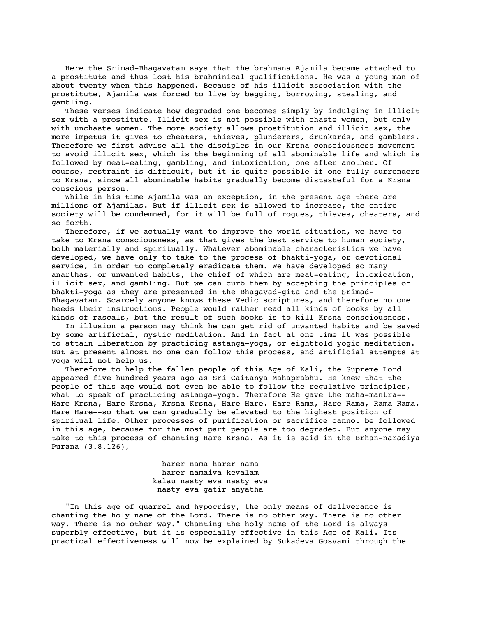Here the Srimad-Bhagavatam says that the brahmana Ajamila became attached to a prostitute and thus lost his brahminical qualifications. He was a young man of about twenty when this happened. Because of his illicit association with the prostitute, Ajamila was forced to live by begging, borrowing, stealing, and gambling.

 These verses indicate how degraded one becomes simply by indulging in illicit sex with a prostitute. Illicit sex is not possible with chaste women, but only with unchaste women. The more society allows prostitution and illicit sex, the more impetus it gives to cheaters, thieves, plunderers, drunkards, and gamblers. Therefore we first advise all the disciples in our Krsna consciousness movement to avoid illicit sex, which is the beginning of all abominable life and which is followed by meat-eating, gambling, and intoxication, one after another. Of course, restraint is difficult, but it is quite possible if one fully surrenders to Krsna, since all abominable habits gradually become distasteful for a Krsna conscious person.

 While in his time Ajamila was an exception, in the present age there are millions of Ajamilas. But if illicit sex is allowed to increase, the entire society will be condemned, for it will be full of rogues, thieves, cheaters, and so forth.

 Therefore, if we actually want to improve the world situation, we have to take to Krsna consciousness, as that gives the best service to human society, both materially and spiritually. Whatever abominable characteristics we have developed, we have only to take to the process of bhakti-yoga, or devotional service, in order to completely eradicate them. We have developed so many anarthas, or unwanted habits, the chief of which are meat-eating, intoxication, illicit sex, and gambling. But we can curb them by accepting the principles of bhakti-yoga as they are presented in the Bhagavad-gita and the Srimad-Bhagavatam. Scarcely anyone knows these Vedic scriptures, and therefore no one heeds their instructions. People would rather read all kinds of books by all kinds of rascals, but the result of such books is to kill Krsna consciousness.

 In illusion a person may think he can get rid of unwanted habits and be saved by some artificial, mystic meditation. And in fact at one time it was possible to attain liberation by practicing astanga-yoga, or eightfold yogic meditation. But at present almost no one can follow this process, and artificial attempts at yoga will not help us.

 Therefore to help the fallen people of this Age of Kali, the Supreme Lord appeared five hundred years ago as Sri Caitanya Mahaprabhu. He knew that the people of this age would not even be able to follow the regulative principles, what to speak of practicing astanga-yoga. Therefore He gave the maha-mantra-- Hare Krsna, Hare Krsna, Krsna Krsna, Hare Hare. Hare Rama, Hare Rama, Rama Rama, Hare Hare--so that we can gradually be elevated to the highest position of spiritual life. Other processes of purification or sacrifice cannot be followed in this age, because for the most part people are too degraded. But anyone may take to this process of chanting Hare Krsna. As it is said in the Brhan-naradiya Purana (3.8.126),

> harer nama harer nama harer namaiva kevalam kalau nasty eva nasty eva nasty eva gatir anyatha

 "In this age of quarrel and hypocrisy, the only means of deliverance is chanting the holy name of the Lord. There is no other way. There is no other way. There is no other way." Chanting the holy name of the Lord is always superbly effective, but it is especially effective in this Age of Kali. Its practical effectiveness will now be explained by Sukadeva Gosvami through the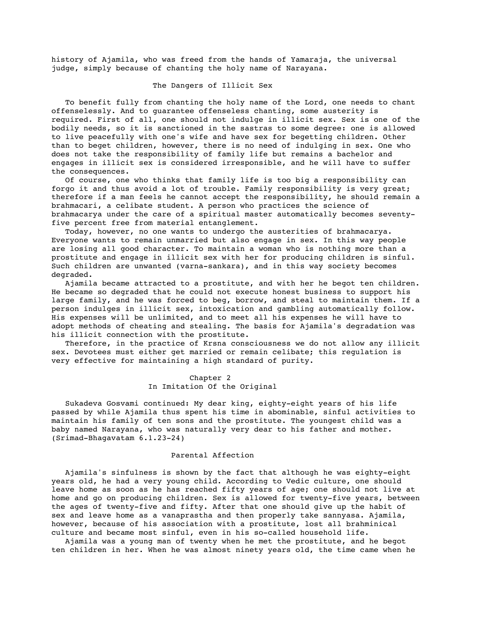history of Ajamila, who was freed from the hands of Yamaraja, the universal judge, simply because of chanting the holy name of Narayana.

# The Dangers of Illicit Sex

 To benefit fully from chanting the holy name of the Lord, one needs to chant offenselessly. And to guarantee offenseless chanting, some austerity is required. First of all, one should not indulge in illicit sex. Sex is one of the bodily needs, so it is sanctioned in the sastras to some degree: one is allowed to live peacefully with one's wife and have sex for begetting children. Other than to beget children, however, there is no need of indulging in sex. One who does not take the responsibility of family life but remains a bachelor and engages in illicit sex is considered irresponsible, and he will have to suffer the consequences.

 Of course, one who thinks that family life is too big a responsibility can forgo it and thus avoid a lot of trouble. Family responsibility is very great; therefore if a man feels he cannot accept the responsibility, he should remain a brahmacari, a celibate student. A person who practices the science of brahmacarya under the care of a spiritual master automatically becomes seventyfive percent free from material entanglement.

 Today, however, no one wants to undergo the austerities of brahmacarya. Everyone wants to remain unmarried but also engage in sex. In this way people are losing all good character. To maintain a woman who is nothing more than a prostitute and engage in illicit sex with her for producing children is sinful. Such children are unwanted (varna-sankara), and in this way society becomes degraded.

 Ajamila became attracted to a prostitute, and with her he begot ten children. He became so degraded that he could not execute honest business to support his large family, and he was forced to beg, borrow, and steal to maintain them. If a person indulges in illicit sex, intoxication and gambling automatically follow. His expenses will be unlimited, and to meet all his expenses he will have to adopt methods of cheating and stealing. The basis for Ajamila's degradation was his illicit connection with the prostitute.

 Therefore, in the practice of Krsna consciousness we do not allow any illicit sex. Devotees must either get married or remain celibate; this regulation is very effective for maintaining a high standard of purity.

> Chapter 2 In Imitation Of the Original

 Sukadeva Gosvami continued: My dear king, eighty-eight years of his life passed by while Ajamila thus spent his time in abominable, sinful activities to maintain his family of ten sons and the prostitute. The youngest child was a baby named Narayana, who was naturally very dear to his father and mother. (Srimad-Bhagavatam 6.1.23-24)

# Parental Affection

 Ajamila's sinfulness is shown by the fact that although he was eighty-eight years old, he had a very young child. According to Vedic culture, one should leave home as soon as he has reached fifty years of age; one should not live at home and go on producing children. Sex is allowed for twenty-five years, between the ages of twenty-five and fifty. After that one should give up the habit of sex and leave home as a vanaprastha and then properly take sannyasa. Ajamila, however, because of his association with a prostitute, lost all brahminical culture and became most sinful, even in his so-called household life.

 Ajamila was a young man of twenty when he met the prostitute, and he begot ten children in her. When he was almost ninety years old, the time came when he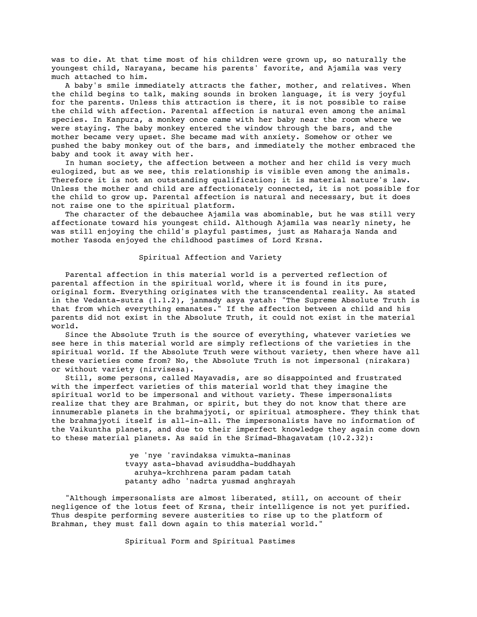was to die. At that time most of his children were grown up, so naturally the youngest child, Narayana, became his parents' favorite, and Ajamila was very much attached to him.

 A baby's smile immediately attracts the father, mother, and relatives. When the child begins to talk, making sounds in broken language, it is very joyful for the parents. Unless this attraction is there, it is not possible to raise the child with affection. Parental affection is natural even among the animal species. In Kanpura, a monkey once came with her baby near the room where we were staying. The baby monkey entered the window through the bars, and the mother became very upset. She became mad with anxiety. Somehow or other we pushed the baby monkey out of the bars, and immediately the mother embraced the baby and took it away with her.

 In human society, the affection between a mother and her child is very much eulogized, but as we see, this relationship is visible even among the animals. Therefore it is not an outstanding qualification; it is material nature's law. Unless the mother and child are affectionately connected, it is not possible for the child to grow up. Parental affection is natural and necessary, but it does not raise one to the spiritual platform.

 The character of the debauchee Ajamila was abominable, but he was still very affectionate toward his youngest child. Although Ajamila was nearly ninety, he was still enjoying the child's playful pastimes, just as Maharaja Nanda and mother Yasoda enjoyed the childhood pastimes of Lord Krsna.

# Spiritual Affection and Variety

 Parental affection in this material world is a perverted reflection of parental affection in the spiritual world, where it is found in its pure, original form. Everything originates with the transcendental reality. As stated in the Vedanta-sutra (1.1.2), janmady asya yatah: "The Supreme Absolute Truth is that from which everything emanates." If the affection between a child and his parents did not exist in the Absolute Truth, it could not exist in the material world.

 Since the Absolute Truth is the source of everything, whatever varieties we see here in this material world are simply reflections of the varieties in the spiritual world. If the Absolute Truth were without variety, then where have all these varieties come from? No, the Absolute Truth is not impersonal (nirakara) or without variety (nirvisesa).

 Still, some persons, called Mayavadis, are so disappointed and frustrated with the imperfect varieties of this material world that they imagine the spiritual world to be impersonal and without variety. These impersonalists realize that they are Brahman, or spirit, but they do not know that there are innumerable planets in the brahmajyoti, or spiritual atmosphere. They think that the brahmajyoti itself is all-in-all. The impersonalists have no information of the Vaikuntha planets, and due to their imperfect knowledge they again come down to these material planets. As said in the Srimad-Bhagavatam (10.2.32):

> ye 'nye 'ravindaksa vimukta-maninas tvayy asta-bhavad avisuddha-buddhayah aruhya-krchhrena param padam tatah patanty adho 'nadrta yusmad anghrayah

 "Although impersonalists are almost liberated, still, on account of their negligence of the lotus feet of Krsna, their intelligence is not yet purified. Thus despite performing severe austerities to rise up to the platform of Brahman, they must fall down again to this material world."

Spiritual Form and Spiritual Pastimes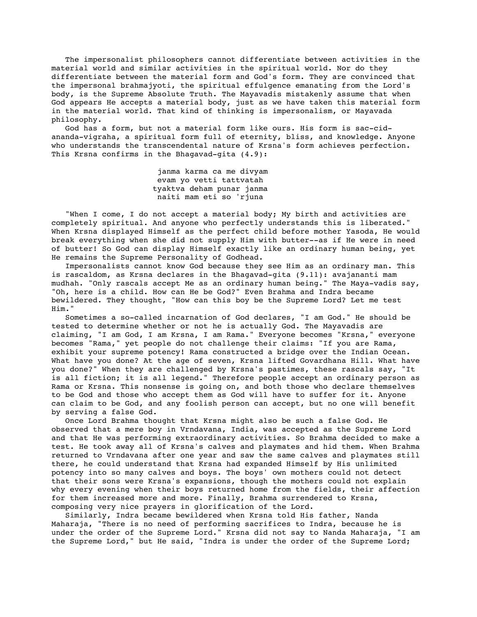The impersonalist philosophers cannot differentiate between activities in the material world and similar activities in the spiritual world. Nor do they differentiate between the material form and God's form. They are convinced that the impersonal brahmajyoti, the spiritual effulgence emanating from the Lord's body, is the Supreme Absolute Truth. The Mayavadis mistakenly assume that when God appears He accepts a material body, just as we have taken this material form in the material world. That kind of thinking is impersonalism, or Mayavada philosophy.

 God has a form, but not a material form like ours. His form is sac-cidananda-vigraha, a spiritual form full of eternity, bliss, and knowledge. Anyone who understands the transcendental nature of Krsna's form achieves perfection. This Krsna confirms in the Bhagavad-gita (4.9):

> janma karma ca me divyam evam yo vetti tattvatah tyaktva deham punar janma naiti mam eti so 'rjuna

 "When I come, I do not accept a material body; My birth and activities are completely spiritual. And anyone who perfectly understands this is liberated." When Krsna displayed Himself as the perfect child before mother Yasoda, He would break everything when she did not supply Him with butter--as if He were in need of butter! So God can display Himself exactly like an ordinary human being, yet He remains the Supreme Personality of Godhead.

 Impersonalists cannot know God because they see Him as an ordinary man. This is rascaldom, as Krsna declares in the Bhagavad-gita (9.11): avajananti mam mudhah. "Only rascals accept Me as an ordinary human being." The Maya-vadis say, "Oh, here is a child. How can He be God?" Even Brahma and Indra became bewildered. They thought, "How can this boy be the Supreme Lord? Let me test Him."

 Sometimes a so-called incarnation of God declares, "I am God." He should be tested to determine whether or not he is actually God. The Mayavadis are claiming, "I am God, I am Krsna, I am Rama." Everyone becomes "Krsna," everyone becomes "Rama," yet people do not challenge their claims: "If you are Rama, exhibit your supreme potency! Rama constructed a bridge over the Indian Ocean. What have you done? At the age of seven, Krsna lifted Govardhana Hill. What have you done?" When they are challenged by Krsna's pastimes, these rascals say, "It is all fiction; it is all legend." Therefore people accept an ordinary person as Rama or Krsna. This nonsense is going on, and both those who declare themselves to be God and those who accept them as God will have to suffer for it. Anyone can claim to be God, and any foolish person can accept, but no one will benefit by serving a false God.

 Once Lord Brahma thought that Krsna might also be such a false God. He observed that a mere boy in Vrndavana, India, was accepted as the Supreme Lord and that He was performing extraordinary activities. So Brahma decided to make a test. He took away all of Krsna's calves and playmates and hid them. When Brahma returned to Vrndavana after one year and saw the same calves and playmates still there, he could understand that Krsna had expanded Himself by His unlimited potency into so many calves and boys. The boys' own mothers could not detect that their sons were Krsna's expansions, though the mothers could not explain why every evening when their boys returned home from the fields, their affection for them increased more and more. Finally, Brahma surrendered to Krsna, composing very nice prayers in glorification of the Lord.

 Similarly, Indra became bewildered when Krsna told His father, Nanda Maharaja, "There is no need of performing sacrifices to Indra, because he is under the order of the Supreme Lord." Krsna did not say to Nanda Maharaja, "I am the Supreme Lord," but He said, "Indra is under the order of the Supreme Lord;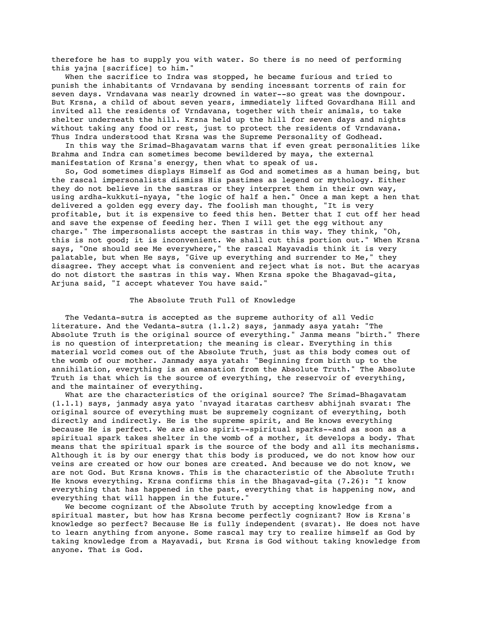therefore he has to supply you with water. So there is no need of performing this yajna [sacrifice] to him."

 When the sacrifice to Indra was stopped, he became furious and tried to punish the inhabitants of Vrndavana by sending incessant torrents of rain for seven days. Vrndavana was nearly drowned in water--so great was the downpour. But Krsna, a child of about seven years, immediately lifted Govardhana Hill and invited all the residents of Vrndavana, together with their animals, to take shelter underneath the hill. Krsna held up the hill for seven days and nights without taking any food or rest, just to protect the residents of Vrndavana. Thus Indra understood that Krsna was the Supreme Personality of Godhead.

 In this way the Srimad-Bhagavatam warns that if even great personalities like Brahma and Indra can sometimes become bewildered by maya, the external manifestation of Krsna's energy, then what to speak of us.

 So, God sometimes displays Himself as God and sometimes as a human being, but the rascal impersonalists dismiss His pastimes as legend or mythology. Either they do not believe in the sastras or they interpret them in their own way, using ardha-kukkuti-nyaya, "the logic of half a hen." Once a man kept a hen that delivered a golden egg every day. The foolish man thought, "It is very profitable, but it is expensive to feed this hen. Better that I cut off her head and save the expense of feeding her. Then I will get the egg without any charge." The impersonalists accept the sastras in this way. They think, "Oh, this is not good; it is inconvenient. We shall cut this portion out." When Krsna says, "One should see Me everywhere," the rascal Mayavadis think it is very palatable, but when He says, "Give up everything and surrender to Me," they disagree. They accept what is convenient and reject what is not. But the acaryas do not distort the sastras in this way. When Krsna spoke the Bhagavad-gita, Arjuna said, "I accept whatever You have said."

#### The Absolute Truth Full of Knowledge

 The Vedanta-sutra is accepted as the supreme authority of all Vedic literature. And the Vedanta-sutra (1.1.2) says, janmady asya yatah: "The Absolute Truth is the original source of everything." Janma means "birth." There is no question of interpretation; the meaning is clear. Everything in this material world comes out of the Absolute Truth, just as this body comes out of the womb of our mother. Janmady asya yatah: "Beginning from birth up to the annihilation, everything is an emanation from the Absolute Truth." The Absolute Truth is that which is the source of everything, the reservoir of everything, and the maintainer of everything.

 What are the characteristics of the original source? The Srimad-Bhagavatam (1.1.1) says, janmady asya yato 'nvayad itaratas carthesv abhijnah svarat: The original source of everything must be supremely cognizant of everything, both directly and indirectly. He is the supreme spirit, and He knows everything because He is perfect. We are also spirit--spiritual sparks--and as soon as a spiritual spark takes shelter in the womb of a mother, it develops a body. That means that the spiritual spark is the source of the body and all its mechanisms. Although it is by our energy that this body is produced, we do not know how our veins are created or how our bones are created. And because we do not know, we are not God. But Krsna knows. This is the characteristic of the Absolute Truth: He knows everything. Krsna confirms this in the Bhagavad-gita (7.26): "I know everything that has happened in the past, everything that is happening now, and everything that will happen in the future."

 We become cognizant of the Absolute Truth by accepting knowledge from a spiritual master, but how has Krsna become perfectly cognizant? How is Krsna's knowledge so perfect? Because He is fully independent (svarat). He does not have to learn anything from anyone. Some rascal may try to realize himself as God by taking knowledge from a Mayavadi, but Krsna is God without taking knowledge from anyone. That is God.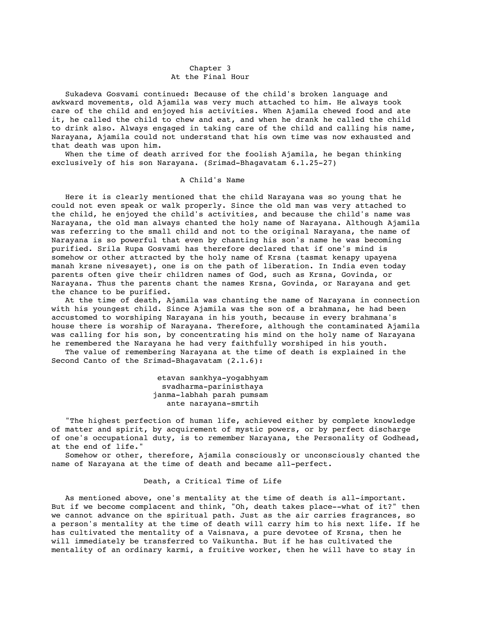### Chapter 3 At the Final Hour

 Sukadeva Gosvami continued: Because of the child's broken language and awkward movements, old Ajamila was very much attached to him. He always took care of the child and enjoyed his activities. When Ajamila chewed food and ate it, he called the child to chew and eat, and when he drank he called the child to drink also. Always engaged in taking care of the child and calling his name, Narayana, Ajamila could not understand that his own time was now exhausted and that death was upon him.

 When the time of death arrived for the foolish Ajamila, he began thinking exclusively of his son Narayana. (Srimad-Bhagavatam 6.1.25-27)

# A Child's Name

 Here it is clearly mentioned that the child Narayana was so young that he could not even speak or walk properly. Since the old man was very attached to the child, he enjoyed the child's activities, and because the child's name was Narayana, the old man always chanted the holy name of Narayana. Although Ajamila was referring to the small child and not to the original Narayana, the name of Narayana is so powerful that even by chanting his son's name he was becoming purified. Srila Rupa Gosvami has therefore declared that if one's mind is somehow or other attracted by the holy name of Krsna (tasmat kenapy upayena manah krsne nivesayet), one is on the path of liberation. In India even today parents often give their children names of God, such as Krsna, Govinda, or Narayana. Thus the parents chant the names Krsna, Govinda, or Narayana and get the chance to be purified.

 At the time of death, Ajamila was chanting the name of Narayana in connection with his youngest child. Since Ajamila was the son of a brahmana, he had been accustomed to worshiping Narayana in his youth, because in every brahmana's house there is worship of Narayana. Therefore, although the contaminated Ajamila was calling for his son, by concentrating his mind on the holy name of Narayana he remembered the Narayana he had very faithfully worshiped in his youth.

 The value of remembering Narayana at the time of death is explained in the Second Canto of the Srimad-Bhagavatam (2.1.6):

> etavan sankhya-yogabhyam svadharma-parinisthaya janma-labhah parah pumsam ante narayana-smrtih

 "The highest perfection of human life, achieved either by complete knowledge of matter and spirit, by acquirement of mystic powers, or by perfect discharge of one's occupational duty, is to remember Narayana, the Personality of Godhead, at the end of life."

 Somehow or other, therefore, Ajamila consciously or unconsciously chanted the name of Narayana at the time of death and became all-perfect.

#### Death, a Critical Time of Life

 As mentioned above, one's mentality at the time of death is all-important. But if we become complacent and think, "Oh, death takes place--what of it?" then we cannot advance on the spiritual path. Just as the air carries fragrances, so a person's mentality at the time of death will carry him to his next life. If he has cultivated the mentality of a Vaisnava, a pure devotee of Krsna, then he will immediately be transferred to Vaikuntha. But if he has cultivated the mentality of an ordinary karmi, a fruitive worker, then he will have to stay in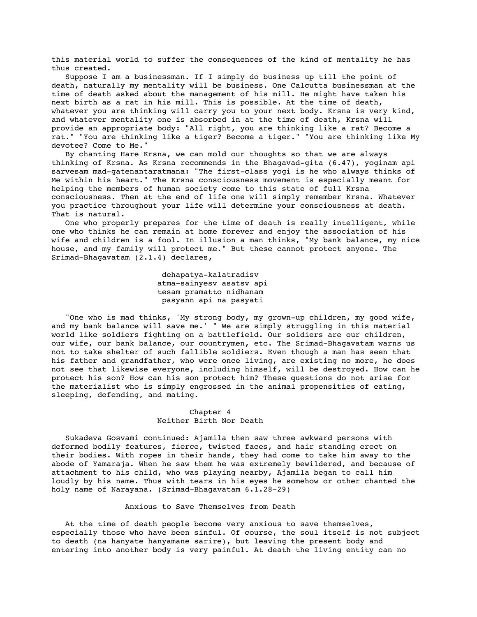this material world to suffer the consequences of the kind of mentality he has thus created.

 Suppose I am a businessman. If I simply do business up till the point of death, naturally my mentality will be business. One Calcutta businessman at the time of death asked about the management of his mill. He might have taken his next birth as a rat in his mill. This is possible. At the time of death, whatever you are thinking will carry you to your next body. Krsna is very kind, and whatever mentality one is absorbed in at the time of death, Krsna will provide an appropriate body: "All right, you are thinking like a rat? Become a rat." "You are thinking like a tiger? Become a tiger." "You are thinking like My devotee? Come to Me."

 By chanting Hare Krsna, we can mold our thoughts so that we are always thinking of Krsna. As Krsna recommends in the Bhagavad-gita (6.47), yoginam api sarvesam mad-gatenantaratmana: "The first-class yogi is he who always thinks of Me within his heart." The Krsna consciousness movement is especially meant for helping the members of human society come to this state of full Krsna consciousness. Then at the end of life one will simply remember Krsna. Whatever you practice throughout your life will determine your consciousness at death. That is natural.

 One who properly prepares for the time of death is really intelligent, while one who thinks he can remain at home forever and enjoy the association of his wife and children is a fool. In illusion a man thinks, "My bank balance, my nice house, and my family will protect me." But these cannot protect anyone. The Srimad-Bhagavatam (2.1.4) declares,

> dehapatya-kalatradisv atma-sainyesv asatsv api tesam pramatto nidhanam pasyann api na pasyati

 "One who is mad thinks, 'My strong body, my grown-up children, my good wife, and my bank balance will save me.' " We are simply struggling in this material world like soldiers fighting on a battlefield. Our soldiers are our children, our wife, our bank balance, our countrymen, etc. The Srimad-Bhagavatam warns us not to take shelter of such fallible soldiers. Even though a man has seen that his father and grandfather, who were once living, are existing no more, he does not see that likewise everyone, including himself, will be destroyed. How can he protect his son? How can his son protect him? These questions do not arise for the materialist who is simply engrossed in the animal propensities of eating, sleeping, defending, and mating.

# Chapter 4 Neither Birth Nor Death

 Sukadeva Gosvami continued: Ajamila then saw three awkward persons with deformed bodily features, fierce, twisted faces, and hair standing erect on their bodies. With ropes in their hands, they had come to take him away to the abode of Yamaraja. When he saw them he was extremely bewildered, and because of attachment to his child, who was playing nearby, Ajamila began to call him loudly by his name. Thus with tears in his eyes he somehow or other chanted the holy name of Narayana. (Srimad-Bhagavatam 6.1.28-29)

#### Anxious to Save Themselves from Death

 At the time of death people become very anxious to save themselves, especially those who have been sinful. Of course, the soul itself is not subject to death (na hanyate hanyamane sarire), but leaving the present body and entering into another body is very painful. At death the living entity can no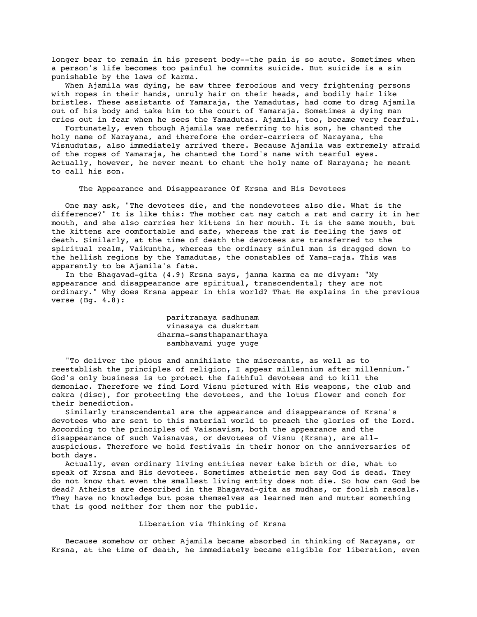longer bear to remain in his present body--the pain is so acute. Sometimes when a person's life becomes too painful he commits suicide. But suicide is a sin punishable by the laws of karma.

 When Ajamila was dying, he saw three ferocious and very frightening persons with ropes in their hands, unruly hair on their heads, and bodily hair like bristles. These assistants of Yamaraja, the Yamadutas, had come to drag Ajamila out of his body and take him to the court of Yamaraja. Sometimes a dying man cries out in fear when he sees the Yamadutas. Ajamila, too, became very fearful.

 Fortunately, even though Ajamila was referring to his son, he chanted the holy name of Narayana, and therefore the order-carriers of Narayana, the Visnudutas, also immediately arrived there. Because Ajamila was extremely afraid of the ropes of Yamaraja, he chanted the Lord's name with tearful eyes. Actually, however, he never meant to chant the holy name of Narayana; he meant to call his son.

The Appearance and Disappearance Of Krsna and His Devotees

 One may ask, "The devotees die, and the nondevotees also die. What is the difference?" It is like this: The mother cat may catch a rat and carry it in her mouth, and she also carries her kittens in her mouth. It is the same mouth, but the kittens are comfortable and safe, whereas the rat is feeling the jaws of death. Similarly, at the time of death the devotees are transferred to the spiritual realm, Vaikuntha, whereas the ordinary sinful man is dragged down to the hellish regions by the Yamadutas, the constables of Yama-raja. This was apparently to be Ajamila's fate.

 In the Bhagavad-gita (4.9) Krsna says, janma karma ca me divyam: "My appearance and disappearance are spiritual, transcendental; they are not ordinary." Why does Krsna appear in this world? That He explains in the previous verse (Bg. 4.8):

> paritranaya sadhunam vinasaya ca duskrtam dharma-samsthapanarthaya sambhavami yuge yuge

 "To deliver the pious and annihilate the miscreants, as well as to reestablish the principles of religion, I appear millennium after millennium." God's only business is to protect the faithful devotees and to kill the demoniac. Therefore we find Lord Visnu pictured with His weapons, the club and cakra (disc), for protecting the devotees, and the lotus flower and conch for their benediction.

 Similarly transcendental are the appearance and disappearance of Krsna's devotees who are sent to this material world to preach the glories of the Lord. According to the principles of Vaisnavism, both the appearance and the disappearance of such Vaisnavas, or devotees of Visnu (Krsna), are allauspicious. Therefore we hold festivals in their honor on the anniversaries of both days.

 Actually, even ordinary living entities never take birth or die, what to speak of Krsna and His devotees. Sometimes atheistic men say God is dead. They do not know that even the smallest living entity does not die. So how can God be dead? Atheists are described in the Bhagavad-gita as mudhas, or foolish rascals. They have no knowledge but pose themselves as learned men and mutter something that is good neither for them nor the public.

### Liberation via Thinking of Krsna

 Because somehow or other Ajamila became absorbed in thinking of Narayana, or Krsna, at the time of death, he immediately became eligible for liberation, even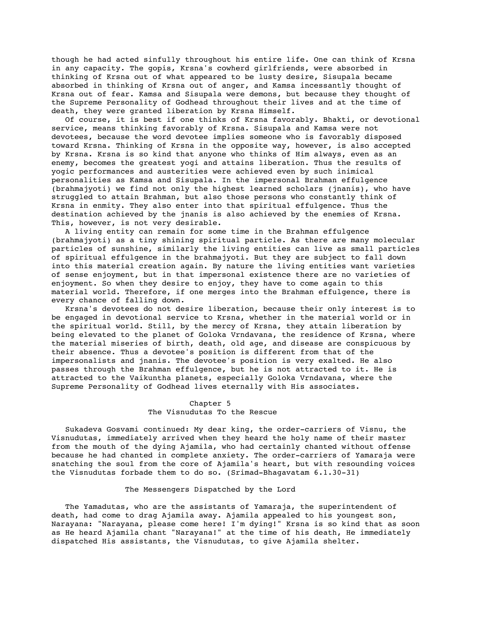though he had acted sinfully throughout his entire life. One can think of Krsna in any capacity. The gopis, Krsna's cowherd girlfriends, were absorbed in thinking of Krsna out of what appeared to be lusty desire, Sisupala became absorbed in thinking of Krsna out of anger, and Kamsa incessantly thought of Krsna out of fear. Kamsa and Sisupala were demons, but because they thought of the Supreme Personality of Godhead throughout their lives and at the time of death, they were granted liberation by Krsna Himself.

 Of course, it is best if one thinks of Krsna favorably. Bhakti, or devotional service, means thinking favorably of Krsna. Sisupala and Kamsa were not devotees, because the word devotee implies someone who is favorably disposed toward Krsna. Thinking of Krsna in the opposite way, however, is also accepted by Krsna. Krsna is so kind that anyone who thinks of Him always, even as an enemy, becomes the greatest yogi and attains liberation. Thus the results of yogic performances and austerities were achieved even by such inimical personalities as Kamsa and Sisupala. In the impersonal Brahman effulgence (brahmajyoti) we find not only the highest learned scholars (jnanis), who have struggled to attain Brahman, but also those persons who constantly think of Krsna in enmity. They also enter into that spiritual effulgence. Thus the destination achieved by the jnanis is also achieved by the enemies of Krsna. This, however, is not very desirable.

 A living entity can remain for some time in the Brahman effulgence (brahmajyoti) as a tiny shining spiritual particle. As there are many molecular particles of sunshine, similarly the living entities can live as small particles of spiritual effulgence in the brahmajyoti. But they are subject to fall down into this material creation again. By nature the living entities want varieties of sense enjoyment, but in that impersonal existence there are no varieties of enjoyment. So when they desire to enjoy, they have to come again to this material world. Therefore, if one merges into the Brahman effulgence, there is every chance of falling down.

 Krsna's devotees do not desire liberation, because their only interest is to be engaged in devotional service to Krsna, whether in the material world or in the spiritual world. Still, by the mercy of Krsna, they attain liberation by being elevated to the planet of Goloka Vrndavana, the residence of Krsna, where the material miseries of birth, death, old age, and disease are conspicuous by their absence. Thus a devotee's position is different from that of the impersonalists and jnanis. The devotee's position is very exalted. He also passes through the Brahman effulgence, but he is not attracted to it. He is attracted to the Vaikuntha planets, especially Goloka Vrndavana, where the Supreme Personality of Godhead lives eternally with His associates.

# Chapter 5 The Visnudutas To the Rescue

 Sukadeva Gosvami continued: My dear king, the order-carriers of Visnu, the Visnudutas, immediately arrived when they heard the holy name of their master from the mouth of the dying Ajamila, who had certainly chanted without offense because he had chanted in complete anxiety. The order-carriers of Yamaraja were snatching the soul from the core of Ajamila's heart, but with resounding voices the Visnudutas forbade them to do so. (Srimad-Bhagavatam 6.1.30-31)

### The Messengers Dispatched by the Lord

 The Yamadutas, who are the assistants of Yamaraja, the superintendent of death, had come to drag Ajamila away. Ajamila appealed to his youngest son, Narayana: "Narayana, please come here! I'm dying!" Krsna is so kind that as soon as He heard Ajamila chant "Narayana!" at the time of his death, He immediately dispatched His assistants, the Visnudutas, to give Ajamila shelter.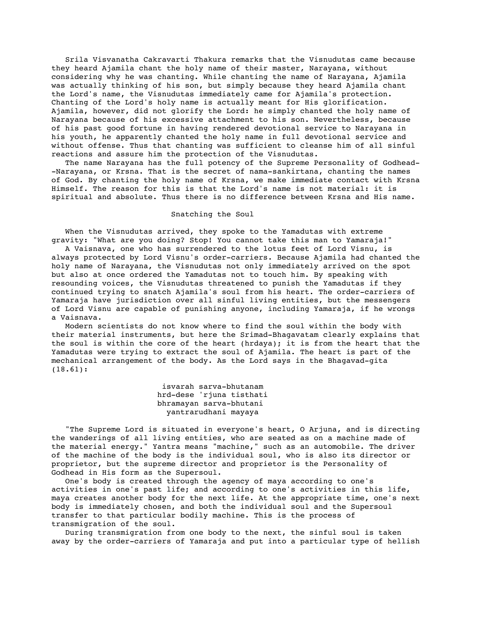Srila Visvanatha Cakravarti Thakura remarks that the Visnudutas came because they heard Ajamila chant the holy name of their master, Narayana, without considering why he was chanting. While chanting the name of Narayana, Ajamila was actually thinking of his son, but simply because they heard Ajamila chant the Lord's name, the Visnudutas immediately came for Ajamila's protection. Chanting of the Lord's holy name is actually meant for His glorification. Ajamila, however, did not glorify the Lord: he simply chanted the holy name of Narayana because of his excessive attachment to his son. Nevertheless, because of his past good fortune in having rendered devotional service to Narayana in his youth, he apparently chanted the holy name in full devotional service and without offense. Thus that chanting was sufficient to cleanse him of all sinful reactions and assure him the protection of the Visnudutas.

 The name Narayana has the full potency of the Supreme Personality of Godhead- -Narayana, or Krsna. That is the secret of nama-sankirtana, chanting the names of God. By chanting the holy name of Krsna, we make immediate contact with Krsna Himself. The reason for this is that the Lord's name is not material: it is spiritual and absolute. Thus there is no difference between Krsna and His name.

# Snatching the Soul

 When the Visnudutas arrived, they spoke to the Yamadutas with extreme gravity: "What are you doing? Stop! You cannot take this man to Yamaraja!"

 A Vaisnava, one who has surrendered to the lotus feet of Lord Visnu, is always protected by Lord Visnu's order-carriers. Because Ajamila had chanted the holy name of Narayana, the Visnudutas not only immediately arrived on the spot but also at once ordered the Yamadutas not to touch him. By speaking with resounding voices, the Visnudutas threatened to punish the Yamadutas if they continued trying to snatch Ajamila's soul from his heart. The order-carriers of Yamaraja have jurisdiction over all sinful living entities, but the messengers of Lord Visnu are capable of punishing anyone, including Yamaraja, if he wrongs a Vaisnava.

 Modern scientists do not know where to find the soul within the body with their material instruments, but here the Srimad-Bhagavatam clearly explains that the soul is within the core of the heart (hrdaya); it is from the heart that the Yamadutas were trying to extract the soul of Ajamila. The heart is part of the mechanical arrangement of the body. As the Lord says in the Bhagavad-gita (18.61):

> isvarah sarva-bhutanam hrd-dese 'rjuna tisthati bhramayan sarva-bhutani yantrarudhani mayaya

 "The Supreme Lord is situated in everyone's heart, O Arjuna, and is directing the wanderings of all living entities, who are seated as on a machine made of the material energy." Yantra means "machine," such as an automobile. The driver of the machine of the body is the individual soul, who is also its director or proprietor, but the supreme director and proprietor is the Personality of Godhead in His form as the Supersoul.

 One's body is created through the agency of maya according to one's activities in one's past life; and according to one's activities in this life, maya creates another body for the next life. At the appropriate time, one's next body is immediately chosen, and both the individual soul and the Supersoul transfer to that particular bodily machine. This is the process of transmigration of the soul.

 During transmigration from one body to the next, the sinful soul is taken away by the order-carriers of Yamaraja and put into a particular type of hellish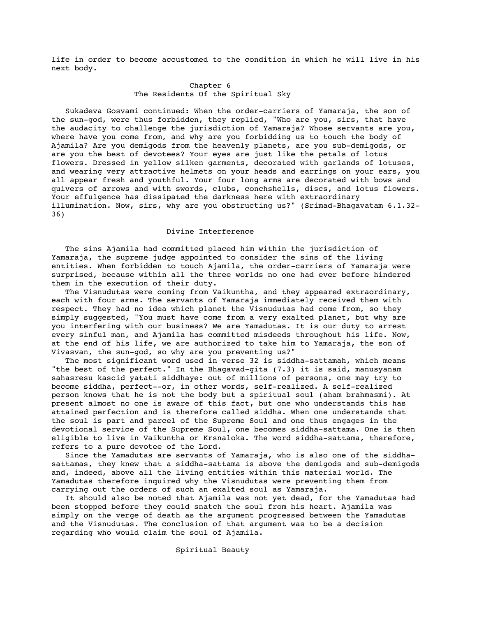life in order to become accustomed to the condition in which he will live in his next body.

# Chapter 6 The Residents Of the Spiritual Sky

 Sukadeva Gosvami continued: When the order-carriers of Yamaraja, the son of the sun-god, were thus forbidden, they replied, "Who are you, sirs, that have the audacity to challenge the jurisdiction of Yamaraja? Whose servants are you, where have you come from, and why are you forbidding us to touch the body of Ajamila? Are you demigods from the heavenly planets, are you sub-demigods, or are you the best of devotees? Your eyes are just like the petals of lotus flowers. Dressed in yellow silken garments, decorated with garlands of lotuses, and wearing very attractive helmets on your heads and earrings on your ears, you all appear fresh and youthful. Your four long arms are decorated with bows and quivers of arrows and with swords, clubs, conchshells, discs, and lotus flowers. Your effulgence has dissipated the darkness here with extraordinary illumination. Now, sirs, why are you obstructing us?" (Srimad-Bhagavatam 6.1.32- 36)

# Divine Interference

 The sins Ajamila had committed placed him within the jurisdiction of Yamaraja, the supreme judge appointed to consider the sins of the living entities. When forbidden to touch Ajamila, the order-carriers of Yamaraja were surprised, because within all the three worlds no one had ever before hindered them in the execution of their duty.

 The Visnudutas were coming from Vaikuntha, and they appeared extraordinary, each with four arms. The servants of Yamaraja immediately received them with respect. They had no idea which planet the Visnudutas had come from, so they simply suggested, "You must have come from a very exalted planet, but why are you interfering with our business? We are Yamadutas. It is our duty to arrest every sinful man, and Ajamila has committed misdeeds throughout his life. Now, at the end of his life, we are authorized to take him to Yamaraja, the son of Vivasvan, the sun-god, so why are you preventing us?"

 The most significant word used in verse 32 is siddha-sattamah, which means "the best of the perfect." In the Bhagavad-gita (7.3) it is said, manusyanam sahasresu kascid yatati siddhaye: out of millions of persons, one may try to become siddha, perfect--or, in other words, self-realized. A self-realized person knows that he is not the body but a spiritual soul (aham brahmasmi). At present almost no one is aware of this fact, but one who understands this has attained perfection and is therefore called siddha. When one understands that the soul is part and parcel of the Supreme Soul and one thus engages in the devotional service of the Supreme Soul, one becomes siddha-sattama. One is then eligible to live in Vaikuntha or Krsnaloka. The word siddha-sattama, therefore, refers to a pure devotee of the Lord.

 Since the Yamadutas are servants of Yamaraja, who is also one of the siddhasattamas, they knew that a siddha-sattama is above the demigods and sub-demigods and, indeed, above all the living entities within this material world. The Yamadutas therefore inquired why the Visnudutas were preventing them from carrying out the orders of such an exalted soul as Yamaraja.

 It should also be noted that Ajamila was not yet dead, for the Yamadutas had been stopped before they could snatch the soul from his heart. Ajamila was simply on the verge of death as the argument progressed between the Yamadutas and the Visnudutas. The conclusion of that argument was to be a decision regarding who would claim the soul of Ajamila.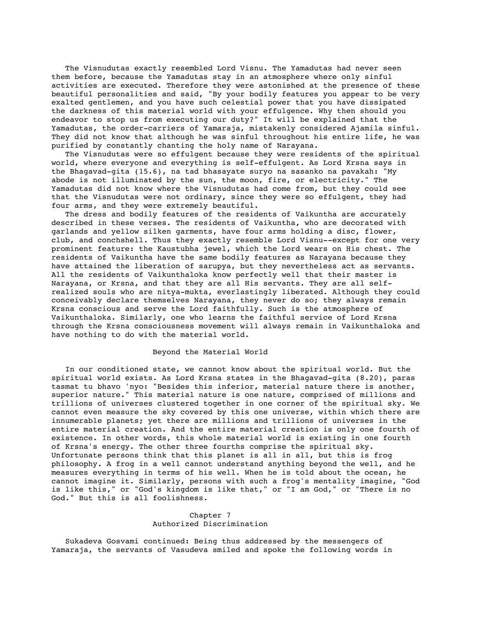The Visnudutas exactly resembled Lord Visnu. The Yamadutas had never seen them before, because the Yamadutas stay in an atmosphere where only sinful activities are executed. Therefore they were astonished at the presence of these beautiful personalities and said, "By your bodily features you appear to be very exalted gentlemen, and you have such celestial power that you have dissipated the darkness of this material world with your effulgence. Why then should you endeavor to stop us from executing our duty?" It will be explained that the Yamadutas, the order-carriers of Yamaraja, mistakenly considered Ajamila sinful. They did not know that although he was sinful throughout his entire life, he was purified by constantly chanting the holy name of Narayana.

 The Visnudutas were so effulgent because they were residents of the spiritual world, where everyone and everything is self-effulgent. As Lord Krsna says in the Bhagavad-gita (15.6), na tad bhasayate suryo na sasanko na pavakah: "My abode is not illuminated by the sun, the moon, fire, or electricity." The Yamadutas did not know where the Visnudutas had come from, but they could see that the Visnudutas were not ordinary, since they were so effulgent, they had four arms, and they were extremely beautiful.

 The dress and bodily features of the residents of Vaikuntha are accurately described in these verses. The residents of Vaikuntha, who are decorated with garlands and yellow silken garments, have four arms holding a disc, flower, club, and conchshell. Thus they exactly resemble Lord Visnu--except for one very prominent feature: the Kaustubha jewel, which the Lord wears on His chest. The residents of Vaikuntha have the same bodily features as Narayana because they have attained the liberation of sarupya, but they nevertheless act as servants. All the residents of Vaikunthaloka know perfectly well that their master is Narayana, or Krsna, and that they are all His servants. They are all selfrealized souls who are nitya-mukta, everlastingly liberated. Although they could conceivably declare themselves Narayana, they never do so; they always remain Krsna conscious and serve the Lord faithfully. Such is the atmosphere of Vaikunthaloka. Similarly, one who learns the faithful service of Lord Krsna through the Krsna consciousness movement will always remain in Vaikunthaloka and have nothing to do with the material world.

### Beyond the Material World

 In our conditioned state, we cannot know about the spiritual world. But the spiritual world exists. As Lord Krsna states in the Bhagavad-gita (8.20), paras tasmat tu bhavo 'nyo: "Besides this inferior, material nature there is another, superior nature." This material nature is one nature, comprised of millions and trillions of universes clustered together in one corner of the spiritual sky. We cannot even measure the sky covered by this one universe, within which there are innumerable planets; yet there are millions and trillions of universes in the entire material creation. And the entire material creation is only one fourth of existence. In other words, this whole material world is existing in one fourth of Krsna's energy. The other three fourths comprise the spiritual sky. Unfortunate persons think that this planet is all in all, but this is frog philosophy. A frog in a well cannot understand anything beyond the well, and he measures everything in terms of his well. When he is told about the ocean, he cannot imagine it. Similarly, persons with such a frog's mentality imagine, "God is like this," or "God's kingdom is like that," or "I am God," or "There is no God." But this is all foolishness.

# Chapter 7 Authorized Discrimination

 Sukadeva Gosvami continued: Being thus addressed by the messengers of Yamaraja, the servants of Vasudeva smiled and spoke the following words in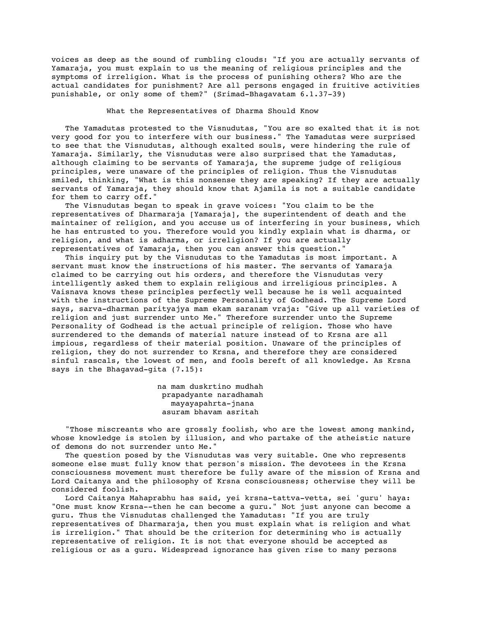voices as deep as the sound of rumbling clouds: "If you are actually servants of Yamaraja, you must explain to us the meaning of religious principles and the symptoms of irreligion. What is the process of punishing others? Who are the actual candidates for punishment? Are all persons engaged in fruitive activities punishable, or only some of them?" (Srimad-Bhagavatam 6.1.37-39)

What the Representatives of Dharma Should Know

 The Yamadutas protested to the Visnudutas, "You are so exalted that it is not very good for you to interfere with our business." The Yamadutas were surprised to see that the Visnudutas, although exalted souls, were hindering the rule of Yamaraja. Similarly, the Visnudutas were also surprised that the Yamadutas, although claiming to be servants of Yamaraja, the supreme judge of religious principles, were unaware of the principles of religion. Thus the Visnudutas smiled, thinking, "What is this nonsense they are speaking? If they are actually servants of Yamaraja, they should know that Ajamila is not a suitable candidate for them to carry off."

 The Visnudutas began to speak in grave voices: "You claim to be the representatives of Dharmaraja [Yamaraja], the superintendent of death and the maintainer of religion, and you accuse us of interfering in your business, which he has entrusted to you. Therefore would you kindly explain what is dharma, or religion, and what is adharma, or irreligion? If you are actually representatives of Yamaraja, then you can answer this question."

 This inquiry put by the Visnudutas to the Yamadutas is most important. A servant must know the instructions of his master. The servants of Yamaraja claimed to be carrying out his orders, and therefore the Visnudutas very intelligently asked them to explain religious and irreligious principles. A Vaisnava knows these principles perfectly well because he is well acquainted with the instructions of the Supreme Personality of Godhead. The Supreme Lord says, sarva-dharman parityajya mam ekam saranam vraja: "Give up all varieties of religion and just surrender unto Me." Therefore surrender unto the Supreme Personality of Godhead is the actual principle of religion. Those who have surrendered to the demands of material nature instead of to Krsna are all impious, regardless of their material position. Unaware of the principles of religion, they do not surrender to Krsna, and therefore they are considered sinful rascals, the lowest of men, and fools bereft of all knowledge. As Krsna says in the Bhagavad-gita (7.15):

> na mam duskrtino mudhah prapadyante naradhamah mayayapahrta-jnana asuram bhavam asritah

 "Those miscreants who are grossly foolish, who are the lowest among mankind, whose knowledge is stolen by illusion, and who partake of the atheistic nature of demons do not surrender unto Me."

 The question posed by the Visnudutas was very suitable. One who represents someone else must fully know that person's mission. The devotees in the Krsna consciousness movement must therefore be fully aware of the mission of Krsna and Lord Caitanya and the philosophy of Krsna consciousness; otherwise they will be considered foolish.

 Lord Caitanya Mahaprabhu has said, yei krsna-tattva-vetta, sei 'guru' haya: "One must know Krsna--then he can become a guru." Not just anyone can become a guru. Thus the Visnudutas challenged the Yamadutas: "If you are truly representatives of Dharmaraja, then you must explain what is religion and what is irreligion." That should be the criterion for determining who is actually representative of religion. It is not that everyone should be accepted as religious or as a guru. Widespread ignorance has given rise to many persons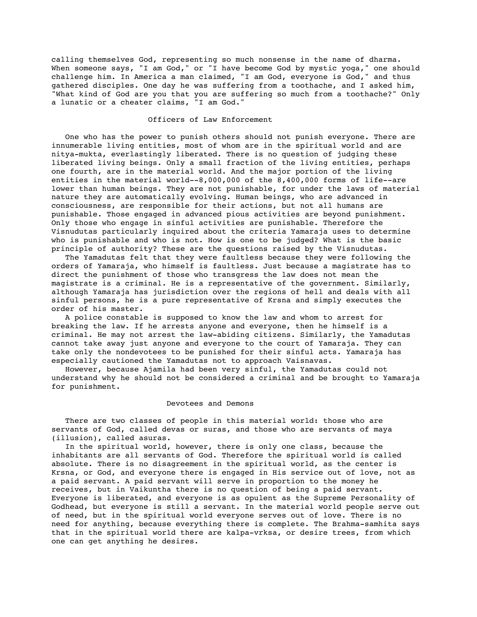calling themselves God, representing so much nonsense in the name of dharma. When someone says, "I am God," or "I have become God by mystic yoga," one should challenge him. In America a man claimed, "I am God, everyone is God," and thus gathered disciples. One day he was suffering from a toothache, and I asked him, "What kind of God are you that you are suffering so much from a toothache?" Only a lunatic or a cheater claims, "I am God."

### Officers of Law Enforcement

 One who has the power to punish others should not punish everyone. There are innumerable living entities, most of whom are in the spiritual world and are nitya-mukta, everlastingly liberated. There is no question of judging these liberated living beings. Only a small fraction of the living entities, perhaps one fourth, are in the material world. And the major portion of the living entities in the material world--8,000,000 of the 8,400,000 forms of life--are lower than human beings. They are not punishable, for under the laws of material nature they are automatically evolving. Human beings, who are advanced in consciousness, are responsible for their actions, but not all humans are punishable. Those engaged in advanced pious activities are beyond punishment. Only those who engage in sinful activities are punishable. Therefore the Visnudutas particularly inquired about the criteria Yamaraja uses to determine who is punishable and who is not. How is one to be judged? What is the basic principle of authority? These are the questions raised by the Visnudutas.

 The Yamadutas felt that they were faultless because they were following the orders of Yamaraja, who himself is faultless. Just because a magistrate has to direct the punishment of those who transgress the law does not mean the magistrate is a criminal. He is a representative of the government. Similarly, although Yamaraja has jurisdiction over the regions of hell and deals with all sinful persons, he is a pure representative of Krsna and simply executes the order of his master.

 A police constable is supposed to know the law and whom to arrest for breaking the law. If he arrests anyone and everyone, then he himself is a criminal. He may not arrest the law-abiding citizens. Similarly, the Yamadutas cannot take away just anyone and everyone to the court of Yamaraja. They can take only the nondevotees to be punished for their sinful acts. Yamaraja has especially cautioned the Yamadutas not to approach Vaisnavas.

 However, because Ajamila had been very sinful, the Yamadutas could not understand why he should not be considered a criminal and be brought to Yamaraja for punishment.

#### Devotees and Demons

There are two classes of people in this material world: those who are servants of God, called devas or suras, and those who are servants of maya (illusion), called asuras.

 In the spiritual world, however, there is only one class, because the inhabitants are all servants of God. Therefore the spiritual world is called absolute. There is no disagreement in the spiritual world, as the center is Krsna, or God, and everyone there is engaged in His service out of love, not as a paid servant. A paid servant will serve in proportion to the money he receives, but in Vaikuntha there is no question of being a paid servant. Everyone is liberated, and everyone is as opulent as the Supreme Personality of Godhead, but everyone is still a servant. In the material world people serve out of need, but in the spiritual world everyone serves out of love. There is no need for anything, because everything there is complete. The Brahma-samhita says that in the spiritual world there are kalpa-vrksa, or desire trees, from which one can get anything he desires.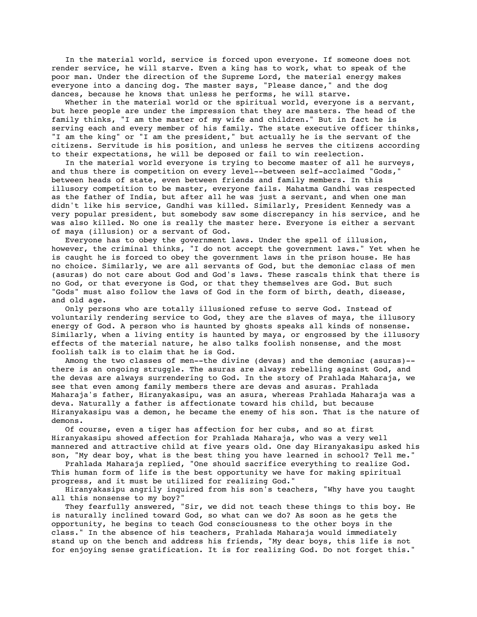In the material world, service is forced upon everyone. If someone does not render service, he will starve. Even a king has to work, what to speak of the poor man. Under the direction of the Supreme Lord, the material energy makes everyone into a dancing dog. The master says, "Please dance," and the dog dances, because he knows that unless he performs, he will starve.

Whether in the material world or the spiritual world, everyone is a servant, but here people are under the impression that they are masters. The head of the family thinks, "I am the master of my wife and children." But in fact he is serving each and every member of his family. The state executive officer thinks, "I am the king" or "I am the president," but actually he is the servant of the citizens. Servitude is his position, and unless he serves the citizens according to their expectations, he will be deposed or fail to win reelection.

 In the material world everyone is trying to become master of all he surveys, and thus there is competition on every level--between self-acclaimed "Gods," between heads of state, even between friends and family members. In this illusory competition to be master, everyone fails. Mahatma Gandhi was respected as the father of India, but after all he was just a servant, and when one man didn't like his service, Gandhi was killed. Similarly, President Kennedy was a very popular president, but somebody saw some discrepancy in his service, and he was also killed. No one is really the master here. Everyone is either a servant of maya (illusion) or a servant of God.

 Everyone has to obey the government laws. Under the spell of illusion, however, the criminal thinks, "I do not accept the government laws." Yet when he is caught he is forced to obey the government laws in the prison house. He has no choice. Similarly, we are all servants of God, but the demoniac class of men (asuras) do not care about God and God's laws. These rascals think that there is no God, or that everyone is God, or that they themselves are God. But such "Gods" must also follow the laws of God in the form of birth, death, disease, and old age.

 Only persons who are totally illusioned refuse to serve God. Instead of voluntarily rendering service to God, they are the slaves of maya, the illusory energy of God. A person who is haunted by ghosts speaks all kinds of nonsense. Similarly, when a living entity is haunted by maya, or engrossed by the illusory effects of the material nature, he also talks foolish nonsense, and the most foolish talk is to claim that he is God.

 Among the two classes of men--the divine (devas) and the demoniac (asuras)- there is an ongoing struggle. The asuras are always rebelling against God, and the devas are always surrendering to God. In the story of Prahlada Maharaja, we see that even among family members there are devas and asuras. Prahlada Maharaja's father, Hiranyakasipu, was an asura, whereas Prahlada Maharaja was a deva. Naturally a father is affectionate toward his child, but because Hiranyakasipu was a demon, he became the enemy of his son. That is the nature of demons.

 Of course, even a tiger has affection for her cubs, and so at first Hiranyakasipu showed affection for Prahlada Maharaja, who was a very well mannered and attractive child at five years old. One day Hiranyakasipu asked his son, "My dear boy, what is the best thing you have learned in school? Tell me."

 Prahlada Maharaja replied, "One should sacrifice everything to realize God. This human form of life is the best opportunity we have for making spiritual progress, and it must be utilized for realizing God."

 Hiranyakasipu angrily inquired from his son's teachers, "Why have you taught all this nonsense to my boy?"

 They fearfully answered, "Sir, we did not teach these things to this boy. He is naturally inclined toward God, so what can we do? As soon as he gets the opportunity, he begins to teach God consciousness to the other boys in the class." In the absence of his teachers, Prahlada Maharaja would immediately stand up on the bench and address his friends, "My dear boys, this life is not for enjoying sense gratification. It is for realizing God. Do not forget this."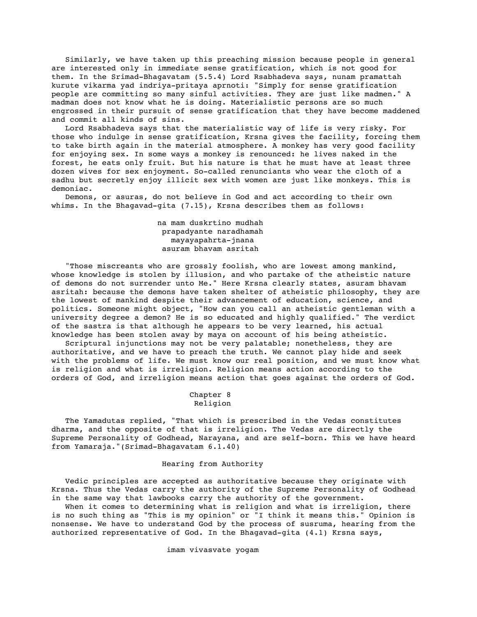Similarly, we have taken up this preaching mission because people in general are interested only in immediate sense gratification, which is not good for them. In the Srimad-Bhagavatam (5.5.4) Lord Rsabhadeva says, nunam pramattah kurute vikarma yad indriya-pritaya aprnoti: "Simply for sense gratification people are committing so many sinful activities. They are just like madmen." A madman does not know what he is doing. Materialistic persons are so much engrossed in their pursuit of sense gratification that they have become maddened and commit all kinds of sins.

 Lord Rsabhadeva says that the materialistic way of life is very risky. For those who indulge in sense gratification, Krsna gives the facility, forcing them to take birth again in the material atmosphere. A monkey has very good facility for enjoying sex. In some ways a monkey is renounced: he lives naked in the forest, he eats only fruit. But his nature is that he must have at least three dozen wives for sex enjoyment. So-called renunciants who wear the cloth of a sadhu but secretly enjoy illicit sex with women are just like monkeys. This is demoniac.

 Demons, or asuras, do not believe in God and act according to their own whims. In the Bhagavad-gita (7.15), Krsna describes them as follows:

> na mam duskrtino mudhah prapadyante naradhamah mayayapahrta-jnana asuram bhavam asritah

 "Those miscreants who are grossly foolish, who are lowest among mankind, whose knowledge is stolen by illusion, and who partake of the atheistic nature of demons do not surrender unto Me." Here Krsna clearly states, asuram bhavam asritah: because the demons have taken shelter of atheistic philosophy, they are the lowest of mankind despite their advancement of education, science, and politics. Someone might object, "How can you call an atheistic gentleman with a university degree a demon? He is so educated and highly qualified." The verdict of the sastra is that although he appears to be very learned, his actual knowledge has been stolen away by maya on account of his being atheistic.

 Scriptural injunctions may not be very palatable; nonetheless, they are authoritative, and we have to preach the truth. We cannot play hide and seek with the problems of life. We must know our real position, and we must know what is religion and what is irreligion. Religion means action according to the orders of God, and irreligion means action that goes against the orders of God.

# Chapter 8 Religion

 The Yamadutas replied, "That which is prescribed in the Vedas constitutes dharma, and the opposite of that is irreligion. The Vedas are directly the Supreme Personality of Godhead, Narayana, and are self-born. This we have heard from Yamaraja."(Srimad-Bhagavatam 6.1.40)

# Hearing from Authority

 Vedic principles are accepted as authoritative because they originate with Krsna. Thus the Vedas carry the authority of the Supreme Personality of Godhead in the same way that lawbooks carry the authority of the government.

 When it comes to determining what is religion and what is irreligion, there is no such thing as "This is my opinion" or "I think it means this." Opinion is nonsense. We have to understand God by the process of susruma, hearing from the authorized representative of God. In the Bhagavad-gita (4.1) Krsna says,

#### imam vivasvate yogam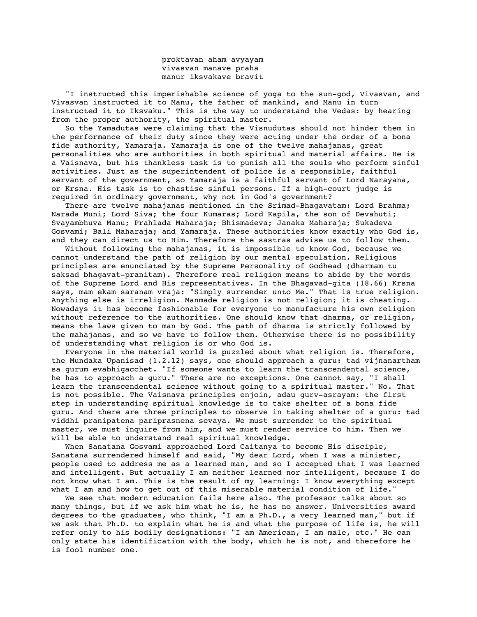proktavan aham avyayam vivasvan manave praha manur iksvakave bravit

 "I instructed this imperishable science of yoga to the sun-god, Vivasvan, and Vivasvan instructed it to Manu, the father of mankind, and Manu in turn instructed it to Iksvaku." This is the way to understand the Vedas: by hearing from the proper authority, the spiritual master.

 So the Yamadutas were claiming that the Visnudutas should not hinder them in the performance of their duty since they were acting under the order of a bona fide authority, Yamaraja. Yamaraja is one of the twelve mahajanas, great personalities who are authorities in both spiritual and material affairs. He is a Vaisnava, but his thankless task is to punish all the souls who perform sinful activities. Just as the superintendent of police is a responsible, faithful servant of the government, so Yamaraja is a faithful servant of Lord Narayana, or Krsna. His task is to chastise sinful persons. If a high-court judge is required in ordinary government, why not in God's government?

 There are twelve mahajanas mentioned in the Srimad-Bhagavatam: Lord Brahma; Narada Muni; Lord Siva; the four Kumaras; Lord Kapila, the son of Devahuti; Svayambhuva Manu; Prahlada Maharaja; Bhismadeva; Janaka Maharaja; Sukadeva Gosvami; Bali Maharaja; and Yamaraja. These authorities know exactly who God is, and they can direct us to Him. Therefore the sastras advise us to follow them.

 Without following the mahajanas, it is impossible to know God, because we cannot understand the path of religion by our mental speculation. Religious principles are enunciated by the Supreme Personality of Godhead (dharmam tu saksad bhagavat-pranitam). Therefore real religion means to abide by the words of the Supreme Lord and His representatives. In the Bhagavad-gita (18.66) Krsna says, mam ekam saranam vraja: "Simply surrender unto Me." That is true religion. Anything else is irreligion. Manmade religion is not religion; it is cheating. Nowadays it has become fashionable for everyone to manufacture his own religion without reference to the authorities. One should know that dharma, or religion, means the laws given to man by God. The path of dharma is strictly followed by the mahajanas, and so we have to follow them. Otherwise there is no possibility of understanding what religion is or who God is.

 Everyone in the material world is puzzled about what religion is. Therefore, the Mundaka Upanisad (1.2.12) says, one should approach a guru: tad vijnanartham sa gurum evabhigacchet. "If someone wants to learn the transcendental science, he has to approach a guru." There are no exceptions. One cannot say, "I shall learn the transcendental science without going to a spiritual master." No. That is not possible. The Vaisnava principles enjoin, adau gurv-asrayam: the first step in understanding spiritual knowledge is to take shelter of a bona fide guru. And there are three principles to observe in taking shelter of a guru: tad viddhi pranipatena pariprasnena sevaya. We must surrender to the spiritual master, we must inquire from him, and we must render service to him. Then we will be able to understand real spiritual knowledge.

 When Sanatana Gosvami approached Lord Caitanya to become His disciple, Sanatana surrendered himself and said, "My dear Lord, when I was a minister, people used to address me as a learned man, and so I accepted that I was learned and intelligent. But actually I am neither learned nor intelligent, because I do not know what I am. This is the result of my learning: I know everything except what I am and how to get out of this miserable material condition of life."

 We see that modern education fails here also. The professor talks about so many things, but if we ask him what he is, he has no answer. Universities award degrees to the graduates, who think, "I am a Ph.D., a very learned man," but if we ask that Ph.D. to explain what he is and what the purpose of life is, he will refer only to his bodily designations: "I am American, I am male, etc." He can only state his identification with the body, which he is not, and therefore he is fool number one.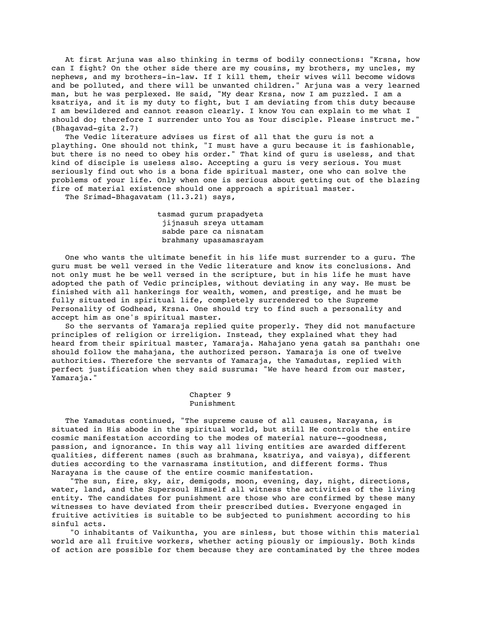At first Arjuna was also thinking in terms of bodily connections: "Krsna, how can I fight? On the other side there are my cousins, my brothers, my uncles, my nephews, and my brothers-in-law. If I kill them, their wives will become widows and be polluted, and there will be unwanted children." Arjuna was a very learned man, but he was perplexed. He said, "My dear Krsna, now I am puzzled. I am a ksatriya, and it is my duty to fight, but I am deviating from this duty because I am bewildered and cannot reason clearly. I know You can explain to me what I should do; therefore I surrender unto You as Your disciple. Please instruct me." (Bhagavad-gita 2.7)

 The Vedic literature advises us first of all that the guru is not a plaything. One should not think, "I must have a guru because it is fashionable, but there is no need to obey his order." That kind of guru is useless, and that kind of disciple is useless also. Accepting a guru is very serious. You must seriously find out who is a bona fide spiritual master, one who can solve the problems of your life. Only when one is serious about getting out of the blazing fire of material existence should one approach a spiritual master.

The Srimad-Bhagavatam (11.3.21) says,

 tasmad gurum prapadyeta jijnasuh sreya uttamam sabde pare ca nisnatam brahmany upasamasrayam

 One who wants the ultimate benefit in his life must surrender to a guru. The guru must be well versed in the Vedic literature and know its conclusions. And not only must he be well versed in the scripture, but in his life he must have adopted the path of Vedic principles, without deviating in any way. He must be finished with all hankerings for wealth, women, and prestige, and he must be fully situated in spiritual life, completely surrendered to the Supreme Personality of Godhead, Krsna. One should try to find such a personality and accept him as one's spiritual master.

 So the servants of Yamaraja replied quite properly. They did not manufacture principles of religion or irreligion. Instead, they explained what they had heard from their spiritual master, Yamaraja. Mahajano yena gatah sa panthah: one should follow the mahajana, the authorized person. Yamaraja is one of twelve authorities. Therefore the servants of Yamaraja, the Yamadutas, replied with perfect justification when they said susruma: "We have heard from our master, Yamaraja."

# Chapter 9 Punishment

 The Yamadutas continued, "The supreme cause of all causes, Narayana, is situated in His abode in the spiritual world, but still He controls the entire cosmic manifestation according to the modes of material nature--goodness, passion, and ignorance. In this way all living entities are awarded different qualities, different names (such as brahmana, ksatriya, and vaisya), different duties according to the varnasrama institution, and different forms. Thus Narayana is the cause of the entire cosmic manifestation.

 "The sun, fire, sky, air, demigods, moon, evening, day, night, directions, water, land, and the Supersoul Himself all witness the activities of the living entity. The candidates for punishment are those who are confirmed by these many witnesses to have deviated from their prescribed duties. Everyone engaged in fruitive activities is suitable to be subjected to punishment according to his sinful acts.

 "O inhabitants of Vaikuntha, you are sinless, but those within this material world are all fruitive workers, whether acting piously or impiously. Both kinds of action are possible for them because they are contaminated by the three modes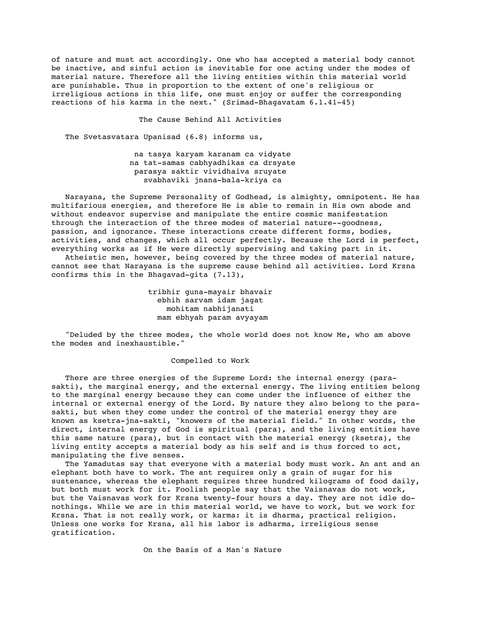of nature and must act accordingly. One who has accepted a material body cannot be inactive, and sinful action is inevitable for one acting under the modes of material nature. Therefore all the living entities within this material world are punishable. Thus in proportion to the extent of one's religious or irreligious actions in this life, one must enjoy or suffer the corresponding reactions of his karma in the next." (Srimad-Bhagavatam 6.1.41-45)

#### The Cause Behind All Activities

The Svetasvatara Upanisad (6.8) informs us,

 na tasya karyam karanam ca vidyate na tat-samas cabhyadhikas ca drsyate parasya saktir vividhaiva sruyate svabhaviki jnana-bala-kriya ca

 Narayana, the Supreme Personality of Godhead, is almighty, omnipotent. He has multifarious energies, and therefore He is able to remain in His own abode and without endeavor supervise and manipulate the entire cosmic manifestation through the interaction of the three modes of material nature--goodness, passion, and ignorance. These interactions create different forms, bodies, activities, and changes, which all occur perfectly. Because the Lord is perfect, everything works as if He were directly supervising and taking part in it. Atheistic men, however, being covered by the three modes of material nature,

cannot see that Narayana is the supreme cause behind all activities. Lord Krsna confirms this in the Bhagavad-gita (7.13),

> tribhir guna-mayair bhavair ebhih sarvam idam jagat mohitam nabhijanati mam ebhyah param avyayam

 "Deluded by the three modes, the whole world does not know Me, who am above the modes and inexhaustible."

# Compelled to Work

 There are three energies of the Supreme Lord: the internal energy (parasakti), the marginal energy, and the external energy. The living entities belong to the marginal energy because they can come under the influence of either the internal or external energy of the Lord. By nature they also belong to the parasakti, but when they come under the control of the material energy they are known as ksetra-jna-sakti, "knowers of the material field." In other words, the direct, internal energy of God is spiritual (para), and the living entities have this same nature (para), but in contact with the material energy (ksetra), the living entity accepts a material body as his self and is thus forced to act, manipulating the five senses.

 The Yamadutas say that everyone with a material body must work. An ant and an elephant both have to work. The ant requires only a grain of sugar for his sustenance, whereas the elephant requires three hundred kilograms of food daily, but both must work for it. Foolish people say that the Vaisnavas do not work, but the Vaisnavas work for Krsna twenty-four hours a day. They are not idle donothings. While we are in this material world, we have to work, but we work for Krsna. That is not really work, or karma: it is dharma, practical religion. Unless one works for Krsna, all his labor is adharma, irreligious sense gratification.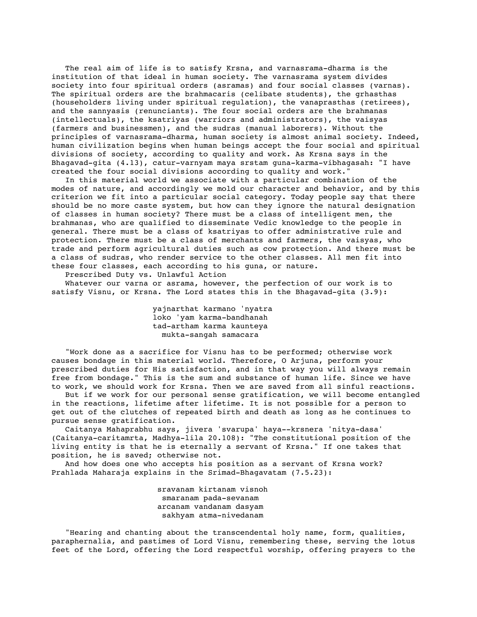The real aim of life is to satisfy Krsna, and varnasrama-dharma is the institution of that ideal in human society. The varnasrama system divides society into four spiritual orders (asramas) and four social classes (varnas). The spiritual orders are the brahmacaris (celibate students), the grhasthas (householders living under spiritual regulation), the vanaprasthas (retirees), and the sannyasis (renunciants). The four social orders are the brahmanas (intellectuals), the ksatriyas (warriors and administrators), the vaisyas (farmers and businessmen), and the sudras (manual laborers). Without the principles of varnasrama-dharma, human society is almost animal society. Indeed, human civilization begins when human beings accept the four social and spiritual divisions of society, according to quality and work. As Krsna says in the Bhagavad-gita (4.13), catur-varnyam maya srstam guna-karma-vibhagasah: "I have created the four social divisions according to quality and work."

 In this material world we associate with a particular combination of the modes of nature, and accordingly we mold our character and behavior, and by this criterion we fit into a particular social category. Today people say that there should be no more caste system, but how can they ignore the natural designation of classes in human society? There must be a class of intelligent men, the brahmanas, who are qualified to disseminate Vedic knowledge to the people in general. There must be a class of ksatriyas to offer administrative rule and protection. There must be a class of merchants and farmers, the vaisyas, who trade and perform agricultural duties such as cow protection. And there must be a class of sudras, who render service to the other classes. All men fit into these four classes, each according to his guna, or nature.

Prescribed Duty vs. Unlawful Action

 Whatever our varna or asrama, however, the perfection of our work is to satisfy Visnu, or Krsna. The Lord states this in the Bhagavad-gita (3.9):

> yajnarthat karmano 'nyatra loko 'yam karma-bandhanah tad-artham karma kaunteya mukta-sangah samacara

 "Work done as a sacrifice for Visnu has to be performed; otherwise work causes bondage in this material world. Therefore, O Arjuna, perform your prescribed duties for His satisfaction, and in that way you will always remain free from bondage." This is the sum and substance of human life. Since we have to work, we should work for Krsna. Then we are saved from all sinful reactions.

 But if we work for our personal sense gratification, we will become entangled in the reactions, lifetime after lifetime. It is not possible for a person to get out of the clutches of repeated birth and death as long as he continues to pursue sense gratification.

 Caitanya Mahaprabhu says, jivera 'svarupa' haya--krsnera 'nitya-dasa' (Caitanya-caritamrta, Madhya-lila 20.108): "The constitutional position of the living entity is that he is eternally a servant of Krsna." If one takes that position, he is saved; otherwise not.

 And how does one who accepts his position as a servant of Krsna work? Prahlada Maharaja explains in the Srimad-Bhagavatam (7.5.23):

> sravanam kirtanam visnoh smaranam pada-sevanam arcanam vandanam dasyam sakhyam atma-nivedanam

 "Hearing and chanting about the transcendental holy name, form, qualities, paraphernalia, and pastimes of Lord Visnu, remembering these, serving the lotus feet of the Lord, offering the Lord respectful worship, offering prayers to the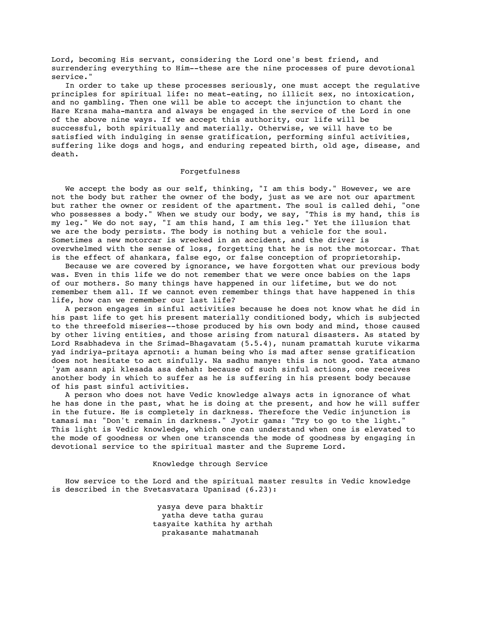Lord, becoming His servant, considering the Lord one's best friend, and surrendering everything to Him--these are the nine processes of pure devotional service."

 In order to take up these processes seriously, one must accept the regulative principles for spiritual life: no meat-eating, no illicit sex, no intoxication, and no gambling. Then one will be able to accept the injunction to chant the Hare Krsna maha-mantra and always be engaged in the service of the Lord in one of the above nine ways. If we accept this authority, our life will be successful, both spiritually and materially. Otherwise, we will have to be satisfied with indulging in sense gratification, performing sinful activities, suffering like dogs and hogs, and enduring repeated birth, old age, disease, and death.

# Forgetfulness

We accept the body as our self, thinking, "I am this body." However, we are not the body but rather the owner of the body, just as we are not our apartment but rather the owner or resident of the apartment. The soul is called dehi, "one who possesses a body." When we study our body, we say, "This is my hand, this is my leg." We do not say, "I am this hand, I am this leg." Yet the illusion that we are the body persists. The body is nothing but a vehicle for the soul. Sometimes a new motorcar is wrecked in an accident, and the driver is overwhelmed with the sense of loss, forgetting that he is not the motorcar. That is the effect of ahankara, false ego, or false conception of proprietorship.

 Because we are covered by ignorance, we have forgotten what our previous body was. Even in this life we do not remember that we were once babies on the laps of our mothers. So many things have happened in our lifetime, but we do not remember them all. If we cannot even remember things that have happened in this life, how can we remember our last life?

 A person engages in sinful activities because he does not know what he did in his past life to get his present materially conditioned body, which is subjected to the threefold miseries--those produced by his own body and mind, those caused by other living entities, and those arising from natural disasters. As stated by Lord Rsabhadeva in the Srimad-Bhagavatam (5.5.4), nunam pramattah kurute vikarma yad indriya-pritaya aprnoti: a human being who is mad after sense gratification does not hesitate to act sinfully. Na sadhu manye: this is not good. Yata atmano 'yam asann api klesada asa dehah: because of such sinful actions, one receives another body in which to suffer as he is suffering in his present body because of his past sinful activities.

 A person who does not have Vedic knowledge always acts in ignorance of what he has done in the past, what he is doing at the present, and how he will suffer in the future. He is completely in darkness. Therefore the Vedic injunction is tamasi ma: "Don't remain in darkness." Jyotir gama: "Try to go to the light." This light is Vedic knowledge, which one can understand when one is elevated to the mode of goodness or when one transcends the mode of goodness by engaging in devotional service to the spiritual master and the Supreme Lord.

### Knowledge through Service

 How service to the Lord and the spiritual master results in Vedic knowledge is described in the Svetasvatara Upanisad (6.23):

> yasya deve para bhaktir yatha deve tatha gurau tasyaite kathita hy arthah prakasante mahatmanah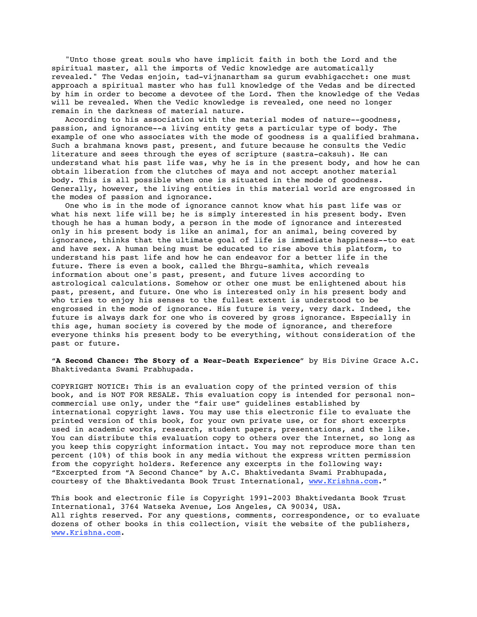"Unto those great souls who have implicit faith in both the Lord and the spiritual master, all the imports of Vedic knowledge are automatically revealed." The Vedas enjoin, tad-vijnanartham sa gurum evabhigacchet: one must approach a spiritual master who has full knowledge of the Vedas and be directed by him in order to become a devotee of the Lord. Then the knowledge of the Vedas will be revealed. When the Vedic knowledge is revealed, one need no longer remain in the darkness of material nature.

 According to his association with the material modes of nature--goodness, passion, and ignorance--a living entity gets a particular type of body. The example of one who associates with the mode of goodness is a qualified brahmana. Such a brahmana knows past, present, and future because he consults the Vedic literature and sees through the eyes of scripture (sastra-caksuh). He can understand what his past life was, why he is in the present body, and how he can obtain liberation from the clutches of maya and not accept another material body. This is all possible when one is situated in the mode of goodness. Generally, however, the living entities in this material world are engrossed in the modes of passion and ignorance.

 One who is in the mode of ignorance cannot know what his past life was or what his next life will be; he is simply interested in his present body. Even though he has a human body, a person in the mode of ignorance and interested only in his present body is like an animal, for an animal, being covered by ignorance, thinks that the ultimate goal of life is immediate happiness--to eat and have sex. A human being must be educated to rise above this platform, to understand his past life and how he can endeavor for a better life in the future. There is even a book, called the Bhrgu-samhita, which reveals information about one's past, present, and future lives according to astrological calculations. Somehow or other one must be enlightened about his past, present, and future. One who is interested only in his present body and who tries to enjoy his senses to the fullest extent is understood to be engrossed in the mode of ignorance. His future is very, very dark. Indeed, the future is always dark for one who is covered by gross ignorance. Especially in this age, human society is covered by the mode of ignorance, and therefore everyone thinks his present body to be everything, without consideration of the past or future.

"**A Second Chance: The Story of a Near-Death Experience**" by His Divine Grace A.C. Bhaktivedanta Swami Prabhupada.

COPYRIGHT NOTICE: This is an evaluation copy of the printed version of this book, and is NOT FOR RESALE. This evaluation copy is intended for personal noncommercial use only, under the "fair use" guidelines established by international copyright laws. You may use this electronic file to evaluate the printed version of this book, for your own private use, or for short excerpts used in academic works, research, student papers, presentations, and the like. You can distribute this evaluation copy to others over the Internet, so long as you keep this copyright information intact. You may not reproduce more than ten percent (10%) of this book in any media without the express written permission from the copyright holders. Reference any excerpts in the following way: "Excerpted from "A Second Chance" by A.C. Bhaktivedanta Swami Prabhupada, courtesy of the Bhaktivedanta Book Trust International, www.Krishna.com."

This book and electronic file is Copyright 1991-2003 Bhaktivedanta Book Trust International, 3764 Watseka Avenue, Los Angeles, CA 90034, USA. All rights reserved. For any questions, comments, correspondence, or to evaluate dozens of other books in this collection, visit the website of the publishers, www.Krishna.com.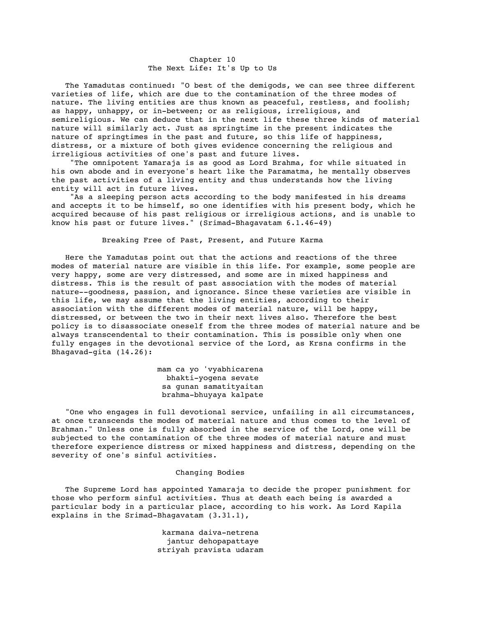# Chapter 10 The Next Life: It's Up to Us

 The Yamadutas continued: "O best of the demigods, we can see three different varieties of life, which are due to the contamination of the three modes of nature. The living entities are thus known as peaceful, restless, and foolish; as happy, unhappy, or in-between; or as religious, irreligious, and semireligious. We can deduce that in the next life these three kinds of material nature will similarly act. Just as springtime in the present indicates the nature of springtimes in the past and future, so this life of happiness, distress, or a mixture of both gives evidence concerning the religious and irreligious activities of one's past and future lives.

 "The omnipotent Yamaraja is as good as Lord Brahma, for while situated in his own abode and in everyone's heart like the Paramatma, he mentally observes the past activities of a living entity and thus understands how the living entity will act in future lives.

 "As a sleeping person acts according to the body manifested in his dreams and accepts it to be himself, so one identifies with his present body, which he acquired because of his past religious or irreligious actions, and is unable to know his past or future lives." (Srimad-Bhagavatam 6.1.46-49)

## Breaking Free of Past, Present, and Future Karma

 Here the Yamadutas point out that the actions and reactions of the three modes of material nature are visible in this life. For example, some people are very happy, some are very distressed, and some are in mixed happiness and distress. This is the result of past association with the modes of material nature--goodness, passion, and ignorance. Since these varieties are visible in this life, we may assume that the living entities, according to their association with the different modes of material nature, will be happy, distressed, or between the two in their next lives also. Therefore the best policy is to disassociate oneself from the three modes of material nature and be always transcendental to their contamination. This is possible only when one fully engages in the devotional service of the Lord, as Krsna confirms in the Bhagavad-gita (14.26):

> mam ca yo 'vyabhicarena bhakti-yogena sevate sa gunan samatityaitan brahma-bhuyaya kalpate

 "One who engages in full devotional service, unfailing in all circumstances, at once transcends the modes of material nature and thus comes to the level of Brahman." Unless one is fully absorbed in the service of the Lord, one will be subjected to the contamination of the three modes of material nature and must therefore experience distress or mixed happiness and distress, depending on the severity of one's sinful activities.

#### Changing Bodies

 The Supreme Lord has appointed Yamaraja to decide the proper punishment for those who perform sinful activities. Thus at death each being is awarded a particular body in a particular place, according to his work. As Lord Kapila explains in the Srimad-Bhagavatam (3.31.1),

> karmana daiva-netrena jantur dehopapattaye striyah pravista udaram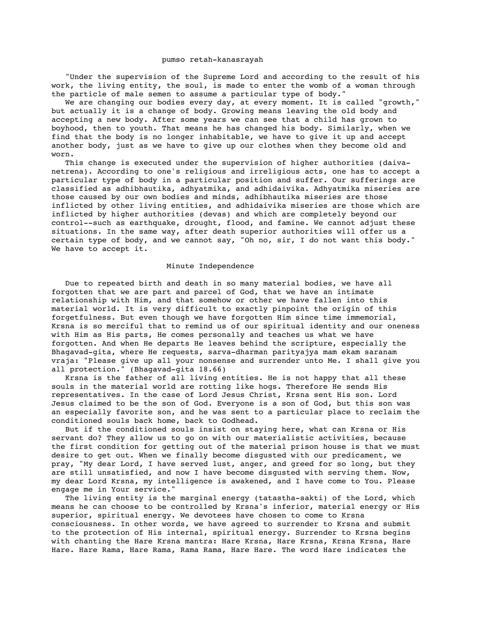#### pumso retah-kanasrayah

 "Under the supervision of the Supreme Lord and according to the result of his work, the living entity, the soul, is made to enter the womb of a woman through the particle of male semen to assume a particular type of body."

 We are changing our bodies every day, at every moment. It is called "growth," but actually it is a change of body. Growing means leaving the old body and accepting a new body. After some years we can see that a child has grown to boyhood, then to youth. That means he has changed his body. Similarly, when we find that the body is no longer inhabitable, we have to give it up and accept another body, just as we have to give up our clothes when they become old and worn.

 This change is executed under the supervision of higher authorities (daivanetrena). According to one's religious and irreligious acts, one has to accept a particular type of body in a particular position and suffer. Our sufferings are classified as adhibhautika, adhyatmika, and adhidaivika. Adhyatmika miseries are those caused by our own bodies and minds, adhibhautika miseries are those inflicted by other living entities, and adhidaivika miseries are those which are inflicted by higher authorities (devas) and which are completely beyond our control--such as earthquake, drought, flood, and famine. We cannot adjust these situations. In the same way, after death superior authorities will offer us a certain type of body, and we cannot say, "Oh no, sir, I do not want this body." We have to accept it.

### Minute Independence

 Due to repeated birth and death in so many material bodies, we have all forgotten that we are part and parcel of God, that we have an intimate relationship with Him, and that somehow or other we have fallen into this material world. It is very difficult to exactly pinpoint the origin of this forgetfulness. But even though we have forgotten Him since time immemorial, Krsna is so merciful that to remind us of our spiritual identity and our oneness with Him as His parts, He comes personally and teaches us what we have forgotten. And when He departs He leaves behind the scripture, especially the Bhagavad-gita, where He requests, sarva-dharman parityajya mam ekam saranam vraja: "Please give up all your nonsense and surrender unto Me. I shall give you all protection." (Bhagavad-gita 18.66)

 Krsna is the father of all living entities. He is not happy that all these souls in the material world are rotting like hogs. Therefore He sends His representatives. In the case of Lord Jesus Christ, Krsna sent His son. Lord Jesus claimed to be the son of God. Everyone is a son of God, but this son was an especially favorite son, and he was sent to a particular place to reclaim the conditioned souls back home, back to Godhead.

 But if the conditioned souls insist on staying here, what can Krsna or His servant do? They allow us to go on with our materialistic activities, because the first condition for getting out of the material prison house is that we must desire to get out. When we finally become disgusted with our predicament, we pray, "My dear Lord, I have served lust, anger, and greed for so long, but they are still unsatisfied, and now I have become disgusted with serving them. Now, my dear Lord Krsna, my intelligence is awakened, and I have come to You. Please engage me in Your service."

 The living entity is the marginal energy (tatastha-sakti) of the Lord, which means he can choose to be controlled by Krsna's inferior, material energy or His superior, spiritual energy. We devotees have chosen to come to Krsna consciousness. In other words, we have agreed to surrender to Krsna and submit to the protection of His internal, spiritual energy. Surrender to Krsna begins with chanting the Hare Krsna mantra: Hare Krsna, Hare Krsna, Krsna Krsna, Hare Hare. Hare Rama, Hare Rama, Rama Rama, Hare Hare. The word Hare indicates the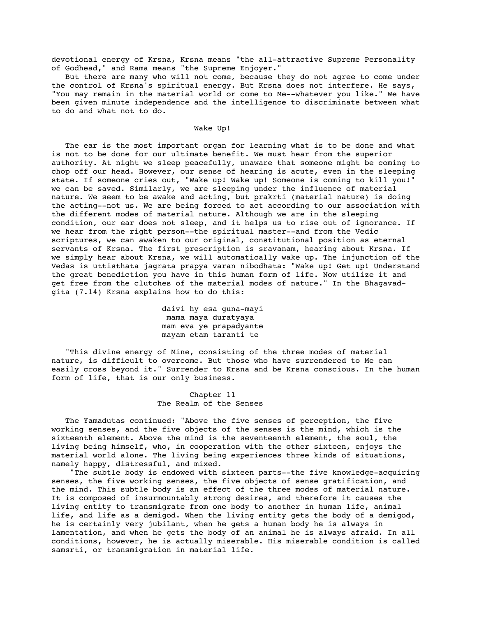devotional energy of Krsna, Krsna means "the all-attractive Supreme Personality of Godhead," and Rama means "the Supreme Enjoyer."

 But there are many who will not come, because they do not agree to come under the control of Krsna's spiritual energy. But Krsna does not interfere. He says, "You may remain in the material world or come to Me--whatever you like." We have been given minute independence and the intelligence to discriminate between what to do and what not to do.

#### Wake Up!

 The ear is the most important organ for learning what is to be done and what is not to be done for our ultimate benefit. We must hear from the superior authority. At night we sleep peacefully, unaware that someone might be coming to chop off our head. However, our sense of hearing is acute, even in the sleeping state. If someone cries out, "Wake up! Wake up! Someone is coming to kill you!" we can be saved. Similarly, we are sleeping under the influence of material nature. We seem to be awake and acting, but prakrti (material nature) is doing the acting--not us. We are being forced to act according to our association with the different modes of material nature. Although we are in the sleeping condition, our ear does not sleep, and it helps us to rise out of ignorance. If we hear from the right person--the spiritual master--and from the Vedic scriptures, we can awaken to our original, constitutional position as eternal servants of Krsna. The first prescription is sravanam, hearing about Krsna. If we simply hear about Krsna, we will automatically wake up. The injunction of the Vedas is uttisthata jagrata prapya varan nibodhata: "Wake up! Get up! Understand the great benediction you have in this human form of life. Now utilize it and get free from the clutches of the material modes of nature." In the Bhagavadgita (7.14) Krsna explains how to do this:

> daivi hy esa guna-mayi mama maya duratyaya mam eva ye prapadyante mayam etam taranti te

 "This divine energy of Mine, consisting of the three modes of material nature, is difficult to overcome. But those who have surrendered to Me can easily cross beyond it." Surrender to Krsna and be Krsna conscious. In the human form of life, that is our only business.

> Chapter 11 The Realm of the Senses

 The Yamadutas continued: "Above the five senses of perception, the five working senses, and the five objects of the senses is the mind, which is the sixteenth element. Above the mind is the seventeenth element, the soul, the living being himself, who, in cooperation with the other sixteen, enjoys the material world alone. The living being experiences three kinds of situations, namely happy, distressful, and mixed.

 "The subtle body is endowed with sixteen parts--the five knowledge-acquiring senses, the five working senses, the five objects of sense gratification, and the mind. This subtle body is an effect of the three modes of material nature. It is composed of insurmountably strong desires, and therefore it causes the living entity to transmigrate from one body to another in human life, animal life, and life as a demigod. When the living entity gets the body of a demigod, he is certainly very jubilant, when he gets a human body he is always in lamentation, and when he gets the body of an animal he is always afraid. In all conditions, however, he is actually miserable. His miserable condition is called samsrti, or transmigration in material life.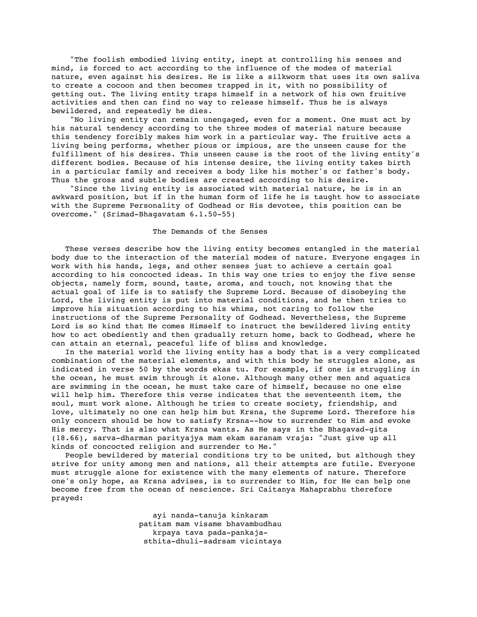"The foolish embodied living entity, inept at controlling his senses and mind, is forced to act according to the influence of the modes of material nature, even against his desires. He is like a silkworm that uses its own saliva to create a cocoon and then becomes trapped in it, with no possibility of getting out. The living entity traps himself in a network of his own fruitive activities and then can find no way to release himself. Thus he is always bewildered, and repeatedly he dies.

 "No living entity can remain unengaged, even for a moment. One must act by his natural tendency according to the three modes of material nature because this tendency forcibly makes him work in a particular way. The fruitive acts a living being performs, whether pious or impious, are the unseen cause for the fulfillment of his desires. This unseen cause is the root of the living entity's different bodies. Because of his intense desire, the living entity takes birth in a particular family and receives a body like his mother's or father's body. Thus the gross and subtle bodies are created according to his desire.

 "Since the living entity is associated with material nature, he is in an awkward position, but if in the human form of life he is taught how to associate with the Supreme Personality of Godhead or His devotee, this position can be overcome." (Srimad-Bhagavatam 6.1.50-55)

### The Demands of the Senses

 These verses describe how the living entity becomes entangled in the material body due to the interaction of the material modes of nature. Everyone engages in work with his hands, legs, and other senses just to achieve a certain goal according to his concocted ideas. In this way one tries to enjoy the five sense objects, namely form, sound, taste, aroma, and touch, not knowing that the actual goal of life is to satisfy the Supreme Lord. Because of disobeying the Lord, the living entity is put into material conditions, and he then tries to improve his situation according to his whims, not caring to follow the instructions of the Supreme Personality of Godhead. Nevertheless, the Supreme Lord is so kind that He comes Himself to instruct the bewildered living entity how to act obediently and then gradually return home, back to Godhead, where he can attain an eternal, peaceful life of bliss and knowledge.

 In the material world the living entity has a body that is a very complicated combination of the material elements, and with this body he struggles alone, as indicated in verse 50 by the words ekas tu. For example, if one is struggling in the ocean, he must swim through it alone. Although many other men and aquatics are swimming in the ocean, he must take care of himself, because no one else will help him. Therefore this verse indicates that the seventeenth item, the soul, must work alone. Although he tries to create society, friendship, and love, ultimately no one can help him but Krsna, the Supreme Lord. Therefore his only concern should be how to satisfy Krsna--how to surrender to Him and evoke His mercy. That is also what Krsna wants. As He says in the Bhagavad-gita (18.66), sarva-dharman parityajya mam ekam saranam vraja: "Just give up all kinds of concocted religion and surrender to Me."

 People bewildered by material conditions try to be united, but although they strive for unity among men and nations, all their attempts are futile. Everyone must struggle alone for existence with the many elements of nature. Therefore one's only hope, as Krsna advises, is to surrender to Him, for He can help one become free from the ocean of nescience. Sri Caitanya Mahaprabhu therefore prayed:

> ayi nanda-tanuja kinkaram patitam mam visame bhavambudhau krpaya tava pada-pankaja sthita-dhuli-sadrsam vicintaya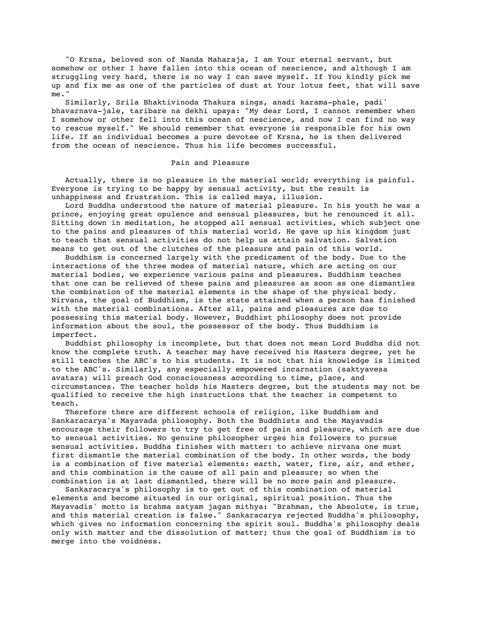"O Krsna, beloved son of Nanda Maharaja, I am Your eternal servant, but somehow or other I have fallen into this ocean of nescience, and although I am struggling very hard, there is no way I can save myself. If You kindly pick me up and fix me as one of the particles of dust at Your lotus feet, that will save me."

 Similarly, Srila Bhaktivinoda Thakura sings, anadi karama-phale, padi' bhavarnava-jale, taribare na dekhi upaya: "My dear Lord, I cannot remember when I somehow or other fell into this ocean of nescience, and now I can find no way to rescue myself." We should remember that everyone is responsible for his own life. If an individual becomes a pure devotee of Krsna, he is then delivered from the ocean of nescience. Thus his life becomes successful.

# Pain and Pleasure

 Actually, there is no pleasure in the material world; everything is painful. Everyone is trying to be happy by sensual activity, but the result is unhappiness and frustration. This is called maya, illusion.

 Lord Buddha understood the nature of material pleasure. In his youth he was a prince, enjoying great opulence and sensual pleasures, but he renounced it all. Sitting down in meditation, he stopped all sensual activities, which subject one to the pains and pleasures of this material world. He gave up his kingdom just to teach that sensual activities do not help us attain salvation. Salvation means to get out of the clutches of the pleasure and pain of this world.

 Buddhism is concerned largely with the predicament of the body. Due to the interactions of the three modes of material nature, which are acting on our material bodies, we experience various pains and pleasures. Buddhism teaches that one can be relieved of these pains and pleasures as soon as one dismantles the combination of the material elements in the shape of the physical body. Nirvana, the goal of Buddhism, is the state attained when a person has finished with the material combinations. After all, pains and pleasures are due to possessing this material body. However, Buddhist philosophy does not provide information about the soul, the possessor of the body. Thus Buddhism is imperfect.

 Buddhist philosophy is incomplete, but that does not mean Lord Buddha did not know the complete truth. A teacher may have received his Masters degree, yet he still teaches the ABC's to his students. It is not that his knowledge is limited to the ABC's. Similarly, any especially empowered incarnation (saktyavesa avatara) will preach God consciousness according to time, place, and circumstances. The teacher holds his Masters degree, but the students may not be qualified to receive the high instructions that the teacher is competent to teach.

 Therefore there are different schools of religion, like Buddhism and Sankaracarya's Mayavada philosophy. Both the Buddhists and the Mayavadis encourage their followers to try to get free of pain and pleasure, which are due to sensual activities. No genuine philosopher urges his followers to pursue sensual activities. Buddha finishes with matter: to achieve nirvana one must first dismantle the material combination of the body. In other words, the body is a combination of five material elements: earth, water, fire, air, and ether, and this combination is the cause of all pain and pleasure; so when the combination is at last dismantled, there will be no more pain and pleasure.

 Sankaracarya's philosophy is to get out of this combination of material elements and become situated in our original, spiritual position. Thus the Mayavadis' motto is brahma satyam jagan mithya: "Brahman, the Absolute, is true, and this material creation is false." Sankaracarya rejected Buddha's philosophy, which gives no information concerning the spirit soul. Buddha's philosophy deals only with matter and the dissolution of matter; thus the goal of Buddhism is to merge into the voidness.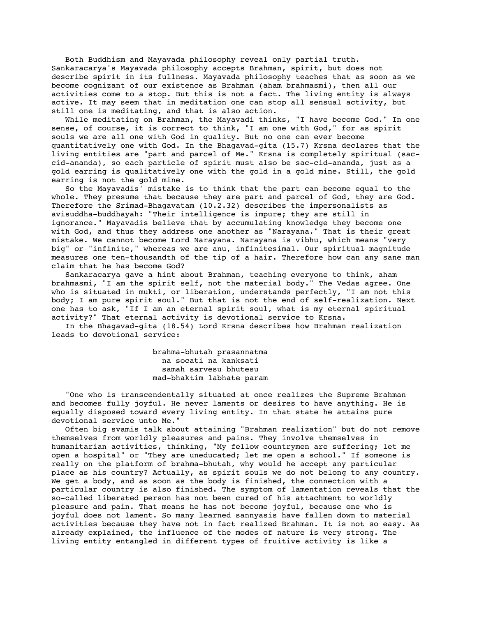Both Buddhism and Mayavada philosophy reveal only partial truth. Sankaracarya's Mayavada philosophy accepts Brahman, spirit, but does not describe spirit in its fullness. Mayavada philosophy teaches that as soon as we become cognizant of our existence as Brahman (aham brahmasmi), then all our activities come to a stop. But this is not a fact. The living entity is always active. It may seem that in meditation one can stop all sensual activity, but still one is meditating, and that is also action.

 While meditating on Brahman, the Mayavadi thinks, "I have become God." In one sense, of course, it is correct to think, "I am one with God," for as spirit souls we are all one with God in quality. But no one can ever become quantitatively one with God. In the Bhagavad-gita (15.7) Krsna declares that the living entities are "part and parcel of Me." Krsna is completely spiritual (saccid-ananda), so each particle of spirit must also be sac-cid-ananda, just as a gold earring is qualitatively one with the gold in a gold mine. Still, the gold earring is not the gold mine.

 So the Mayavadis' mistake is to think that the part can become equal to the whole. They presume that because they are part and parcel of God, they are God. Therefore the Srimad-Bhagavatam (10.2.32) describes the impersonalists as avisuddha-buddhayah: "Their intelligence is impure; they are still in ignorance." Mayavadis believe that by accumulating knowledge they become one with God, and thus they address one another as "Narayana." That is their great mistake. We cannot become Lord Narayana. Narayana is vibhu, which means "very big" or "infinite," whereas we are anu, infinitesimal. Our spiritual magnitude measures one ten-thousandth of the tip of a hair. Therefore how can any sane man claim that he has become God?

 Sankaracarya gave a hint about Brahman, teaching everyone to think, aham brahmasmi, "I am the spirit self, not the material body." The Vedas agree. One who is situated in mukti, or liberation, understands perfectly, "I am not this body; I am pure spirit soul." But that is not the end of self-realization. Next one has to ask, "If I am an eternal spirit soul, what is my eternal spiritual activity?" That eternal activity is devotional service to Krsna.

 In the Bhagavad-gita (18.54) Lord Krsna describes how Brahman realization leads to devotional service:

> brahma-bhutah prasannatma na socati na kanksati samah sarvesu bhutesu mad-bhaktim labhate param

 "One who is transcendentally situated at once realizes the Supreme Brahman and becomes fully joyful. He never laments or desires to have anything. He is equally disposed toward every living entity. In that state he attains pure devotional service unto Me."

 Often big svamis talk about attaining "Brahman realization" but do not remove themselves from worldly pleasures and pains. They involve themselves in humanitarian activities, thinking, "My fellow countrymen are suffering; let me open a hospital" or "They are uneducated; let me open a school." If someone is really on the platform of brahma-bhutah, why would he accept any particular place as his country? Actually, as spirit souls we do not belong to any country. We get a body, and as soon as the body is finished, the connection with a particular country is also finished. The symptom of lamentation reveals that the so-called liberated person has not been cured of his attachment to worldly pleasure and pain. That means he has not become joyful, because one who is joyful does not lament. So many learned sannyasis have fallen down to material activities because they have not in fact realized Brahman. It is not so easy. As already explained, the influence of the modes of nature is very strong. The living entity entangled in different types of fruitive activity is like a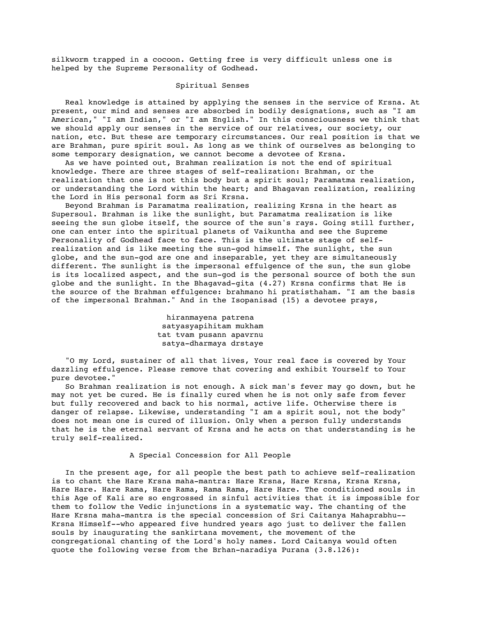silkworm trapped in a cocoon. Getting free is very difficult unless one is helped by the Supreme Personality of Godhead.

# Spiritual Senses

 Real knowledge is attained by applying the senses in the service of Krsna. At present, our mind and senses are absorbed in bodily designations, such as "I am American," "I am Indian," or "I am English." In this consciousness we think that we should apply our senses in the service of our relatives, our society, our nation, etc. But these are temporary circumstances. Our real position is that we are Brahman, pure spirit soul. As long as we think of ourselves as belonging to some temporary designation, we cannot become a devotee of Krsna.

 As we have pointed out, Brahman realization is not the end of spiritual knowledge. There are three stages of self-realization: Brahman, or the realization that one is not this body but a spirit soul; Paramatma realization, or understanding the Lord within the heart; and Bhagavan realization, realizing the Lord in His personal form as Sri Krsna.

 Beyond Brahman is Paramatma realization, realizing Krsna in the heart as Supersoul. Brahman is like the sunlight, but Paramatma realization is like seeing the sun globe itself, the source of the sun's rays. Going still further, one can enter into the spiritual planets of Vaikuntha and see the Supreme Personality of Godhead face to face. This is the ultimate stage of selfrealization and is like meeting the sun-god himself. The sunlight, the sun globe, and the sun-god are one and inseparable, yet they are simultaneously different. The sunlight is the impersonal effulgence of the sun, the sun globe is its localized aspect, and the sun-god is the personal source of both the sun globe and the sunlight. In the Bhagavad-gita (4.27) Krsna confirms that He is the source of the Brahman effulgence: brahmano hi pratisthaham. "I am the basis of the impersonal Brahman." And in the Isopanisad (15) a devotee prays,

> hiranmayena patrena satyasyapihitam mukham tat tvam pusann apavrnu satya-dharmaya drstaye

 "O my Lord, sustainer of all that lives, Your real face is covered by Your dazzling effulgence. Please remove that covering and exhibit Yourself to Your pure devotee."

 So Brahman realization is not enough. A sick man's fever may go down, but he may not yet be cured. He is finally cured when he is not only safe from fever but fully recovered and back to his normal, active life. Otherwise there is danger of relapse. Likewise, understanding "I am a spirit soul, not the body" does not mean one is cured of illusion. Only when a person fully understands that he is the eternal servant of Krsna and he acts on that understanding is he truly self-realized.

### A Special Concession for All People

 In the present age, for all people the best path to achieve self-realization is to chant the Hare Krsna maha-mantra: Hare Krsna, Hare Krsna, Krsna Krsna, Hare Hare. Hare Rama, Hare Rama, Rama Rama, Hare Hare. The conditioned souls in this Age of Kali are so engrossed in sinful activities that it is impossible for them to follow the Vedic injunctions in a systematic way. The chanting of the Hare Krsna maha-mantra is the special concession of Sri Caitanya Mahaprabhu-- Krsna Himself--who appeared five hundred years ago just to deliver the fallen souls by inaugurating the sankirtana movement, the movement of the congregational chanting of the Lord's holy names. Lord Caitanya would often quote the following verse from the Brhan-naradiya Purana (3.8.126):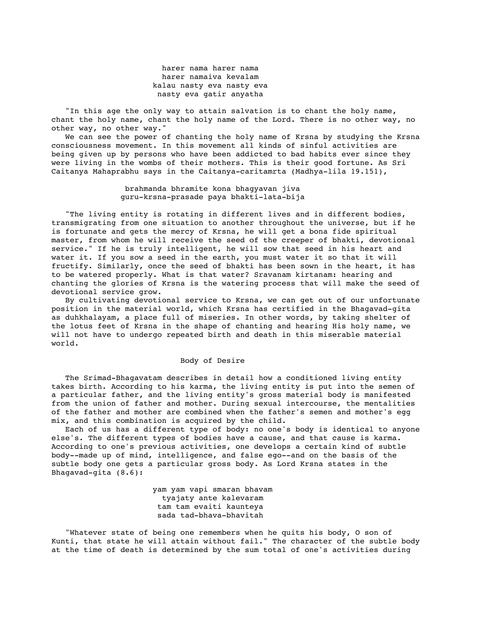harer nama harer nama harer namaiva kevalam kalau nasty eva nasty eva nasty eva gatir anyatha

 "In this age the only way to attain salvation is to chant the holy name, chant the holy name, chant the holy name of the Lord. There is no other way, no other way, no other way."

 We can see the power of chanting the holy name of Krsna by studying the Krsna consciousness movement. In this movement all kinds of sinful activities are being given up by persons who have been addicted to bad habits ever since they were living in the wombs of their mothers. This is their good fortune. As Sri Caitanya Mahaprabhu says in the Caitanya-caritamrta (Madhya-lila 19.151),

> brahmanda bhramite kona bhagyavan jiva guru-krsna-prasade paya bhakti-lata-bija

 "The living entity is rotating in different lives and in different bodies, transmigrating from one situation to another throughout the universe, but if he is fortunate and gets the mercy of Krsna, he will get a bona fide spiritual master, from whom he will receive the seed of the creeper of bhakti, devotional service." If he is truly intelligent, he will sow that seed in his heart and water it. If you sow a seed in the earth, you must water it so that it will fructify. Similarly, once the seed of bhakti has been sown in the heart, it has to be watered properly. What is that water? Sravanam kirtanam: hearing and chanting the glories of Krsna is the watering process that will make the seed of devotional service grow.

 By cultivating devotional service to Krsna, we can get out of our unfortunate position in the material world, which Krsna has certified in the Bhagavad-gita as duhkhalayam, a place full of miseries. In other words, by taking shelter of the lotus feet of Krsna in the shape of chanting and hearing His holy name, we will not have to undergo repeated birth and death in this miserable material world.

# Body of Desire

 The Srimad-Bhagavatam describes in detail how a conditioned living entity takes birth. According to his karma, the living entity is put into the semen of a particular father, and the living entity's gross material body is manifested from the union of father and mother. During sexual intercourse, the mentalities of the father and mother are combined when the father's semen and mother's egg mix, and this combination is acquired by the child.

 Each of us has a different type of body: no one's body is identical to anyone else's. The different types of bodies have a cause, and that cause is karma. According to one's previous activities, one develops a certain kind of subtle body--made up of mind, intelligence, and false ego--and on the basis of the subtle body one gets a particular gross body. As Lord Krsna states in the Bhagavad-gita (8.6):

> yam yam vapi smaran bhavam tyajaty ante kalevaram tam tam evaiti kaunteya sada tad-bhava-bhavitah

 "Whatever state of being one remembers when he quits his body, O son of Kunti, that state he will attain without fail." The character of the subtle body at the time of death is determined by the sum total of one's activities during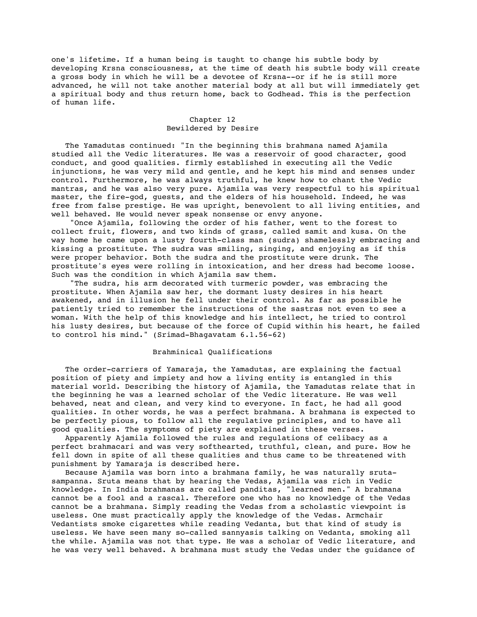one's lifetime. If a human being is taught to change his subtle body by developing Krsna consciousness, at the time of death his subtle body will create a gross body in which he will be a devotee of Krsna--or if he is still more advanced, he will not take another material body at all but will immediately get a spiritual body and thus return home, back to Godhead. This is the perfection of human life.

# Chapter 12 Bewildered by Desire

 The Yamadutas continued: "In the beginning this brahmana named Ajamila studied all the Vedic literatures. He was a reservoir of good character, good conduct, and good qualities. firmly established in executing all the Vedic injunctions, he was very mild and gentle, and he kept his mind and senses under control. Furthermore, he was always truthful, he knew how to chant the Vedic mantras, and he was also very pure. Ajamila was very respectful to his spiritual master, the fire-god, guests, and the elders of his household. Indeed, he was free from false prestige. He was upright, benevolent to all living entities, and well behaved. He would never speak nonsense or envy anyone.

 "Once Ajamila, following the order of his father, went to the forest to collect fruit, flowers, and two kinds of grass, called samit and kusa. On the way home he came upon a lusty fourth-class man (sudra) shamelessly embracing and kissing a prostitute. The sudra was smiling, singing, and enjoying as if this were proper behavior. Both the sudra and the prostitute were drunk. The prostitute's eyes were rolling in intoxication, and her dress had become loose. Such was the condition in which Ajamila saw them.

 "The sudra, his arm decorated with turmeric powder, was embracing the prostitute. When Ajamila saw her, the dormant lusty desires in his heart awakened, and in illusion he fell under their control. As far as possible he patiently tried to remember the instructions of the sastras not even to see a woman. With the help of this knowledge and his intellect, he tried to control his lusty desires, but because of the force of Cupid within his heart, he failed to control his mind." (Srimad-Bhagavatam 6.1.56-62)

# Brahminical Qualifications

 The order-carriers of Yamaraja, the Yamadutas, are explaining the factual position of piety and impiety and how a living entity is entangled in this material world. Describing the history of Ajamila, the Yamadutas relate that in the beginning he was a learned scholar of the Vedic literature. He was well behaved, neat and clean, and very kind to everyone. In fact, he had all good qualities. In other words, he was a perfect brahmana. A brahmana is expected to be perfectly pious, to follow all the regulative principles, and to have all good qualities. The symptoms of piety are explained in these verses.

 Apparently Ajamila followed the rules and regulations of celibacy as a perfect brahmacari and was very softhearted, truthful, clean, and pure. How he fell down in spite of all these qualities and thus came to be threatened with punishment by Yamaraja is described here.

 Because Ajamila was born into a brahmana family, he was naturally srutasampanna. Sruta means that by hearing the Vedas, Ajamila was rich in Vedic knowledge. In India brahmanas are called panditas, "learned men." A brahmana cannot be a fool and a rascal. Therefore one who has no knowledge of the Vedas cannot be a brahmana. Simply reading the Vedas from a scholastic viewpoint is useless. One must practically apply the knowledge of the Vedas. Armchair Vedantists smoke cigarettes while reading Vedanta, but that kind of study is useless. We have seen many so-called sannyasis talking on Vedanta, smoking all the while. Ajamila was not that type. He was a scholar of Vedic literature, and he was very well behaved. A brahmana must study the Vedas under the guidance of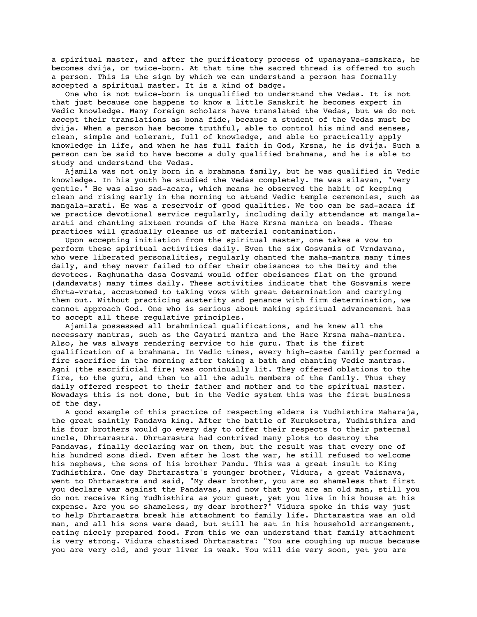a spiritual master, and after the purificatory process of upanayana-samskara, he becomes dvija, or twice-born. At that time the sacred thread is offered to such a person. This is the sign by which we can understand a person has formally accepted a spiritual master. It is a kind of badge.

 One who is not twice-born is unqualified to understand the Vedas. It is not that just because one happens to know a little Sanskrit he becomes expert in Vedic knowledge. Many foreign scholars have translated the Vedas, but we do not accept their translations as bona fide, because a student of the Vedas must be dvija. When a person has become truthful, able to control his mind and senses, clean, simple and tolerant, full of knowledge, and able to practically apply knowledge in life, and when he has full faith in God, Krsna, he is dvija. Such a person can be said to have become a duly qualified brahmana, and he is able to study and understand the Vedas.

 Ajamila was not only born in a brahmana family, but he was qualified in Vedic knowledge. In his youth he studied the Vedas completely. He was silavan, "very gentle." He was also sad-acara, which means he observed the habit of keeping clean and rising early in the morning to attend Vedic temple ceremonies, such as mangala-arati. He was a reservoir of good qualities. We too can be sad-acara if we practice devotional service regularly, including daily attendance at mangalaarati and chanting sixteen rounds of the Hare Krsna mantra on beads. These practices will gradually cleanse us of material contamination.

 Upon accepting initiation from the spiritual master, one takes a vow to perform these spiritual activities daily. Even the six Gosvamis of Vrndavana, who were liberated personalities, regularly chanted the maha-mantra many times daily, and they never failed to offer their obeisances to the Deity and the devotees. Raghunatha dasa Gosvami would offer obeisances flat on the ground (dandavats) many times daily. These activities indicate that the Gosvamis were dhrta-vrata, accustomed to taking vows with great determination and carrying them out. Without practicing austerity and penance with firm determination, we cannot approach God. One who is serious about making spiritual advancement has to accept all these regulative principles.

 Ajamila possessed all brahminical qualifications, and he knew all the necessary mantras, such as the Gayatri mantra and the Hare Krsna maha-mantra. Also, he was always rendering service to his guru. That is the first qualification of a brahmana. In Vedic times, every high-caste family performed a fire sacrifice in the morning after taking a bath and chanting Vedic mantras. Agni (the sacrificial fire) was continually lit. They offered oblations to the fire, to the guru, and then to all the adult members of the family. Thus they daily offered respect to their father and mother and to the spiritual master. Nowadays this is not done, but in the Vedic system this was the first business of the day.

 A good example of this practice of respecting elders is Yudhisthira Maharaja, the great saintly Pandava king. After the battle of Kuruksetra, Yudhisthira and his four brothers would go every day to offer their respects to their paternal uncle, Dhrtarastra. Dhrtarastra had contrived many plots to destroy the Pandavas, finally declaring war on them, but the result was that every one of his hundred sons died. Even after he lost the war, he still refused to welcome his nephews, the sons of his brother Pandu. This was a great insult to King Yudhisthira. One day Dhrtarastra's younger brother, Vidura, a great Vaisnava, went to Dhrtarastra and said, "My dear brother, you are so shameless that first you declare war against the Pandavas, and now that you are an old man, still you do not receive King Yudhisthira as your guest, yet you live in his house at his expense. Are you so shameless, my dear brother?" Vidura spoke in this way just to help Dhrtarastra break his attachment to family life. Dhrtarastra was an old man, and all his sons were dead, but still he sat in his household arrangement, eating nicely prepared food. From this we can understand that family attachment is very strong. Vidura chastised Dhrtarastra: "You are coughing up mucus because you are very old, and your liver is weak. You will die very soon, yet you are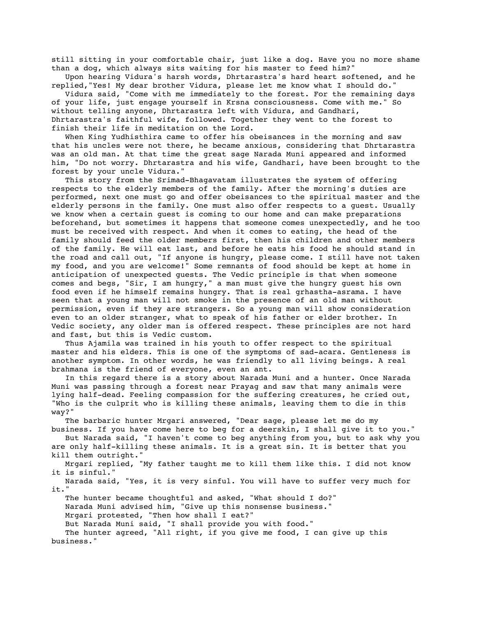still sitting in your comfortable chair, just like a dog. Have you no more shame than a dog, which always sits waiting for his master to feed him?"

 Upon hearing Vidura's harsh words, Dhrtarastra's hard heart softened, and he replied,"Yes! My dear brother Vidura, please let me know what I should do."

 Vidura said, "Come with me immediately to the forest. For the remaining days of your life, just engage yourself in Krsna consciousness. Come with me." So without telling anyone, Dhrtarastra left with Vidura, and Gandhari, Dhrtarastra's faithful wife, followed. Together they went to the forest to finish their life in meditation on the Lord.

 When King Yudhisthira came to offer his obeisances in the morning and saw that his uncles were not there, he became anxious, considering that Dhrtarastra was an old man. At that time the great sage Narada Muni appeared and informed him, "Do not worry. Dhrtarastra and his wife, Gandhari, have been brought to the forest by your uncle Vidura."

 This story from the Srimad-Bhagavatam illustrates the system of offering respects to the elderly members of the family. After the morning's duties are performed, next one must go and offer obeisances to the spiritual master and the elderly persons in the family. One must also offer respects to a guest. Usually we know when a certain guest is coming to our home and can make preparations beforehand, but sometimes it happens that someone comes unexpectedly, and he too must be received with respect. And when it comes to eating, the head of the family should feed the older members first, then his children and other members of the family. He will eat last, and before he eats his food he should stand in the road and call out, "If anyone is hungry, please come. I still have not taken my food, and you are welcome!" Some remnants of food should be kept at home in anticipation of unexpected guests. The Vedic principle is that when someone comes and begs, "Sir, I am hungry," a man must give the hungry guest his own food even if he himself remains hungry. That is real grhastha-asrama. I have seen that a young man will not smoke in the presence of an old man without permission, even if they are strangers. So a young man will show consideration even to an older stranger, what to speak of his father or elder brother. In Vedic society, any older man is offered respect. These principles are not hard and fast, but this is Vedic custom.

 Thus Ajamila was trained in his youth to offer respect to the spiritual master and his elders. This is one of the symptoms of sad-acara. Gentleness is another symptom. In other words, he was friendly to all living beings. A real brahmana is the friend of everyone, even an ant.

 In this regard there is a story about Narada Muni and a hunter. Once Narada Muni was passing through a forest near Prayag and saw that many animals were lying half-dead. Feeling compassion for the suffering creatures, he cried out, "Who is the culprit who is killing these animals, leaving them to die in this way?"

 The barbaric hunter Mrgari answered, "Dear sage, please let me do my business. If you have come here to beg for a deerskin, I shall give it to you."

 But Narada said, "I haven't come to beg anything from you, but to ask why you are only half-killing these animals. It is a great sin. It is better that you kill them outright."

 Mrgari replied, "My father taught me to kill them like this. I did not know it is sinful."

 Narada said, "Yes, it is very sinful. You will have to suffer very much for it."

 The hunter became thoughtful and asked, "What should I do?" Narada Muni advised him, "Give up this nonsense business." Mrgari protested, "Then how shall I eat?"

But Narada Muni said, "I shall provide you with food."

 The hunter agreed, "All right, if you give me food, I can give up this business."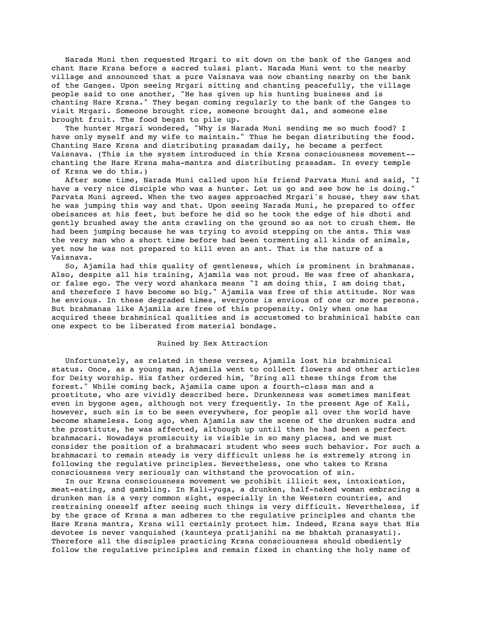Narada Muni then requested Mrgari to sit down on the bank of the Ganges and chant Hare Krsna before a sacred tulasi plant. Narada Muni went to the nearby village and announced that a pure Vaisnava was now chanting nearby on the bank of the Ganges. Upon seeing Mrgari sitting and chanting peacefully, the village people said to one another, "He has given up his hunting business and is chanting Hare Krsna." They began coming regularly to the bank of the Ganges to visit Mrgari. Someone brought rice, someone brought dal, and someone else brought fruit. The food began to pile up.

 The hunter Mrgari wondered, "Why is Narada Muni sending me so much food? I have only myself and my wife to maintain." Thus he began distributing the food. Chanting Hare Krsna and distributing prasadam daily, he became a perfect Vaisnava. (This is the system introduced in this Krsna consciousness movement- chanting the Hare Krsna maha-mantra and distributing prasadam. In every temple of Krsna we do this.)

 After some time, Narada Muni called upon his friend Parvata Muni and said, "I have a very nice disciple who was a hunter. Let us go and see how he is doing." Parvata Muni agreed. When the two sages approached Mrgari's house, they saw that he was jumping this way and that. Upon seeing Narada Muni, he prepared to offer obeisances at his feet, but before he did so he took the edge of his dhoti and gently brushed away the ants crawling on the ground so as not to crush them. He had been jumping because he was trying to avoid stepping on the ants. This was the very man who a short time before had been tormenting all kinds of animals, yet now he was not prepared to kill even an ant. That is the nature of a Vaisnava.

 So, Ajamila had this quality of gentleness, which is prominent in brahmanas. Also, despite all his training, Ajamila was not proud. He was free of ahankara, or false ego. The very word ahankara means "I am doing this, I am doing that, and therefore I have become so big." Ajamila was free of this attitude. Nor was he envious. In these degraded times, everyone is envious of one or more persons. But brahmanas like Ajamila are free of this propensity. Only when one has acquired these brahminical qualities and is accustomed to brahminical habits can one expect to be liberated from material bondage.

## Ruined by Sex Attraction

 Unfortunately, as related in these verses, Ajamila lost his brahminical status. Once, as a young man, Ajamila went to collect flowers and other articles for Deity worship. His father ordered him, "Bring all these things from the forest." While coming back, Ajamila came upon a fourth-class man and a prostitute, who are vividly described here. Drunkenness was sometimes manifest even in bygone ages, although not very frequently. In the present Age of Kali, however, such sin is to be seen everywhere, for people all over the world have become shameless. Long ago, when Ajamila saw the scene of the drunken sudra and the prostitute, he was affected, although up until then he had been a perfect brahmacari. Nowadays promiscuity is visible in so many places, and we must consider the position of a brahmacari student who sees such behavior. For such a brahmacari to remain steady is very difficult unless he is extremely strong in following the regulative principles. Nevertheless, one who takes to Krsna consciousness very seriously can withstand the provocation of sin.

 In our Krsna consciousness movement we prohibit illicit sex, intoxication, meat-eating, and gambling. In Kali-yuga, a drunken, half-naked woman embracing a drunken man is a very common sight, especially in the Western countries, and restraining oneself after seeing such things is very difficult. Nevertheless, if by the grace of Krsna a man adheres to the regulative principles and chants the Hare Krsna mantra, Krsna will certainly protect him. Indeed, Krsna says that His devotee is never vanquished (kaunteya pratijanihi na me bhaktah pranasyati). Therefore all the disciples practicing Krsna consciousness should obediently follow the regulative principles and remain fixed in chanting the holy name of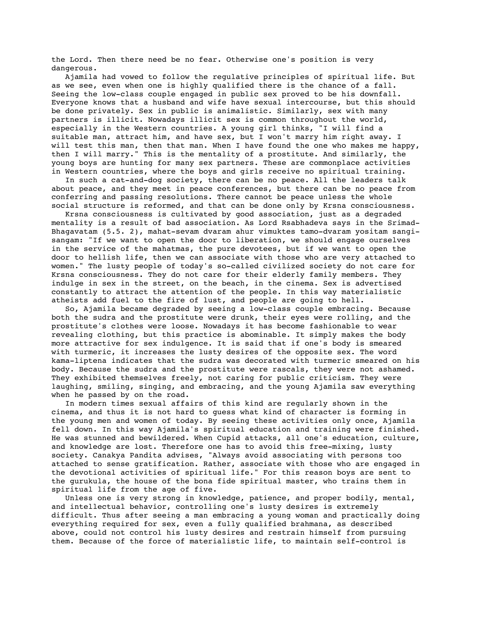the Lord. Then there need be no fear. Otherwise one's position is very dangerous.

 Ajamila had vowed to follow the regulative principles of spiritual life. But as we see, even when one is highly qualified there is the chance of a fall. Seeing the low-class couple engaged in public sex proved to be his downfall. Everyone knows that a husband and wife have sexual intercourse, but this should be done privately. Sex in public is animalistic. Similarly, sex with many partners is illicit. Nowadays illicit sex is common throughout the world, especially in the Western countries. A young girl thinks, "I will find a suitable man, attract him, and have sex, but I won't marry him right away. I will test this man, then that man. When I have found the one who makes me happy, then I will marry." This is the mentality of a prostitute. And similarly, the young boys are hunting for many sex partners. These are commonplace activities in Western countries, where the boys and girls receive no spiritual training.

 In such a cat-and-dog society, there can be no peace. All the leaders talk about peace, and they meet in peace conferences, but there can be no peace from conferring and passing resolutions. There cannot be peace unless the whole social structure is reformed, and that can be done only by Krsna consciousness.

 Krsna consciousness is cultivated by good association, just as a degraded mentality is a result of bad association. As Lord Rsabhadeva says in the Srimad-Bhagavatam (5.5. 2), mahat-sevam dvaram ahur vimuktes tamo-dvaram yositam sangisangam: "If we want to open the door to liberation, we should engage ourselves in the service of the mahatmas, the pure devotees, but if we want to open the door to hellish life, then we can associate with those who are very attached to women." The lusty people of today's so-called civilized society do not care for Krsna consciousness. They do not care for their elderly family members. They indulge in sex in the street, on the beach, in the cinema. Sex is advertised constantly to attract the attention of the people. In this way materialistic atheists add fuel to the fire of lust, and people are going to hell.

 So, Ajamila became degraded by seeing a low-class couple embracing. Because both the sudra and the prostitute were drunk, their eyes were rolling, and the prostitute's clothes were loose. Nowadays it has become fashionable to wear revealing clothing, but this practice is abominable. It simply makes the body more attractive for sex indulgence. It is said that if one's body is smeared with turmeric, it increases the lusty desires of the opposite sex. The word kama-liptena indicates that the sudra was decorated with turmeric smeared on his body. Because the sudra and the prostitute were rascals, they were not ashamed. They exhibited themselves freely, not caring for public criticism. They were laughing, smiling, singing, and embracing, and the young Ajamila saw everything when he passed by on the road.

 In modern times sexual affairs of this kind are regularly shown in the cinema, and thus it is not hard to guess what kind of character is forming in the young men and women of today. By seeing these activities only once, Ajamila fell down. In this way Ajamila's spiritual education and training were finished. He was stunned and bewildered. When Cupid attacks, all one's education, culture, and knowledge are lost. Therefore one has to avoid this free-mixing, lusty society. Canakya Pandita advises, "Always avoid associating with persons too attached to sense gratification. Rather, associate with those who are engaged in the devotional activities of spiritual life." For this reason boys are sent to the gurukula, the house of the bona fide spiritual master, who trains them in spiritual life from the age of five.

 Unless one is very strong in knowledge, patience, and proper bodily, mental, and intellectual behavior, controlling one's lusty desires is extremely difficult. Thus after seeing a man embracing a young woman and practically doing everything required for sex, even a fully qualified brahmana, as described above, could not control his lusty desires and restrain himself from pursuing them. Because of the force of materialistic life, to maintain self-control is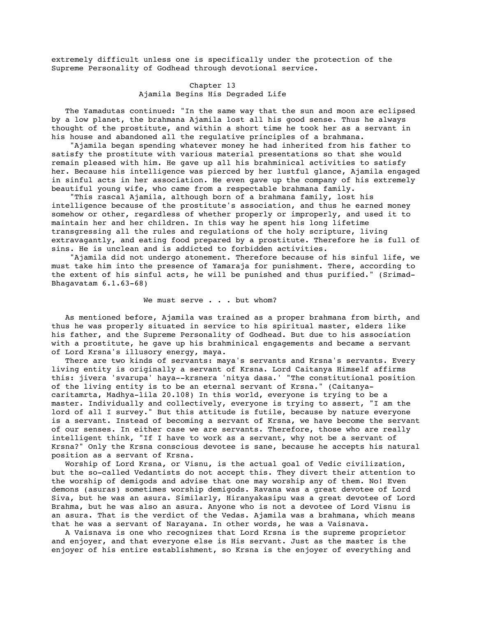extremely difficult unless one is specifically under the protection of the Supreme Personality of Godhead through devotional service.

# Chapter 13 Ajamila Begins His Degraded Life

 The Yamadutas continued: "In the same way that the sun and moon are eclipsed by a low planet, the brahmana Ajamila lost all his good sense. Thus he always thought of the prostitute, and within a short time he took her as a servant in his house and abandoned all the regulative principles of a brahmana.

 "Ajamila began spending whatever money he had inherited from his father to satisfy the prostitute with various material presentations so that she would remain pleased with him. He gave up all his brahminical activities to satisfy her. Because his intelligence was pierced by her lustful glance, Ajamila engaged in sinful acts in her association. He even gave up the company of his extremely beautiful young wife, who came from a respectable brahmana family.

 "This rascal Ajamila, although born of a brahmana family, lost his intelligence because of the prostitute's association, and thus he earned money somehow or other, regardless of whether properly or improperly, and used it to maintain her and her children. In this way he spent his long lifetime transgressing all the rules and regulations of the holy scripture, living extravagantly, and eating food prepared by a prostitute. Therefore he is full of sins. He is unclean and is addicted to forbidden activities.

 "Ajamila did not undergo atonement. Therefore because of his sinful life, we must take him into the presence of Yamaraja for punishment. There, according to the extent of his sinful acts, he will be punished and thus purified." (Srimad-Bhagavatam 6.1.63-68)

## We must serve . . . but whom?

 As mentioned before, Ajamila was trained as a proper brahmana from birth, and thus he was properly situated in service to his spiritual master, elders like his father, and the Supreme Personality of Godhead. But due to his association with a prostitute, he gave up his brahminical engagements and became a servant of Lord Krsna's illusory energy, maya.

There are two kinds of servants: maya's servants and Krsna's servants. Every living entity is originally a servant of Krsna. Lord Caitanya Himself affirms this: jivera 'svarupa' haya--krsnera 'nitya dasa.' "The constitutional position of the living entity is to be an eternal servant of Krsna." (Caitanyacaritamrta, Madhya-lila 20.108) In this world, everyone is trying to be a master. Individually and collectively, everyone is trying to assert, "I am the lord of all I survey." But this attitude is futile, because by nature everyone is a servant. Instead of becoming a servant of Krsna, we have become the servant of our senses. In either case we are servants. Therefore, those who are really intelligent think, "If I have to work as a servant, why not be a servant of Krsna?" Only the Krsna conscious devotee is sane, because he accepts his natural position as a servant of Krsna.

 Worship of Lord Krsna, or Visnu, is the actual goal of Vedic civilization, but the so-called Vedantists do not accept this. They divert their attention to the worship of demigods and advise that one may worship any of them. No! Even demons (asuras) sometimes worship demigods. Ravana was a great devotee of Lord Siva, but he was an asura. Similarly, Hiranyakasipu was a great devotee of Lord Brahma, but he was also an asura. Anyone who is not a devotee of Lord Visnu is an asura. That is the verdict of the Vedas. Ajamila was a brahmana, which means that he was a servant of Narayana. In other words, he was a Vaisnava.

 A Vaisnava is one who recognizes that Lord Krsna is the supreme proprietor and enjoyer, and that everyone else is His servant. Just as the master is the enjoyer of his entire establishment, so Krsna is the enjoyer of everything and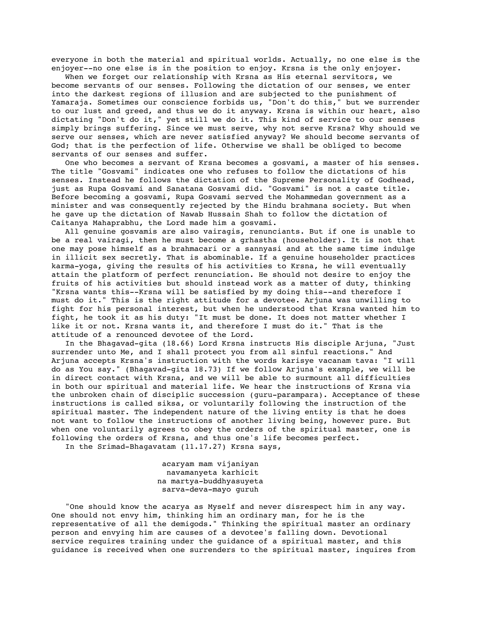everyone in both the material and spiritual worlds. Actually, no one else is the enjoyer--no one else is in the position to enjoy. Krsna is the only enjoyer.

 When we forget our relationship with Krsna as His eternal servitors, we become servants of our senses. Following the dictation of our senses, we enter into the darkest regions of illusion and are subjected to the punishment of Yamaraja. Sometimes our conscience forbids us, "Don't do this," but we surrender to our lust and greed, and thus we do it anyway. Krsna is within our heart, also dictating "Don't do it," yet still we do it. This kind of service to our senses simply brings suffering. Since we must serve, why not serve Krsna? Why should we serve our senses, which are never satisfied anyway? We should become servants of God; that is the perfection of life. Otherwise we shall be obliged to become servants of our senses and suffer.

 One who becomes a servant of Krsna becomes a gosvami, a master of his senses. The title "Gosvami" indicates one who refuses to follow the dictations of his senses. Instead he follows the dictation of the Supreme Personality of Godhead, just as Rupa Gosvami and Sanatana Gosvami did. "Gosvami" is not a caste title. Before becoming a gosvami, Rupa Gosvami served the Mohammedan government as a minister and was consequently rejected by the Hindu brahmana society. But when he gave up the dictation of Nawab Hussain Shah to follow the dictation of Caitanya Mahaprabhu, the Lord made him a gosvami.

 All genuine gosvamis are also vairagis, renunciants. But if one is unable to be a real vairagi, then he must become a grhastha (householder). It is not that one may pose himself as a brahmacari or a sannyasi and at the same time indulge in illicit sex secretly. That is abominable. If a genuine householder practices karma-yoga, giving the results of his activities to Krsna, he will eventually attain the platform of perfect renunciation. He should not desire to enjoy the fruits of his activities but should instead work as a matter of duty, thinking "Krsna wants this--Krsna will be satisfied by my doing this--and therefore I must do it." This is the right attitude for a devotee. Arjuna was unwilling to fight for his personal interest, but when he understood that Krsna wanted him to fight, he took it as his duty: "It must be done. It does not matter whether I like it or not. Krsna wants it, and therefore I must do it." That is the attitude of a renounced devotee of the Lord.

 In the Bhagavad-gita (18.66) Lord Krsna instructs His disciple Arjuna, "Just surrender unto Me, and I shall protect you from all sinful reactions." And Arjuna accepts Krsna's instruction with the words karisye vacanam tava: "I will do as You say." (Bhagavad-gita 18.73) If we follow Arjuna's example, we will be in direct contact with Krsna, and we will be able to surmount all difficulties in both our spiritual and material life. We hear the instructions of Krsna via the unbroken chain of disciplic succession (guru-parampara). Acceptance of these instructions is called siksa, or voluntarily following the instruction of the spiritual master. The independent nature of the living entity is that he does not want to follow the instructions of another living being, however pure. But when one voluntarily agrees to obey the orders of the spiritual master, one is following the orders of Krsna, and thus one's life becomes perfect.

In the Srimad-Bhagavatam (11.17.27) Krsna says,

 acaryam mam vijaniyan navamanyeta karhicit na martya-buddhyasuyeta sarva-deva-mayo guruh

 "One should know the acarya as Myself and never disrespect him in any way. One should not envy him, thinking him an ordinary man, for he is the representative of all the demigods." Thinking the spiritual master an ordinary person and envying him are causes of a devotee's falling down. Devotional service requires training under the guidance of a spiritual master, and this guidance is received when one surrenders to the spiritual master, inquires from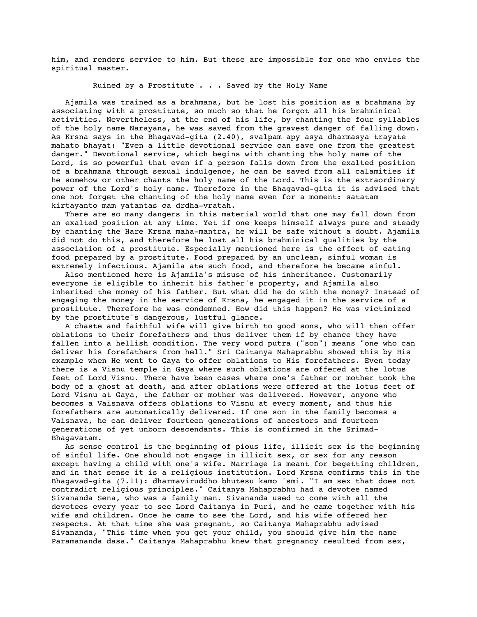him, and renders service to him. But these are impossible for one who envies the spiritual master.

Ruined by a Prostitute . . . Saved by the Holy Name

 Ajamila was trained as a brahmana, but he lost his position as a brahmana by associating with a prostitute, so much so that he forgot all his brahminical activities. Nevertheless, at the end of his life, by chanting the four syllables of the holy name Narayana, he was saved from the gravest danger of falling down. As Krsna says in the Bhagavad-gita (2.40), svalpam apy asya dharmasya trayate mahato bhayat: "Even a little devotional service can save one from the greatest danger." Devotional service, which begins with chanting the holy name of the Lord, is so powerful that even if a person falls down from the exalted position of a brahmana through sexual indulgence, he can be saved from all calamities if he somehow or other chants the holy name of the Lord. This is the extraordinary power of the Lord's holy name. Therefore in the Bhagavad-gita it is advised that one not forget the chanting of the holy name even for a moment: satatam kirtayanto mam yatantas ca drdha-vratah.

 There are so many dangers in this material world that one may fall down from an exalted position at any time. Yet if one keeps himself always pure and steady by chanting the Hare Krsna maha-mantra, he will be safe without a doubt. Ajamila did not do this, and therefore he lost all his brahminical qualities by the association of a prostitute. Especially mentioned here is the effect of eating food prepared by a prostitute. Food prepared by an unclean, sinful woman is extremely infectious. Ajamila ate such food, and therefore he became sinful.

 Also mentioned here is Ajamila's misuse of his inheritance. Customarily everyone is eligible to inherit his father's property, and Ajamila also inherited the money of his father. But what did he do with the money? Instead of engaging the money in the service of Krsna, he engaged it in the service of a prostitute. Therefore he was condemned. How did this happen? He was victimized by the prostitute's dangerous, lustful glance.

 A chaste and faithful wife will give birth to good sons, who will then offer oblations to their forefathers and thus deliver them if by chance they have fallen into a hellish condition. The very word putra ("son") means "one who can deliver his forefathers from hell." Sri Caitanya Mahaprabhu showed this by His example when He went to Gaya to offer oblations to His forefathers. Even today there is a Visnu temple in Gaya where such oblations are offered at the lotus feet of Lord Visnu. There have been cases where one's father or mother took the body of a ghost at death, and after oblations were offered at the lotus feet of Lord Visnu at Gaya, the father or mother was delivered. However, anyone who becomes a Vaisnava offers oblations to Visnu at every moment, and thus his forefathers are automatically delivered. If one son in the family becomes a Vaisnava, he can deliver fourteen generations of ancestors and fourteen generations of yet unborn descendants. This is confirmed in the Srimad-Bhagavatam.

 As sense control is the beginning of pious life, illicit sex is the beginning of sinful life. One should not engage in illicit sex, or sex for any reason except having a child with one's wife. Marriage is meant for begetting children, and in that sense it is a religious institution. Lord Krsna confirms this in the Bhagavad-gita (7.11): dharmaviruddho bhutesu kamo 'smi. "I am sex that does not contradict religious principles." Caitanya Mahaprabhu had a devotee named Sivananda Sena, who was a family man. Sivananda used to come with all the devotees every year to see Lord Caitanya in Puri, and he came together with his wife and children. Once he came to see the Lord, and his wife offered her respects. At that time she was pregnant, so Caitanya Mahaprabhu advised Sivananda, "This time when you get your child, you should give him the name Paramananda dasa." Caitanya Mahaprabhu knew that pregnancy resulted from sex,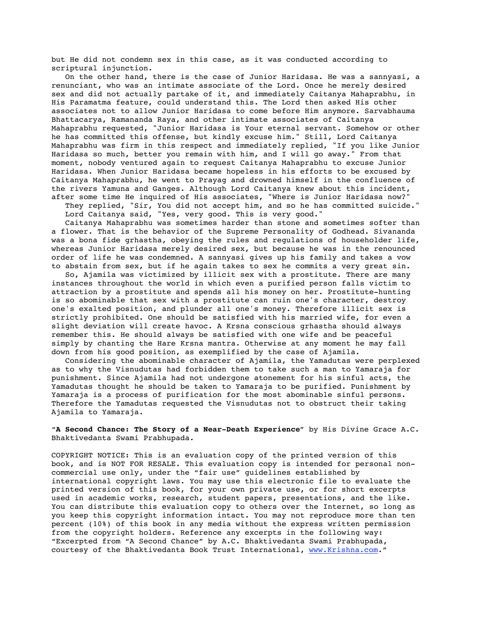but He did not condemn sex in this case, as it was conducted according to scriptural injunction.

 On the other hand, there is the case of Junior Haridasa. He was a sannyasi, a renunciant, who was an intimate associate of the Lord. Once he merely desired sex and did not actually partake of it, and immediately Caitanya Mahaprabhu, in His Paramatma feature, could understand this. The Lord then asked His other associates not to allow Junior Haridasa to come before Him anymore. Sarvabhauma Bhattacarya, Ramananda Raya, and other intimate associates of Caitanya Mahaprabhu requested, "Junior Haridasa is Your eternal servant. Somehow or other he has committed this offense, but kindly excuse him." Still, Lord Caitanya Mahaprabhu was firm in this respect and immediately replied, "If you like Junior Haridasa so much, better you remain with him, and I will go away." From that moment, nobody ventured again to request Caitanya Mahaprabhu to excuse Junior Haridasa. When Junior Haridasa became hopeless in his efforts to be excused by Caitanya Mahaprabhu, he went to Prayag and drowned himself in the confluence of the rivers Yamuna and Ganges. Although Lord Caitanya knew about this incident, after some time He inquired of His associates, "Where is Junior Haridasa now?"

 They replied, "Sir, You did not accept him, and so he has committed suicide." Lord Caitanya said, "Yes, very good. This is very good."

 Caitanya Mahaprabhu was sometimes harder than stone and sometimes softer than a flower. That is the behavior of the Supreme Personality of Godhead. Sivananda was a bona fide grhastha, obeying the rules and regulations of householder life, whereas Junior Haridasa merely desired sex, but because he was in the renounced order of life he was condemned. A sannyasi gives up his family and takes a vow to abstain from sex, but if he again takes to sex he commits a very great sin.

 So, Ajamila was victimized by illicit sex with a prostitute. There are many instances throughout the world in which even a purified person falls victim to attraction by a prostitute and spends all his money on her. Prostitute-hunting is so abominable that sex with a prostitute can ruin one's character, destroy one's exalted position, and plunder all one's money. Therefore illicit sex is strictly prohibited. One should be satisfied with his married wife, for even a slight deviation will create havoc. A Krsna conscious grhastha should always remember this. He should always be satisfied with one wife and be peaceful simply by chanting the Hare Krsna mantra. Otherwise at any moment he may fall down from his good position, as exemplified by the case of Ajamila.

 Considering the abominable character of Ajamila, the Yamadutas were perplexed as to why the Visnudutas had forbidden them to take such a man to Yamaraja for punishment. Since Ajamila had not undergone atonement for his sinful acts, the Yamadutas thought he should be taken to Yamaraja to be purified. Punishment by Yamaraja is a process of purification for the most abominable sinful persons. Therefore the Yamadutas requested the Visnudutas not to obstruct their taking Ajamila to Yamaraja.

"**A Second Chance: The Story of a Near-Death Experience**" by His Divine Grace A.C. Bhaktivedanta Swami Prabhupada.

COPYRIGHT NOTICE: This is an evaluation copy of the printed version of this book, and is NOT FOR RESALE. This evaluation copy is intended for personal noncommercial use only, under the "fair use" guidelines established by international copyright laws. You may use this electronic file to evaluate the printed version of this book, for your own private use, or for short excerpts used in academic works, research, student papers, presentations, and the like. You can distribute this evaluation copy to others over the Internet, so long as you keep this copyright information intact. You may not reproduce more than ten percent (10%) of this book in any media without the express written permission from the copyright holders. Reference any excerpts in the following way: "Excerpted from "A Second Chance" by A.C. Bhaktivedanta Swami Prabhupada, courtesy of the Bhaktivedanta Book Trust International, www.Krishna.com."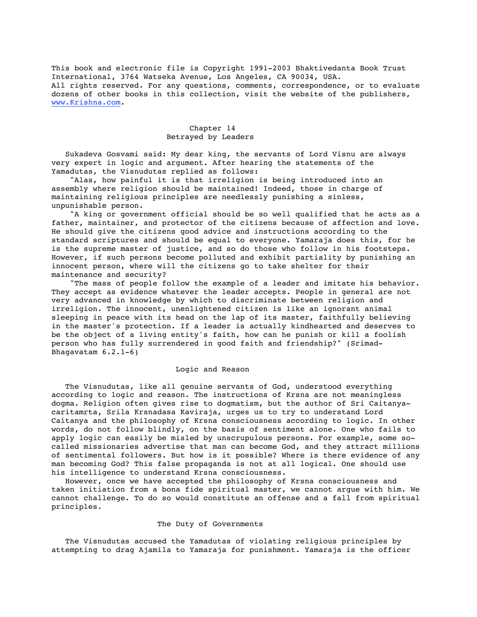This book and electronic file is Copyright 1991-2003 Bhaktivedanta Book Trust International, 3764 Watseka Avenue, Los Angeles, CA 90034, USA. All rights reserved. For any questions, comments, correspondence, or to evaluate dozens of other books in this collection, visit the website of the publishers, www.Krishna.com.

# Chapter 14 Betrayed by Leaders

 Sukadeva Gosvami said: My dear king, the servants of Lord Visnu are always very expert in logic and argument. After hearing the statements of the Yamadutas, the Visnudutas replied as follows:

 "Alas, how painful it is that irreligion is being introduced into an assembly where religion should be maintained! Indeed, those in charge of maintaining religious principles are needlessly punishing a sinless, unpunishable person.

 "A king or government official should be so well qualified that he acts as a father, maintainer, and protector of the citizens because of affection and love. He should give the citizens good advice and instructions according to the standard scriptures and should be equal to everyone. Yamaraja does this, for he is the supreme master of justice, and so do those who follow in his footsteps. However, if such persons become polluted and exhibit partiality by punishing an innocent person, where will the citizens go to take shelter for their maintenance and security?

 "The mass of people follow the example of a leader and imitate his behavior. They accept as evidence whatever the leader accepts. People in general are not very advanced in knowledge by which to discriminate between religion and irreligion. The innocent, unenlightened citizen is like an ignorant animal sleeping in peace with its head on the lap of its master, faithfully believing in the master's protection. If a leader is actually kindhearted and deserves to be the object of a living entity's faith, how can he punish or kill a foolish person who has fully surrendered in good faith and friendship?" (Srimad-Bhagavatam 6.2.1-6)

## Logic and Reason

 The Visnudutas, like all genuine servants of God, understood everything according to logic and reason. The instructions of Krsna are not meaningless dogma. Religion often gives rise to dogmatism, but the author of Sri Caitanyacaritamrta, Srila Krsnadasa Kaviraja, urges us to try to understand Lord Caitanya and the philosophy of Krsna consciousness according to logic. In other words, do not follow blindly, on the basis of sentiment alone. One who fails to apply logic can easily be misled by unscrupulous persons. For example, some socalled missionaries advertise that man can become God, and they attract millions of sentimental followers. But how is it possible? Where is there evidence of any man becoming God? This false propaganda is not at all logical. One should use his intelligence to understand Krsna consciousness.

 However, once we have accepted the philosophy of Krsna consciousness and taken initiation from a bona fide spiritual master, we cannot argue with him. We cannot challenge. To do so would constitute an offense and a fall from spiritual principles.

#### The Duty of Governments

 The Visnudutas accused the Yamadutas of violating religious principles by attempting to drag Ajamila to Yamaraja for punishment. Yamaraja is the officer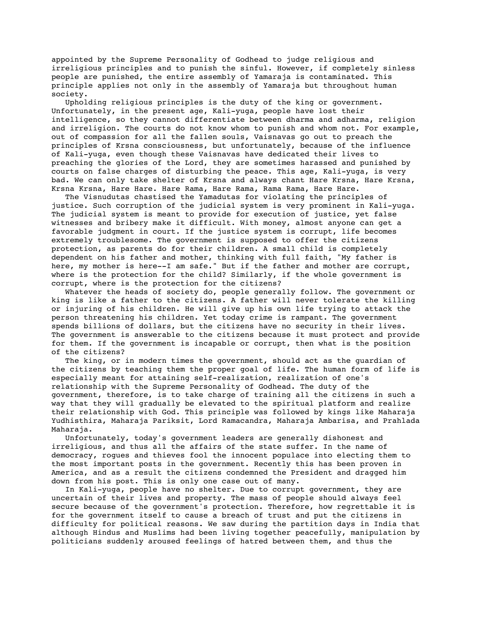appointed by the Supreme Personality of Godhead to judge religious and irreligious principles and to punish the sinful. However, if completely sinless people are punished, the entire assembly of Yamaraja is contaminated. This principle applies not only in the assembly of Yamaraja but throughout human society.

 Upholding religious principles is the duty of the king or government. Unfortunately, in the present age, Kali-yuga, people have lost their intelligence, so they cannot differentiate between dharma and adharma, religion and irreligion. The courts do not know whom to punish and whom not. For example, out of compassion for all the fallen souls, Vaisnavas go out to preach the principles of Krsna consciousness, but unfortunately, because of the influence of Kali-yuga, even though these Vaisnavas have dedicated their lives to preaching the glories of the Lord, they are sometimes harassed and punished by courts on false charges of disturbing the peace. This age, Kali-yuga, is very bad. We can only take shelter of Krsna and always chant Hare Krsna, Hare Krsna, Krsna Krsna, Hare Hare. Hare Rama, Hare Rama, Rama Rama, Hare Hare.

 The Visnudutas chastised the Yamadutas for violating the principles of justice. Such corruption of the judicial system is very prominent in Kali-yuga. The judicial system is meant to provide for execution of justice, yet false witnesses and bribery make it difficult. With money, almost anyone can get a favorable judgment in court. If the justice system is corrupt, life becomes extremely troublesome. The government is supposed to offer the citizens protection, as parents do for their children. A small child is completely dependent on his father and mother, thinking with full faith, "My father is here, my mother is here--I am safe." But if the father and mother are corrupt, where is the protection for the child? Similarly, if the whole government is corrupt, where is the protection for the citizens?

 Whatever the heads of society do, people generally follow. The government or king is like a father to the citizens. A father will never tolerate the killing or injuring of his children. He will give up his own life trying to attack the person threatening his children. Yet today crime is rampant. The government spends billions of dollars, but the citizens have no security in their lives. The government is answerable to the citizens because it must protect and provide for them. If the government is incapable or corrupt, then what is the position of the citizens?

 The king, or in modern times the government, should act as the guardian of the citizens by teaching them the proper goal of life. The human form of life is especially meant for attaining self-realization, realization of one's relationship with the Supreme Personality of Godhead. The duty of the government, therefore, is to take charge of training all the citizens in such a way that they will gradually be elevated to the spiritual platform and realize their relationship with God. This principle was followed by kings like Maharaja Yudhisthira, Maharaja Pariksit, Lord Ramacandra, Maharaja Ambarisa, and Prahlada Maharaja.

 Unfortunately, today's government leaders are generally dishonest and irreligious, and thus all the affairs of the state suffer. In the name of democracy, rogues and thieves fool the innocent populace into electing them to the most important posts in the government. Recently this has been proven in America, and as a result the citizens condemned the President and dragged him down from his post. This is only one case out of many.

 In Kali-yuga, people have no shelter. Due to corrupt government, they are uncertain of their lives and property. The mass of people should always feel secure because of the government's protection. Therefore, how regrettable it is for the government itself to cause a breach of trust and put the citizens in difficulty for political reasons. We saw during the partition days in India that although Hindus and Muslims had been living together peacefully, manipulation by politicians suddenly aroused feelings of hatred between them, and thus the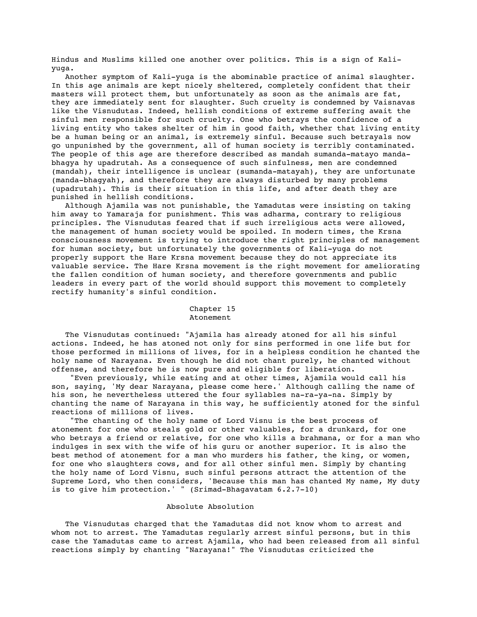Hindus and Muslims killed one another over politics. This is a sign of Kaliyuga.

 Another symptom of Kali-yuga is the abominable practice of animal slaughter. In this age animals are kept nicely sheltered, completely confident that their masters will protect them, but unfortunately as soon as the animals are fat, they are immediately sent for slaughter. Such cruelty is condemned by Vaisnavas like the Visnudutas. Indeed, hellish conditions of extreme suffering await the sinful men responsible for such cruelty. One who betrays the confidence of a living entity who takes shelter of him in good faith, whether that living entity be a human being or an animal, is extremely sinful. Because such betrayals now go unpunished by the government, all of human society is terribly contaminated. The people of this age are therefore described as mandah sumanda-matayo mandabhagya hy upadrutah. As a consequence of such sinfulness, men are condemned (mandah), their intelligence is unclear (sumanda-matayah), they are unfortunate (manda-bhagyah), and therefore they are always disturbed by many problems (upadrutah). This is their situation in this life, and after death they are punished in hellish conditions.

 Although Ajamila was not punishable, the Yamadutas were insisting on taking him away to Yamaraja for punishment. This was adharma, contrary to religious principles. The Visnudutas feared that if such irreligious acts were allowed, the management of human society would be spoiled. In modern times, the Krsna consciousness movement is trying to introduce the right principles of management for human society, but unfortunately the governments of Kali-yuga do not properly support the Hare Krsna movement because they do not appreciate its valuable service. The Hare Krsna movement is the right movement for ameliorating the fallen condition of human society, and therefore governments and public leaders in every part of the world should support this movement to completely rectify humanity's sinful condition.

# Chapter 15 Atonement

 The Visnudutas continued: "Ajamila has already atoned for all his sinful actions. Indeed, he has atoned not only for sins performed in one life but for those performed in millions of lives, for in a helpless condition he chanted the holy name of Narayana. Even though he did not chant purely, he chanted without offense, and therefore he is now pure and eligible for liberation.

 "Even previously, while eating and at other times, Ajamila would call his son, saying, 'My dear Narayana, please come here.' Although calling the name of his son, he nevertheless uttered the four syllables na-ra-ya-na. Simply by chanting the name of Narayana in this way, he sufficiently atoned for the sinful reactions of millions of lives.

 "The chanting of the holy name of Lord Visnu is the best process of atonement for one who steals gold or other valuables, for a drunkard, for one who betrays a friend or relative, for one who kills a brahmana, or for a man who indulges in sex with the wife of his guru or another superior. It is also the best method of atonement for a man who murders his father, the king, or women, for one who slaughters cows, and for all other sinful men. Simply by chanting the holy name of Lord Visnu, such sinful persons attract the attention of the Supreme Lord, who then considers, 'Because this man has chanted My name, My duty is to give him protection.' " (Srimad-Bhagavatam 6.2.7-10)

## Absolute Absolution

 The Visnudutas charged that the Yamadutas did not know whom to arrest and whom not to arrest. The Yamadutas regularly arrest sinful persons, but in this case the Yamadutas came to arrest Ajamila, who had been released from all sinful reactions simply by chanting "Narayana!" The Visnudutas criticized the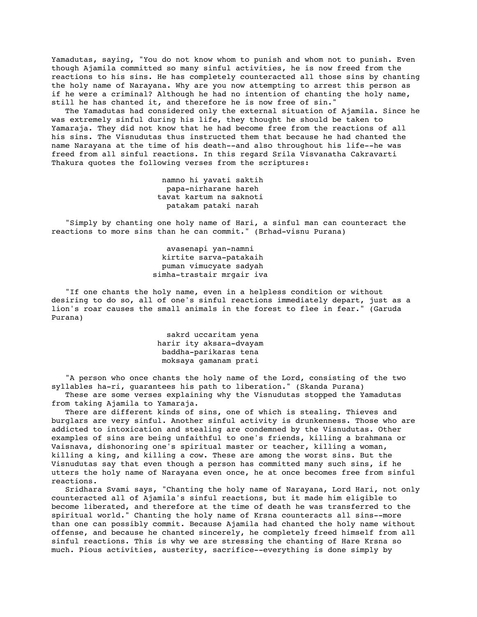Yamadutas, saying, "You do not know whom to punish and whom not to punish. Even though Ajamila committed so many sinful activities, he is now freed from the reactions to his sins. He has completely counteracted all those sins by chanting the holy name of Narayana. Why are you now attempting to arrest this person as if he were a criminal? Although he had no intention of chanting the holy name, still he has chanted it, and therefore he is now free of sin."

 The Yamadutas had considered only the external situation of Ajamila. Since he was extremely sinful during his life, they thought he should be taken to Yamaraja. They did not know that he had become free from the reactions of all his sins. The Visnudutas thus instructed them that because he had chanted the name Narayana at the time of his death--and also throughout his life--he was freed from all sinful reactions. In this regard Srila Visvanatha Cakravarti Thakura quotes the following verses from the scriptures:

> namno hi yavati saktih papa-nirharane hareh tavat kartum na saknoti patakam pataki narah

 "Simply by chanting one holy name of Hari, a sinful man can counteract the reactions to more sins than he can commit." (Brhad-visnu Purana)

> avasenapi yan-namni kirtite sarva-patakaih puman vimucyate sadyah simha-trastair mrgair iva

 "If one chants the holy name, even in a helpless condition or without desiring to do so, all of one's sinful reactions immediately depart, just as a lion's roar causes the small animals in the forest to flee in fear." (Garuda Purana)

> sakrd uccaritam yena harir ity aksara-dvayam baddha-parikaras tena moksaya gamanam prati

 "A person who once chants the holy name of the Lord, consisting of the two syllables ha-ri, guarantees his path to liberation." (Skanda Purana)

 These are some verses explaining why the Visnudutas stopped the Yamadutas from taking Ajamila to Yamaraja.

 There are different kinds of sins, one of which is stealing. Thieves and burglars are very sinful. Another sinful activity is drunkenness. Those who are addicted to intoxication and stealing are condemned by the Visnudutas. Other examples of sins are being unfaithful to one's friends, killing a brahmana or Vaisnava, dishonoring one's spiritual master or teacher, killing a woman, killing a king, and killing a cow. These are among the worst sins. But the Visnudutas say that even though a person has committed many such sins, if he utters the holy name of Narayana even once, he at once becomes free from sinful reactions.

 Sridhara Svami says, "Chanting the holy name of Narayana, Lord Hari, not only counteracted all of Ajamila's sinful reactions, but it made him eligible to become liberated, and therefore at the time of death he was transferred to the spiritual world." Chanting the holy name of Krsna counteracts all sins--more than one can possibly commit. Because Ajamila had chanted the holy name without offense, and because he chanted sincerely, he completely freed himself from all sinful reactions. This is why we are stressing the chanting of Hare Krsna so much. Pious activities, austerity, sacrifice--everything is done simply by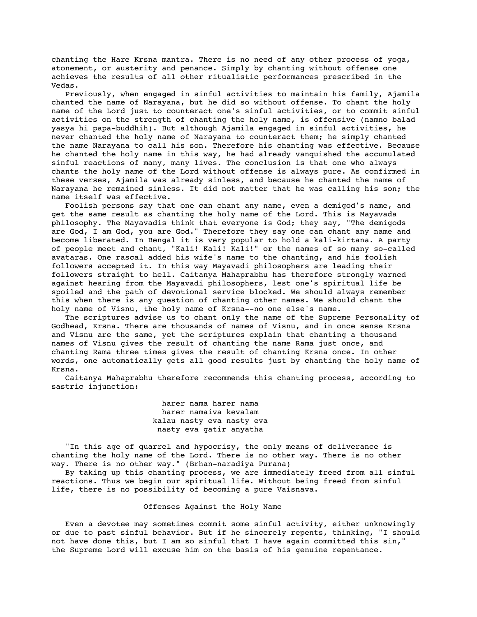chanting the Hare Krsna mantra. There is no need of any other process of yoga, atonement, or austerity and penance. Simply by chanting without offense one achieves the results of all other ritualistic performances prescribed in the Vedas.

 Previously, when engaged in sinful activities to maintain his family, Ajamila chanted the name of Narayana, but he did so without offense. To chant the holy name of the Lord just to counteract one's sinful activities, or to commit sinful activities on the strength of chanting the holy name, is offensive (namno balad yasya hi papa-buddhih). But although Ajamila engaged in sinful activities, he never chanted the holy name of Narayana to counteract them; he simply chanted the name Narayana to call his son. Therefore his chanting was effective. Because he chanted the holy name in this way, he had already vanquished the accumulated sinful reactions of many, many lives. The conclusion is that one who always chants the holy name of the Lord without offense is always pure. As confirmed in these verses, Ajamila was already sinless, and because he chanted the name of Narayana he remained sinless. It did not matter that he was calling his son; the name itself was effective.

 Foolish persons say that one can chant any name, even a demigod's name, and get the same result as chanting the holy name of the Lord. This is Mayavada philosophy. The Mayavadis think that everyone is God; they say, "The demigods are God, I am God, you are God." Therefore they say one can chant any name and become liberated. In Bengal it is very popular to hold a kali-kirtana. A party of people meet and chant, "Kali! Kali! Kali!" or the names of so many so-called avataras. One rascal added his wife's name to the chanting, and his foolish followers accepted it. In this way Mayavadi philosophers are leading their followers straight to hell. Caitanya Mahaprabhu has therefore strongly warned against hearing from the Mayavadi philosophers, lest one's spiritual life be spoiled and the path of devotional service blocked. We should always remember this when there is any question of chanting other names. We should chant the holy name of Visnu, the holy name of Krsna--no one else's name.

 The scriptures advise us to chant only the name of the Supreme Personality of Godhead, Krsna. There are thousands of names of Visnu, and in once sense Krsna and Visnu are the same, yet the scriptures explain that chanting a thousand names of Visnu gives the result of chanting the name Rama just once, and chanting Rama three times gives the result of chanting Krsna once. In other words, one automatically gets all good results just by chanting the holy name of Krsna.

 Caitanya Mahaprabhu therefore recommends this chanting process, according to sastric injunction:

> harer nama harer nama harer namaiva kevalam kalau nasty eva nasty eva nasty eva gatir anyatha

 "In this age of quarrel and hypocrisy, the only means of deliverance is chanting the holy name of the Lord. There is no other way. There is no other way. There is no other way." (Brhan-naradiya Purana)

 By taking up this chanting process, we are immediately freed from all sinful reactions. Thus we begin our spiritual life. Without being freed from sinful life, there is no possibility of becoming a pure Vaisnava.

## Offenses Against the Holy Name

 Even a devotee may sometimes commit some sinful activity, either unknowingly or due to past sinful behavior. But if he sincerely repents, thinking, "I should not have done this, but I am so sinful that I have again committed this sin," the Supreme Lord will excuse him on the basis of his genuine repentance.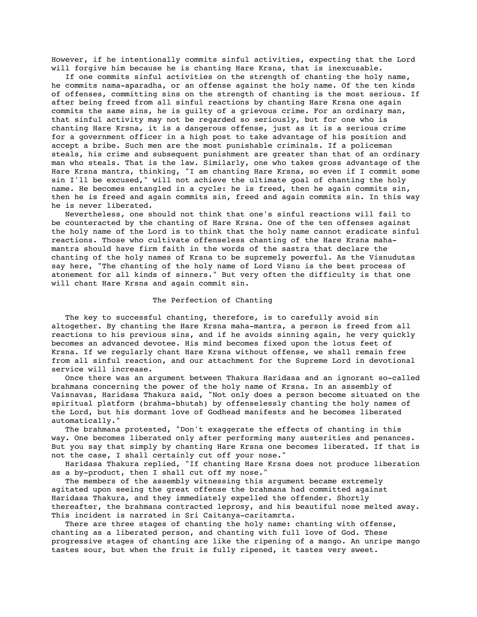However, if he intentionally commits sinful activities, expecting that the Lord will forgive him because he is chanting Hare Krsna, that is inexcusable.

 If one commits sinful activities on the strength of chanting the holy name, he commits nama-aparadha, or an offense against the holy name. Of the ten kinds of offenses, committing sins on the strength of chanting is the most serious. If after being freed from all sinful reactions by chanting Hare Krsna one again commits the same sins, he is guilty of a grievous crime. For an ordinary man, that sinful activity may not be regarded so seriously, but for one who is chanting Hare Krsna, it is a dangerous offense, just as it is a serious crime for a government officer in a high post to take advantage of his position and accept a bribe. Such men are the most punishable criminals. If a policeman steals, his crime and subsequent punishment are greater than that of an ordinary man who steals. That is the law. Similarly, one who takes gross advantage of the Hare Krsna mantra, thinking, "I am chanting Hare Krsna, so even if I commit some sin I'll be excused," will not achieve the ultimate goal of chanting the holy name. He becomes entangled in a cycle: he is freed, then he again commits sin, then he is freed and again commits sin, freed and again commits sin. In this way he is never liberated.

 Nevertheless, one should not think that one's sinful reactions will fail to be counteracted by the chanting of Hare Krsna. One of the ten offenses against the holy name of the Lord is to think that the holy name cannot eradicate sinful reactions. Those who cultivate offenseless chanting of the Hare Krsna mahamantra should have firm faith in the words of the sastra that declare the chanting of the holy names of Krsna to be supremely powerful. As the Visnudutas say here, "The chanting of the holy name of Lord Visnu is the best process of atonement for all kinds of sinners." But very often the difficulty is that one will chant Hare Krsna and again commit sin.

## The Perfection of Chanting

The key to successful chanting, therefore, is to carefully avoid sin altogether. By chanting the Hare Krsna maha-mantra, a person is freed from all reactions to his previous sins, and if he avoids sinning again, he very quickly becomes an advanced devotee. His mind becomes fixed upon the lotus feet of Krsna. If we regularly chant Hare Krsna without offense, we shall remain free from all sinful reaction, and our attachment for the Supreme Lord in devotional service will increase.

 Once there was an argument between Thakura Haridasa and an ignorant so-called brahmana concerning the power of the holy name of Krsna. In an assembly of Vaisnavas, Haridasa Thakura said, "Not only does a person become situated on the spiritual platform (brahma-bhutah) by offenselessly chanting the holy names of the Lord, but his dormant love of Godhead manifests and he becomes liberated automatically."

 The brahmana protested, "Don't exaggerate the effects of chanting in this way. One becomes liberated only after performing many austerities and penances. But you say that simply by chanting Hare Krsna one becomes liberated. If that is not the case, I shall certainly cut off your nose."

 Haridasa Thakura replied, "If chanting Hare Krsna does not produce liberation as a by-product, then I shall cut off my nose."

 The members of the assembly witnessing this argument became extremely agitated upon seeing the great offense the brahmana had committed against Haridasa Thakura, and they immediately expelled the offender. Shortly thereafter, the brahmana contracted leprosy, and his beautiful nose melted away. This incident is narrated in Sri Caitanya-caritamrta.

There are three stages of chanting the holy name: chanting with offense, chanting as a liberated person, and chanting with full love of God. These progressive stages of chanting are like the ripening of a mango. An unripe mango tastes sour, but when the fruit is fully ripened, it tastes very sweet.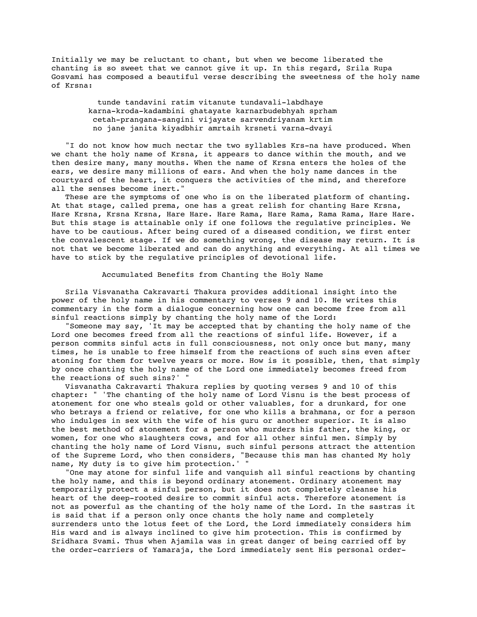Initially we may be reluctant to chant, but when we become liberated the chanting is so sweet that we cannot give it up. In this regard, Srila Rupa Gosvami has composed a beautiful verse describing the sweetness of the holy name of Krsna:

 tunde tandavini ratim vitanute tundavali-labdhaye karna-kroda-kadambini ghatayate karnarbudebhyah sprham cetah-prangana-sangini vijayate sarvendriyanam krtim no jane janita kiyadbhir amrtaih krsneti varna-dvayi

 "I do not know how much nectar the two syllables Krs-na have produced. When we chant the holy name of Krsna, it appears to dance within the mouth, and we then desire many, many mouths. When the name of Krsna enters the holes of the ears, we desire many millions of ears. And when the holy name dances in the courtyard of the heart, it conquers the activities of the mind, and therefore all the senses become inert."

 These are the symptoms of one who is on the liberated platform of chanting. At that stage, called prema, one has a great relish for chanting Hare Krsna, Hare Krsna, Krsna Krsna, Hare Hare. Hare Rama, Hare Rama, Rama Rama, Hare Hare. But this stage is attainable only if one follows the regulative principles. We have to be cautious. After being cured of a diseased condition, we first enter the convalescent stage. If we do something wrong, the disease may return. It is not that we become liberated and can do anything and everything. At all times we have to stick by the regulative principles of devotional life.

## Accumulated Benefits from Chanting the Holy Name

 Srila Visvanatha Cakravarti Thakura provides additional insight into the power of the holy name in his commentary to verses 9 and 10. He writes this commentary in the form a dialogue concerning how one can become free from all sinful reactions simply by chanting the holy name of the Lord:

 "Someone may say, 'It may be accepted that by chanting the holy name of the Lord one becomes freed from all the reactions of sinful life. However, if a person commits sinful acts in full consciousness, not only once but many, many times, he is unable to free himself from the reactions of such sins even after atoning for them for twelve years or more. How is it possible, then, that simply by once chanting the holy name of the Lord one immediately becomes freed from the reactions of such sins?' "

 Visvanatha Cakravarti Thakura replies by quoting verses 9 and 10 of this chapter: " 'The chanting of the holy name of Lord Visnu is the best process of atonement for one who steals gold or other valuables, for a drunkard, for one who betrays a friend or relative, for one who kills a brahmana, or for a person who indulges in sex with the wife of his guru or another superior. It is also the best method of atonement for a person who murders his father, the king, or women, for one who slaughters cows, and for all other sinful men. Simply by chanting the holy name of Lord Visnu, such sinful persons attract the attention of the Supreme Lord, who then considers, "Because this man has chanted My holy name, My duty is to give him protection.' "

 "One may atone for sinful life and vanquish all sinful reactions by chanting the holy name, and this is beyond ordinary atonement. Ordinary atonement may temporarily protect a sinful person, but it does not completely cleanse his heart of the deep-rooted desire to commit sinful acts. Therefore atonement is not as powerful as the chanting of the holy name of the Lord. In the sastras it is said that if a person only once chants the holy name and completely surrenders unto the lotus feet of the Lord, the Lord immediately considers him His ward and is always inclined to give him protection. This is confirmed by Sridhara Svami. Thus when Ajamila was in great danger of being carried off by the order-carriers of Yamaraja, the Lord immediately sent His personal order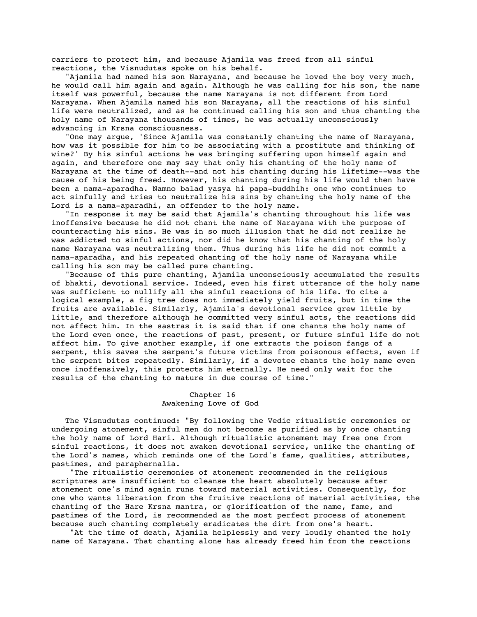carriers to protect him, and because Ajamila was freed from all sinful reactions, the Visnudutas spoke on his behalf.

 "Ajamila had named his son Narayana, and because he loved the boy very much, he would call him again and again. Although he was calling for his son, the name itself was powerful, because the name Narayana is not different from Lord Narayana. When Ajamila named his son Narayana, all the reactions of his sinful life were neutralized, and as he continued calling his son and thus chanting the holy name of Narayana thousands of times, he was actually unconsciously advancing in Krsna consciousness.

 "One may argue, 'Since Ajamila was constantly chanting the name of Narayana, how was it possible for him to be associating with a prostitute and thinking of wine?' By his sinful actions he was bringing suffering upon himself again and again, and therefore one may say that only his chanting of the holy name of Narayana at the time of death--and not his chanting during his lifetime--was the cause of his being freed. However, his chanting during his life would then have been a nama-aparadha. Namno balad yasya hi papa-buddhih: one who continues to act sinfully and tries to neutralize his sins by chanting the holy name of the Lord is a nama-aparadhi, an offender to the holy name.

 "In response it may be said that Ajamila's chanting throughout his life was inoffensive because he did not chant the name of Narayana with the purpose of counteracting his sins. He was in so much illusion that he did not realize he was addicted to sinful actions, nor did he know that his chanting of the holy name Narayana was neutralizing them. Thus during his life he did not commit a nama-aparadha, and his repeated chanting of the holy name of Narayana while calling his son may be called pure chanting.

 "Because of this pure chanting, Ajamila unconsciously accumulated the results of bhakti, devotional service. Indeed, even his first utterance of the holy name was sufficient to nullify all the sinful reactions of his life. To cite a logical example, a fig tree does not immediately yield fruits, but in time the fruits are available. Similarly, Ajamila's devotional service grew little by little, and therefore although he committed very sinful acts, the reactions did not affect him. In the sastras it is said that if one chants the holy name of the Lord even once, the reactions of past, present, or future sinful life do not affect him. To give another example, if one extracts the poison fangs of a serpent, this saves the serpent's future victims from poisonous effects, even if the serpent bites repeatedly. Similarly, if a devotee chants the holy name even once inoffensively, this protects him eternally. He need only wait for the results of the chanting to mature in due course of time."

> Chapter 16 Awakening Love of God

 The Visnudutas continued: "By following the Vedic ritualistic ceremonies or undergoing atonement, sinful men do not become as purified as by once chanting the holy name of Lord Hari. Although ritualistic atonement may free one from sinful reactions, it does not awaken devotional service, unlike the chanting of the Lord's names, which reminds one of the Lord's fame, qualities, attributes, pastimes, and paraphernalia.

 "The ritualistic ceremonies of atonement recommended in the religious scriptures are insufficient to cleanse the heart absolutely because after atonement one's mind again runs toward material activities. Consequently, for one who wants liberation from the fruitive reactions of material activities, the chanting of the Hare Krsna mantra, or glorification of the name, fame, and pastimes of the Lord, is recommended as the most perfect process of atonement because such chanting completely eradicates the dirt from one's heart.

 "At the time of death, Ajamila helplessly and very loudly chanted the holy name of Narayana. That chanting alone has already freed him from the reactions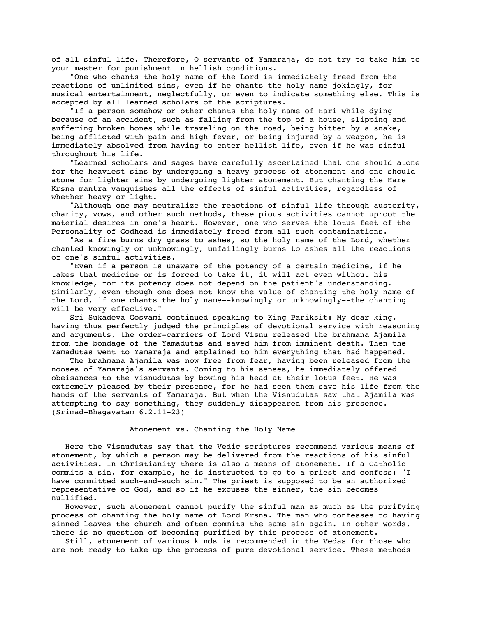of all sinful life. Therefore, O servants of Yamaraja, do not try to take him to your master for punishment in hellish conditions.

 "One who chants the holy name of the Lord is immediately freed from the reactions of unlimited sins, even if he chants the holy name jokingly, for musical entertainment, neglectfully, or even to indicate something else. This is accepted by all learned scholars of the scriptures.

 "If a person somehow or other chants the holy name of Hari while dying because of an accident, such as falling from the top of a house, slipping and suffering broken bones while traveling on the road, being bitten by a snake, being afflicted with pain and high fever, or being injured by a weapon, he is immediately absolved from having to enter hellish life, even if he was sinful throughout his life.

 "Learned scholars and sages have carefully ascertained that one should atone for the heaviest sins by undergoing a heavy process of atonement and one should atone for lighter sins by undergoing lighter atonement. But chanting the Hare Krsna mantra vanquishes all the effects of sinful activities, regardless of whether heavy or light.

 "Although one may neutralize the reactions of sinful life through austerity, charity, vows, and other such methods, these pious activities cannot uproot the material desires in one's heart. However, one who serves the lotus feet of the Personality of Godhead is immediately freed from all such contaminations.

 "As a fire burns dry grass to ashes, so the holy name of the Lord, whether chanted knowingly or unknowingly, unfailingly burns to ashes all the reactions of one's sinful activities.

 "Even if a person is unaware of the potency of a certain medicine, if he takes that medicine or is forced to take it, it will act even without his knowledge, for its potency does not depend on the patient's understanding. Similarly, even though one does not know the value of chanting the holy name of the Lord, if one chants the holy name--knowingly or unknowingly--the chanting will be very effective."

 Sri Sukadeva Gosvami continued speaking to King Pariksit: My dear king, having thus perfectly judged the principles of devotional service with reasoning and arguments, the order-carriers of Lord Visnu released the brahmana Ajamila from the bondage of the Yamadutas and saved him from imminent death. Then the Yamadutas went to Yamaraja and explained to him everything that had happened.

 The brahmana Ajamila was now free from fear, having been released from the nooses of Yamaraja's servants. Coming to his senses, he immediately offered obeisances to the Visnudutas by bowing his head at their lotus feet. He was extremely pleased by their presence, for he had seen them save his life from the hands of the servants of Yamaraja. But when the Visnudutas saw that Ajamila was attempting to say something, they suddenly disappeared from his presence. (Srimad-Bhagavatam 6.2.11-23)

#### Atonement vs. Chanting the Holy Name

 Here the Visnudutas say that the Vedic scriptures recommend various means of atonement, by which a person may be delivered from the reactions of his sinful activities. In Christianity there is also a means of atonement. If a Catholic commits a sin, for example, he is instructed to go to a priest and confess: "I have committed such-and-such sin." The priest is supposed to be an authorized representative of God, and so if he excuses the sinner, the sin becomes nullified.

 However, such atonement cannot purify the sinful man as much as the purifying process of chanting the holy name of Lord Krsna. The man who confesses to having sinned leaves the church and often commits the same sin again. In other words, there is no question of becoming purified by this process of atonement.

 Still, atonement of various kinds is recommended in the Vedas for those who are not ready to take up the process of pure devotional service. These methods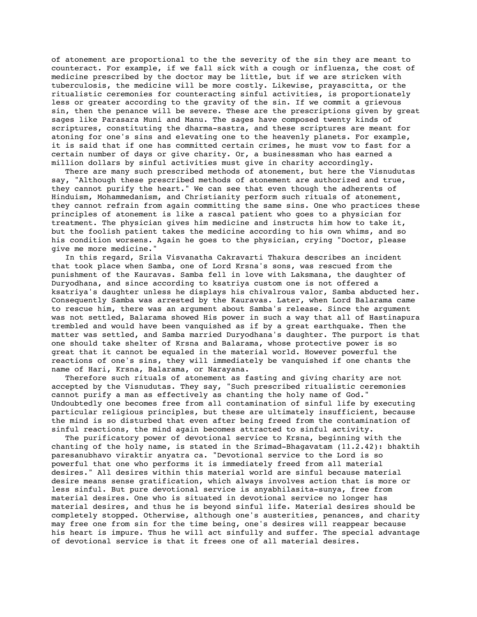of atonement are proportional to the the severity of the sin they are meant to counteract. For example, if we fall sick with a cough or influenza, the cost of medicine prescribed by the doctor may be little, but if we are stricken with tuberculosis, the medicine will be more costly. Likewise, prayascitta, or the ritualistic ceremonies for counteracting sinful activities, is proportionately less or greater according to the gravity of the sin. If we commit a grievous sin, then the penance will be severe. These are the prescriptions given by great sages like Parasara Muni and Manu. The sages have composed twenty kinds of scriptures, constituting the dharma-sastra, and these scriptures are meant for atoning for one's sins and elevating one to the heavenly planets. For example, it is said that if one has committed certain crimes, he must vow to fast for a certain number of days or give charity. Or, a businessman who has earned a million dollars by sinful activities must give in charity accordingly.

 There are many such prescribed methods of atonement, but here the Visnudutas say, "Although these prescribed methods of atonement are authorized and true, they cannot purify the heart." We can see that even though the adherents of Hinduism, Mohammedanism, and Christianity perform such rituals of atonement, they cannot refrain from again committing the same sins. One who practices these principles of atonement is like a rascal patient who goes to a physician for treatment. The physician gives him medicine and instructs him how to take it, but the foolish patient takes the medicine according to his own whims, and so his condition worsens. Again he goes to the physician, crying "Doctor, please give me more medicine."

 In this regard, Srila Visvanatha Cakravarti Thakura describes an incident that took place when Samba, one of Lord Krsna's sons, was rescued from the punishment of the Kauravas. Samba fell in love with Laksmana, the daughter of Duryodhana, and since according to ksatriya custom one is not offered a ksatriya's daughter unless he displays his chivalrous valor, Samba abducted her. Consequently Samba was arrested by the Kauravas. Later, when Lord Balarama came to rescue him, there was an argument about Samba's release. Since the argument was not settled, Balarama showed His power in such a way that all of Hastinapura trembled and would have been vanquished as if by a great earthquake. Then the matter was settled, and Samba married Duryodhana's daughter. The purport is that one should take shelter of Krsna and Balarama, whose protective power is so great that it cannot be equaled in the material world. However powerful the reactions of one's sins, they will immediately be vanquished if one chants the name of Hari, Krsna, Balarama, or Narayana.

 Therefore such rituals of atonement as fasting and giving charity are not accepted by the Visnudutas. They say, "Such prescribed ritualistic ceremonies cannot purify a man as effectively as chanting the holy name of God." Undoubtedly one becomes free from all contamination of sinful life by executing particular religious principles, but these are ultimately insufficient, because the mind is so disturbed that even after being freed from the contamination of sinful reactions, the mind again becomes attracted to sinful activity.

 The purificatory power of devotional service to Krsna, beginning with the chanting of the holy name, is stated in the Srimad-Bhagavatam  $(11.2.42)$ : bhaktih paresanubhavo viraktir anyatra ca. "Devotional service to the Lord is so powerful that one who performs it is immediately freed from all material desires." All desires within this material world are sinful because material desire means sense gratification, which always involves action that is more or less sinful. But pure devotional service is anyabhilasita-sunya, free from material desires. One who is situated in devotional service no longer has material desires, and thus he is beyond sinful life. Material desires should be completely stopped. Otherwise, although one's austerities, penances, and charity may free one from sin for the time being, one's desires will reappear because his heart is impure. Thus he will act sinfully and suffer. The special advantage of devotional service is that it frees one of all material desires.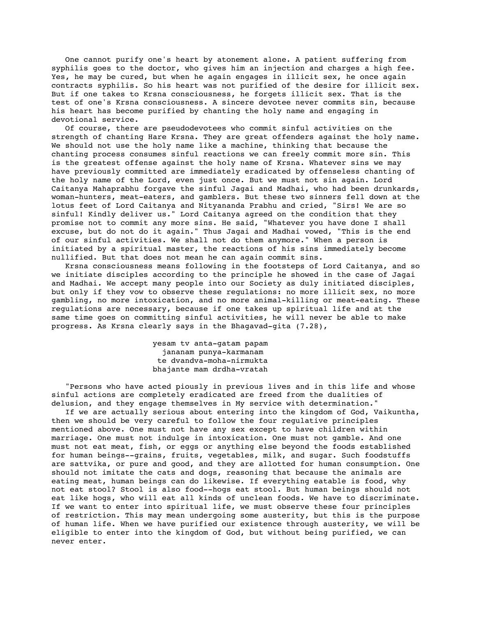One cannot purify one's heart by atonement alone. A patient suffering from syphilis goes to the doctor, who gives him an injection and charges a high fee. Yes, he may be cured, but when he again engages in illicit sex, he once again contracts syphilis. So his heart was not purified of the desire for illicit sex. But if one takes to Krsna consciousness, he forgets illicit sex. That is the test of one's Krsna consciousness. A sincere devotee never commits sin, because his heart has become purified by chanting the holy name and engaging in devotional service.

 Of course, there are pseudodevotees who commit sinful activities on the strength of chanting Hare Krsna. They are great offenders against the holy name. We should not use the holy name like a machine, thinking that because the chanting process consumes sinful reactions we can freely commit more sin. This is the greatest offense against the holy name of Krsna. Whatever sins we may have previously committed are immediately eradicated by offenseless chanting of the holy name of the Lord, even just once. But we must not sin again. Lord Caitanya Mahaprabhu forgave the sinful Jagai and Madhai, who had been drunkards, woman-hunters, meat-eaters, and gamblers. But these two sinners fell down at the lotus feet of Lord Caitanya and Nityananda Prabhu and cried, "Sirs! We are so sinful! Kindly deliver us." Lord Caitanya agreed on the condition that they promise not to commit any more sins. He said, "Whatever you have done I shall excuse, but do not do it again." Thus Jagai and Madhai vowed, "This is the end of our sinful activities. We shall not do them anymore." When a person is initiated by a spiritual master, the reactions of his sins immediately become nullified. But that does not mean he can again commit sins.

 Krsna consciousness means following in the footsteps of Lord Caitanya, and so we initiate disciples according to the principle he showed in the case of Jagai and Madhai. We accept many people into our Society as duly initiated disciples, but only if they vow to observe these regulations: no more illicit sex, no more gambling, no more intoxication, and no more animal-killing or meat-eating. These regulations are necessary, because if one takes up spiritual life and at the same time goes on committing sinful activities, he will never be able to make progress. As Krsna clearly says in the Bhagavad-gita (7.28),

> yesam tv anta-gatam papam jananam punya-karmanam te dvandva-moha-nirmukta bhajante mam drdha-vratah

 "Persons who have acted piously in previous lives and in this life and whose sinful actions are completely eradicated are freed from the dualities of delusion, and they engage themselves in My service with determination."

 If we are actually serious about entering into the kingdom of God, Vaikuntha, then we should be very careful to follow the four regulative principles mentioned above. One must not have any sex except to have children within marriage. One must not indulge in intoxication. One must not gamble. And one must not eat meat, fish, or eggs or anything else beyond the foods established for human beings--grains, fruits, vegetables, milk, and sugar. Such foodstuffs are sattvika, or pure and good, and they are allotted for human consumption. One should not imitate the cats and dogs, reasoning that because the animals are eating meat, human beings can do likewise. If everything eatable is food, why not eat stool? Stool is also food--hogs eat stool. But human beings should not eat like hogs, who will eat all kinds of unclean foods. We have to discriminate. If we want to enter into spiritual life, we must observe these four principles of restriction. This may mean undergoing some austerity, but this is the purpose of human life. When we have purified our existence through austerity, we will be eligible to enter into the kingdom of God, but without being purified, we can never enter.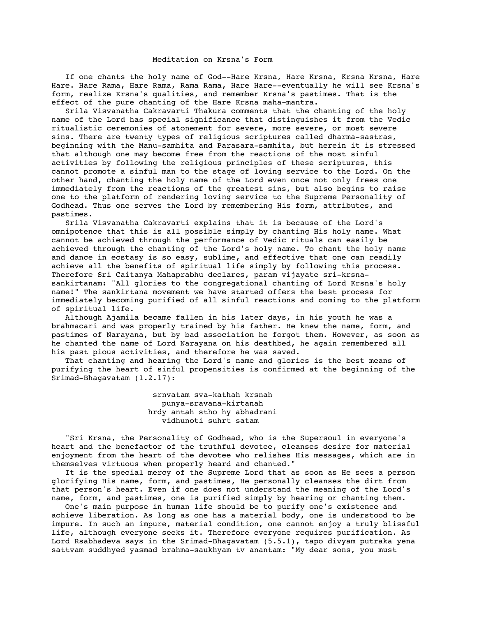#### Meditation on Krsna's Form

 If one chants the holy name of God--Hare Krsna, Hare Krsna, Krsna Krsna, Hare Hare. Hare Rama, Hare Rama, Rama Rama, Hare Hare--eventually he will see Krsna's form, realize Krsna's qualities, and remember Krsna's pastimes. That is the effect of the pure chanting of the Hare Krsna maha-mantra.

 Srila Visvanatha Cakravarti Thakura comments that the chanting of the holy name of the Lord has special significance that distinguishes it from the Vedic ritualistic ceremonies of atonement for severe, more severe, or most severe sins. There are twenty types of religious scriptures called dharma-sastras, beginning with the Manu-samhita and Parasara-samhita, but herein it is stressed that although one may become free from the reactions of the most sinful activities by following the religious principles of these scriptures, this cannot promote a sinful man to the stage of loving service to the Lord. On the other hand, chanting the holy name of the Lord even once not only frees one immediately from the reactions of the greatest sins, but also begins to raise one to the platform of rendering loving service to the Supreme Personality of Godhead. Thus one serves the Lord by remembering His form, attributes, and pastimes.

 Srila Visvanatha Cakravarti explains that it is because of the Lord's omnipotence that this is all possible simply by chanting His holy name. What cannot be achieved through the performance of Vedic rituals can easily be achieved through the chanting of the Lord's holy name. To chant the holy name and dance in ecstasy is so easy, sublime, and effective that one can readily achieve all the benefits of spiritual life simply by following this process. Therefore Sri Caitanya Mahaprabhu declares, param vijayate sri-krsnasankirtanam: "All glories to the congregational chanting of Lord Krsna's holy name!" The sankirtana movement we have started offers the best process for immediately becoming purified of all sinful reactions and coming to the platform of spiritual life.

 Although Ajamila became fallen in his later days, in his youth he was a brahmacari and was properly trained by his father. He knew the name, form, and pastimes of Narayana, but by bad association he forgot them. However, as soon as he chanted the name of Lord Narayana on his deathbed, he again remembered all his past pious activities, and therefore he was saved.

 That chanting and hearing the Lord's name and glories is the best means of purifying the heart of sinful propensities is confirmed at the beginning of the Srimad-Bhagavatam (1.2.17):

> srnvatam sva-kathah krsnah punya-sravana-kirtanah hrdy antah stho hy abhadrani vidhunoti suhrt satam

 "Sri Krsna, the Personality of Godhead, who is the Supersoul in everyone's heart and the benefactor of the truthful devotee, cleanses desire for material enjoyment from the heart of the devotee who relishes His messages, which are in themselves virtuous when properly heard and chanted."

 It is the special mercy of the Supreme Lord that as soon as He sees a person glorifying His name, form, and pastimes, He personally cleanses the dirt from that person's heart. Even if one does not understand the meaning of the Lord's name, form, and pastimes, one is purified simply by hearing or chanting them.

 One's main purpose in human life should be to purify one's existence and achieve liberation. As long as one has a material body, one is understood to be impure. In such an impure, material condition, one cannot enjoy a truly blissful life, although everyone seeks it. Therefore everyone requires purification. As Lord Rsabhadeva says in the Srimad-Bhagavatam (5.5.1), tapo divyam putraka yena sattvam suddhyed yasmad brahma-saukhyam tv anantam: "My dear sons, you must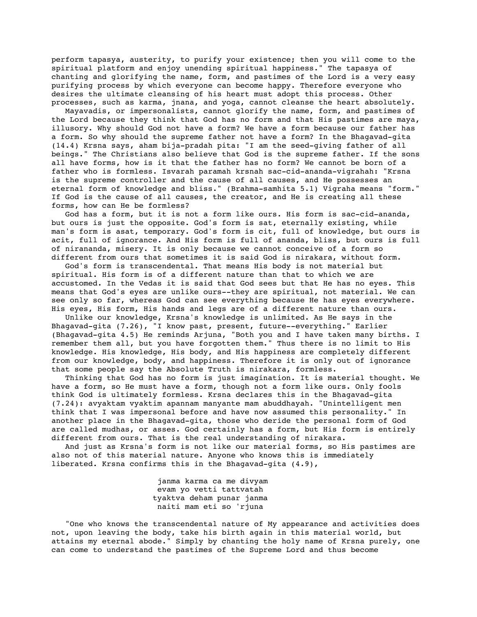perform tapasya, austerity, to purify your existence; then you will come to the spiritual platform and enjoy unending spiritual happiness." The tapasya of chanting and glorifying the name, form, and pastimes of the Lord is a very easy purifying process by which everyone can become happy. Therefore everyone who desires the ultimate cleansing of his heart must adopt this process. Other processes, such as karma, jnana, and yoga, cannot cleanse the heart absolutely.

 Mayavadis, or impersonalists, cannot glorify the name, form, and pastimes of the Lord because they think that God has no form and that His pastimes are maya, illusory. Why should God not have a form? We have a form because our father has a form. So why should the supreme father not have a form? In the Bhagavad-gita (14.4) Krsna says, aham bija-pradah pita: "I am the seed-giving father of all beings." The Christians also believe that God is the supreme father. If the sons all have forms, how is it that the father has no form? We cannot be born of a father who is formless. Isvarah paramah krsnah sac-cid-ananda-vigrahah: "Krsna is the supreme controller and the cause of all causes, and He possesses an eternal form of knowledge and bliss." (Brahma-samhita 5.1) Vigraha means "form." If God is the cause of all causes, the creator, and He is creating all these forms, how can He be formless?

 God has a form, but it is not a form like ours. His form is sac-cid-ananda, but ours is just the opposite. God's form is sat, eternally existing, while man's form is asat, temporary. God's form is cit, full of knowledge, but ours is acit, full of ignorance. And His form is full of ananda, bliss, but ours is full of nirananda, misery. It is only because we cannot conceive of a form so different from ours that sometimes it is said God is nirakara, without form.

 God's form is transcendental. That means His body is not material but spiritual. His form is of a different nature than that to which we are accustomed. In the Vedas it is said that God sees but that He has no eyes. This means that God's eyes are unlike ours--they are spiritual, not material. We can see only so far, whereas God can see everything because He has eyes everywhere. His eyes, His form, His hands and legs are of a different nature than ours.

 Unlike our knowledge, Krsna's knowledge is unlimited. As He says in the Bhagavad-gita (7.26), "I know past, present, future--everything." Earlier (Bhagavad-gita 4.5) He reminds Arjuna, "Both you and I have taken many births. I remember them all, but you have forgotten them." Thus there is no limit to His knowledge. His knowledge, His body, and His happiness are completely different from our knowledge, body, and happiness. Therefore it is only out of ignorance that some people say the Absolute Truth is nirakara, formless.

 Thinking that God has no form is just imagination. It is material thought. We have a form, so He must have a form, though not a form like ours. Only fools think God is ultimately formless. Krsna declares this in the Bhagavad-gita (7.24): avyaktam vyaktim apannam manyante mam abuddhayah. "Unintelligent men think that I was impersonal before and have now assumed this personality." In another place in the Bhagavad-gita, those who deride the personal form of God are called mudhas, or asses. God certainly has a form, but His form is entirely different from ours. That is the real understanding of nirakara.

 And just as Krsna's form is not like our material forms, so His pastimes are also not of this material nature. Anyone who knows this is immediately liberated. Krsna confirms this in the Bhagavad-gita (4.9),

> janma karma ca me divyam evam yo vetti tattvatah tyaktva deham punar janma naiti mam eti so 'rjuna

 "One who knows the transcendental nature of My appearance and activities does not, upon leaving the body, take his birth again in this material world, but attains my eternal abode." Simply by chanting the holy name of Krsna purely, one can come to understand the pastimes of the Supreme Lord and thus become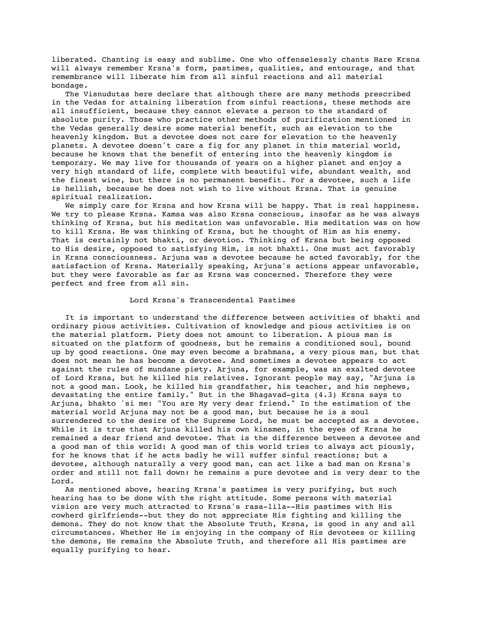liberated. Chanting is easy and sublime. One who offenselessly chants Hare Krsna will always remember Krsna's form, pastimes, qualities, and entourage, and that remembrance will liberate him from all sinful reactions and all material bondage.

 The Visnudutas here declare that although there are many methods prescribed in the Vedas for attaining liberation from sinful reactions, these methods are all insufficient, because they cannot elevate a person to the standard of absolute purity. Those who practice other methods of purification mentioned in the Vedas generally desire some material benefit, such as elevation to the heavenly kingdom. But a devotee does not care for elevation to the heavenly planets. A devotee doesn't care a fig for any planet in this material world, because he knows that the benefit of entering into the heavenly kingdom is temporary. We may live for thousands of years on a higher planet and enjoy a very high standard of life, complete with beautiful wife, abundant wealth, and the finest wine, but there is no permanent benefit. For a devotee, such a life is hellish, because he does not wish to live without Krsna. That is genuine spiritual realization.

 We simply care for Krsna and how Krsna will be happy. That is real happiness. We try to please Krsna. Kamsa was also Krsna conscious, insofar as he was always thinking of Krsna, but his meditation was unfavorable. His meditation was on how to kill Krsna. He was thinking of Krsna, but he thought of Him as his enemy. That is certainly not bhakti, or devotion. Thinking of Krsna but being opposed to His desire, opposed to satisfying Him, is not bhakti. One must act favorably in Krsna consciousness. Arjuna was a devotee because he acted favorably, for the satisfaction of Krsna. Materially speaking, Arjuna's actions appear unfavorable, but they were favorable as far as Krsna was concerned. Therefore they were perfect and free from all sin.

#### Lord Krsna's Transcendental Pastimes

 It is important to understand the difference between activities of bhakti and ordinary pious activities. Cultivation of knowledge and pious activities is on the material platform. Piety does not amount to liberation. A pious man is situated on the platform of goodness, but he remains a conditioned soul, bound up by good reactions. One may even become a brahmana, a very pious man, but that does not mean he has become a devotee. And sometimes a devotee appears to act against the rules of mundane piety. Arjuna, for example, was an exalted devotee of Lord Krsna, but he killed his relatives. Ignorant people may say, "Arjuna is not a good man. Look, he killed his grandfather, his teacher, and his nephews, devastating the entire family." But in the Bhagavad-gita (4.3) Krsna says to Arjuna, bhakto 'si me: "You are My very dear friend." In the estimation of the material world Arjuna may not be a good man, but because he is a soul surrendered to the desire of the Supreme Lord, he must be accepted as a devotee. While it is true that Arjuna killed his own kinsmen, in the eyes of Krsna he remained a dear friend and devotee. That is the difference between a devotee and a good man of this world: A good man of this world tries to always act piously, for he knows that if he acts badly he will suffer sinful reactions; but a devotee, although naturally a very good man, can act like a bad man on Krsna's order and still not fall down: he remains a pure devotee and is very dear to the Lord.

 As mentioned above, hearing Krsna's pastimes is very purifying, but such hearing has to be done with the right attitude. Some persons with material vision are very much attracted to Krsna's rasa-lila--His pastimes with His cowherd girlfriends--but they do not appreciate His fighting and killing the demons. They do not know that the Absolute Truth, Krsna, is good in any and all circumstances. Whether He is enjoying in the company of His devotees or killing the demons, He remains the Absolute Truth, and therefore all His pastimes are equally purifying to hear.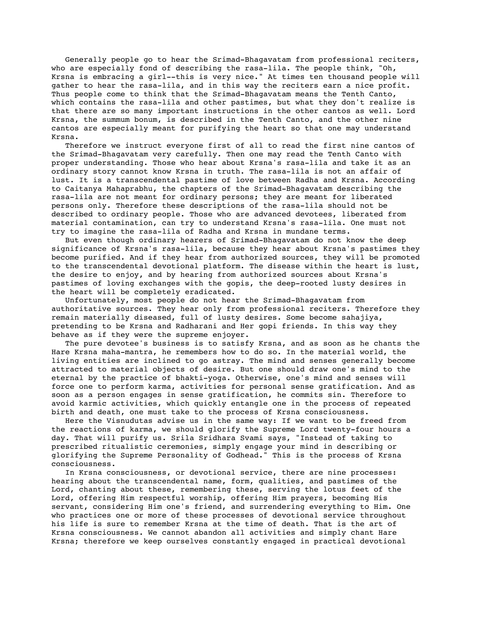Generally people go to hear the Srimad-Bhagavatam from professional reciters, who are especially fond of describing the rasa-lila. The people think, "Oh, Krsna is embracing a girl--this is very nice." At times ten thousand people will gather to hear the rasa-lila, and in this way the reciters earn a nice profit. Thus people come to think that the Srimad-Bhagavatam means the Tenth Canto, which contains the rasa-lila and other pastimes, but what they don't realize is that there are so many important instructions in the other cantos as well. Lord Krsna, the summum bonum, is described in the Tenth Canto, and the other nine cantos are especially meant for purifying the heart so that one may understand Krsna.

 Therefore we instruct everyone first of all to read the first nine cantos of the Srimad-Bhagavatam very carefully. Then one may read the Tenth Canto with proper understanding. Those who hear about Krsna's rasa-lila and take it as an ordinary story cannot know Krsna in truth. The rasa-lila is not an affair of lust. It is a transcendental pastime of love between Radha and Krsna. According to Caitanya Mahaprabhu, the chapters of the Srimad-Bhagavatam describing the rasa-lila are not meant for ordinary persons; they are meant for liberated persons only. Therefore these descriptions of the rasa-lila should not be described to ordinary people. Those who are advanced devotees, liberated from material contamination, can try to understand Krsna's rasa-lila. One must not try to imagine the rasa-lila of Radha and Krsna in mundane terms.

 But even though ordinary hearers of Srimad-Bhagavatam do not know the deep significance of Krsna's rasa-lila, because they hear about Krsna's pastimes they become purified. And if they hear from authorized sources, they will be promoted to the transcendental devotional platform. The disease within the heart is lust, the desire to enjoy, and by hearing from authorized sources about Krsna's pastimes of loving exchanges with the gopis, the deep-rooted lusty desires in the heart will be completely eradicated.

 Unfortunately, most people do not hear the Srimad-Bhagavatam from authoritative sources. They hear only from professional reciters. Therefore they remain materially diseased, full of lusty desires. Some become sahajiya, pretending to be Krsna and Radharani and Her gopi friends. In this way they behave as if they were the supreme enjoyer.

 The pure devotee's business is to satisfy Krsna, and as soon as he chants the Hare Krsna maha-mantra, he remembers how to do so. In the material world, the living entities are inclined to go astray. The mind and senses generally become attracted to material objects of desire. But one should draw one's mind to the eternal by the practice of bhakti-yoga. Otherwise, one's mind and senses will force one to perform karma, activities for personal sense gratification. And as soon as a person engages in sense gratification, he commits sin. Therefore to avoid karmic activities, which quickly entangle one in the process of repeated birth and death, one must take to the process of Krsna consciousness.

 Here the Visnudutas advise us in the same way: If we want to be freed from the reactions of karma, we should glorify the Supreme Lord twenty-four hours a day. That will purify us. Srila Sridhara Svami says, "Instead of taking to prescribed ritualistic ceremonies, simply engage your mind in describing or glorifying the Supreme Personality of Godhead." This is the process of Krsna consciousness.

 In Krsna consciousness, or devotional service, there are nine processes: hearing about the transcendental name, form, qualities, and pastimes of the Lord, chanting about these, remembering these, serving the lotus feet of the Lord, offering Him respectful worship, offering Him prayers, becoming His servant, considering Him one's friend, and surrendering everything to Him. One who practices one or more of these processes of devotional service throughout his life is sure to remember Krsna at the time of death. That is the art of Krsna consciousness. We cannot abandon all activities and simply chant Hare Krsna; therefore we keep ourselves constantly engaged in practical devotional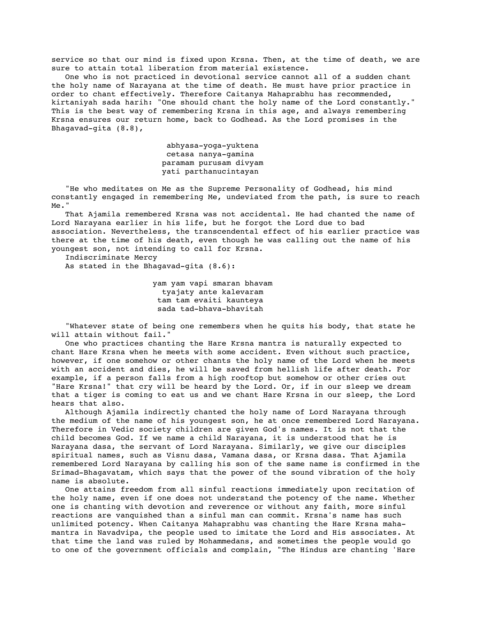service so that our mind is fixed upon Krsna. Then, at the time of death, we are sure to attain total liberation from material existence.

 One who is not practiced in devotional service cannot all of a sudden chant the holy name of Narayana at the time of death. He must have prior practice in order to chant effectively. Therefore Caitanya Mahaprabhu has recommended, kirtaniyah sada harih: "One should chant the holy name of the Lord constantly." This is the best way of remembering Krsna in this age, and always remembering Krsna ensures our return home, back to Godhead. As the Lord promises in the Bhagavad-gita (8.8),

> abhyasa-yoga-yuktena cetasa nanya-gamina paramam purusam divyam yati parthanucintayan

 "He who meditates on Me as the Supreme Personality of Godhead, his mind constantly engaged in remembering Me, undeviated from the path, is sure to reach Me."

 That Ajamila remembered Krsna was not accidental. He had chanted the name of Lord Narayana earlier in his life, but he forgot the Lord due to bad association. Nevertheless, the transcendental effect of his earlier practice was there at the time of his death, even though he was calling out the name of his youngest son, not intending to call for Krsna.

Indiscriminate Mercy

As stated in the Bhagavad-gita (8.6):

 yam yam vapi smaran bhavam tyajaty ante kalevaram tam tam evaiti kaunteya sada tad-bhava-bhavitah

 "Whatever state of being one remembers when he quits his body, that state he will attain without fail."

 One who practices chanting the Hare Krsna mantra is naturally expected to chant Hare Krsna when he meets with some accident. Even without such practice, however, if one somehow or other chants the holy name of the Lord when he meets with an accident and dies, he will be saved from hellish life after death. For example, if a person falls from a high rooftop but somehow or other cries out "Hare Krsna!" that cry will be heard by the Lord. Or, if in our sleep we dream that a tiger is coming to eat us and we chant Hare Krsna in our sleep, the Lord hears that also.

 Although Ajamila indirectly chanted the holy name of Lord Narayana through the medium of the name of his youngest son, he at once remembered Lord Narayana. Therefore in Vedic society children are given God's names. It is not that the child becomes God. If we name a child Narayana, it is understood that he is Narayana dasa, the servant of Lord Narayana. Similarly, we give our disciples spiritual names, such as Visnu dasa, Vamana dasa, or Krsna dasa. That Ajamila remembered Lord Narayana by calling his son of the same name is confirmed in the Srimad-Bhagavatam, which says that the power of the sound vibration of the holy name is absolute.

 One attains freedom from all sinful reactions immediately upon recitation of the holy name, even if one does not understand the potency of the name. Whether one is chanting with devotion and reverence or without any faith, more sinful reactions are vanquished than a sinful man can commit. Krsna's name has such unlimited potency. When Caitanya Mahaprabhu was chanting the Hare Krsna mahamantra in Navadvipa, the people used to imitate the Lord and His associates. At that time the land was ruled by Mohammedans, and sometimes the people would go to one of the government officials and complain, "The Hindus are chanting 'Hare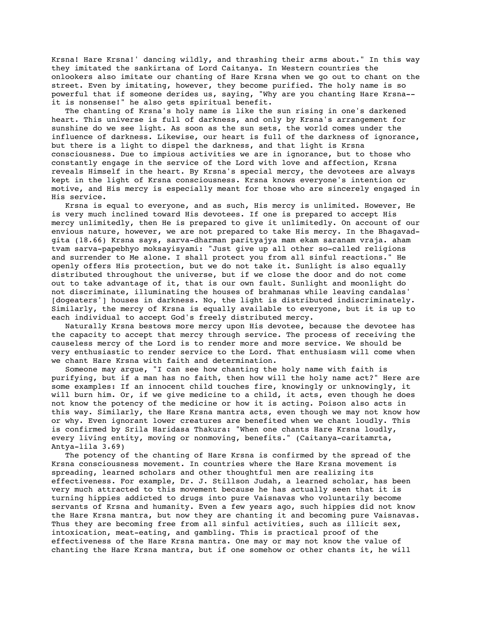Krsna! Hare Krsna!' dancing wildly, and thrashing their arms about." In this way they imitated the sankirtana of Lord Caitanya. In Western countries the onlookers also imitate our chanting of Hare Krsna when we go out to chant on the street. Even by imitating, however, they become purified. The holy name is so powerful that if someone derides us, saying, "Why are you chanting Hare Krsna- it is nonsense!" he also gets spiritual benefit.

 The chanting of Krsna's holy name is like the sun rising in one's darkened heart. This universe is full of darkness, and only by Krsna's arrangement for sunshine do we see light. As soon as the sun sets, the world comes under the influence of darkness. Likewise, our heart is full of the darkness of ignorance, but there is a light to dispel the darkness, and that light is Krsna consciousness. Due to impious activities we are in ignorance, but to those who constantly engage in the service of the Lord with love and affection, Krsna reveals Himself in the heart. By Krsna's special mercy, the devotees are always kept in the light of Krsna consciousness. Krsna knows everyone's intention or motive, and His mercy is especially meant for those who are sincerely engaged in His service.

 Krsna is equal to everyone, and as such, His mercy is unlimited. However, He is very much inclined toward His devotees. If one is prepared to accept His mercy unlimitedly, then He is prepared to give it unlimitedly. On account of our envious nature, however, we are not prepared to take His mercy. In the Bhagavadgita (18.66) Krsna says, sarva-dharman parityajya mam ekam saranam vraja. aham tvam sarva-papebhyo moksayisyami: "Just give up all other so-called religions and surrender to Me alone. I shall protect you from all sinful reactions." He openly offers His protection, but we do not take it. Sunlight is also equally distributed throughout the universe, but if we close the door and do not come out to take advantage of it, that is our own fault. Sunlight and moonlight do not discriminate, illuminating the houses of brahmanas while leaving candalas' [dogeaters'] houses in darkness. No, the light is distributed indiscriminately. Similarly, the mercy of Krsna is equally available to everyone, but it is up to each individual to accept God's freely distributed mercy.

 Naturally Krsna bestows more mercy upon His devotee, because the devotee has the capacity to accept that mercy through service. The process of receiving the causeless mercy of the Lord is to render more and more service. We should be very enthusiastic to render service to the Lord. That enthusiasm will come when we chant Hare Krsna with faith and determination.

 Someone may argue, "I can see how chanting the holy name with faith is purifying, but if a man has no faith, then how will the holy name act?" Here are some examples: If an innocent child touches fire, knowingly or unknowingly, it will burn him. Or, if we give medicine to a child, it acts, even though he does not know the potency of the medicine or how it is acting. Poison also acts in this way. Similarly, the Hare Krsna mantra acts, even though we may not know how or why. Even ignorant lower creatures are benefited when we chant loudly. This is confirmed by Srila Haridasa Thakura: "When one chants Hare Krsna loudly, every living entity, moving or nonmoving, benefits." (Caitanya-caritamrta, Antya-lila 3.69)

 The potency of the chanting of Hare Krsna is confirmed by the spread of the Krsna consciousness movement. In countries where the Hare Krsna movement is spreading, learned scholars and other thoughtful men are realizing its effectiveness. For example, Dr. J. Stillson Judah, a learned scholar, has been very much attracted to this movement because he has actually seen that it is turning hippies addicted to drugs into pure Vaisnavas who voluntarily become servants of Krsna and humanity. Even a few years ago, such hippies did not know the Hare Krsna mantra, but now they are chanting it and becoming pure Vaisnavas. Thus they are becoming free from all sinful activities, such as illicit sex, intoxication, meat-eating, and gambling. This is practical proof of the effectiveness of the Hare Krsna mantra. One may or may not know the value of chanting the Hare Krsna mantra, but if one somehow or other chants it, he will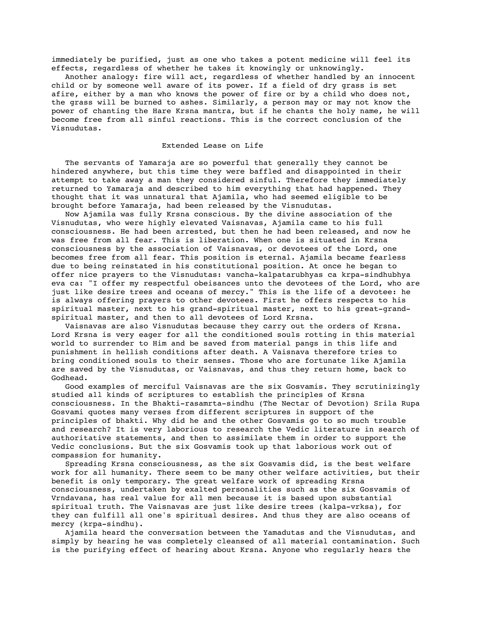immediately be purified, just as one who takes a potent medicine will feel its effects, regardless of whether he takes it knowingly or unknowingly.

 Another analogy: fire will act, regardless of whether handled by an innocent child or by someone well aware of its power. If a field of dry grass is set afire, either by a man who knows the power of fire or by a child who does not, the grass will be burned to ashes. Similarly, a person may or may not know the power of chanting the Hare Krsna mantra, but if he chants the holy name, he will become free from all sinful reactions. This is the correct conclusion of the Visnudutas.

#### Extended Lease on Life

 The servants of Yamaraja are so powerful that generally they cannot be hindered anywhere, but this time they were baffled and disappointed in their attempt to take away a man they considered sinful. Therefore they immediately returned to Yamaraja and described to him everything that had happened. They thought that it was unnatural that Ajamila, who had seemed eligible to be brought before Yamaraja, had been released by the Visnudutas.

 Now Ajamila was fully Krsna conscious. By the divine association of the Visnudutas, who were highly elevated Vaisnavas, Ajamila came to his full consciousness. He had been arrested, but then he had been released, and now he was free from all fear. This is liberation. When one is situated in Krsna consciousness by the association of Vaisnavas, or devotees of the Lord, one becomes free from all fear. This position is eternal. Ajamila became fearless due to being reinstated in his constitutional position. At once he began to offer nice prayers to the Visnudutas: vancha-kalpatarubhyas ca krpa-sindhubhya eva ca: "I offer my respectful obeisances unto the devotees of the Lord, who are just like desire trees and oceans of mercy." This is the life of a devotee: he is always offering prayers to other devotees. First he offers respects to his spiritual master, next to his grand-spiritual master, next to his great-grandspiritual master, and then to all devotees of Lord Krsna.

 Vaisnavas are also Visnudutas because they carry out the orders of Krsna. Lord Krsna is very eager for all the conditioned souls rotting in this material world to surrender to Him and be saved from material pangs in this life and punishment in hellish conditions after death. A Vaisnava therefore tries to bring conditioned souls to their senses. Those who are fortunate like Ajamila are saved by the Visnudutas, or Vaisnavas, and thus they return home, back to Godhead.

 Good examples of merciful Vaisnavas are the six Gosvamis. They scrutinizingly studied all kinds of scriptures to establish the principles of Krsna consciousness. In the Bhakti-rasamrta-sindhu (The Nectar of Devotion) Srila Rupa Gosvami quotes many verses from different scriptures in support of the principles of bhakti. Why did he and the other Gosvamis go to so much trouble and research? It is very laborious to research the Vedic literature in search of authoritative statements, and then to assimilate them in order to support the Vedic conclusions. But the six Gosvamis took up that laborious work out of compassion for humanity.

 Spreading Krsna consciousness, as the six Gosvamis did, is the best welfare work for all humanity. There seem to be many other welfare activities, but their benefit is only temporary. The great welfare work of spreading Krsna consciousness, undertaken by exalted personalities such as the six Gosvamis of Vrndavana, has real value for all men because it is based upon substantial spiritual truth. The Vaisnavas are just like desire trees (kalpa-vrksa), for they can fulfill all one's spiritual desires. And thus they are also oceans of mercy (krpa-sindhu).

 Ajamila heard the conversation between the Yamadutas and the Visnudutas, and simply by hearing he was completely cleansed of all material contamination. Such is the purifying effect of hearing about Krsna. Anyone who regularly hears the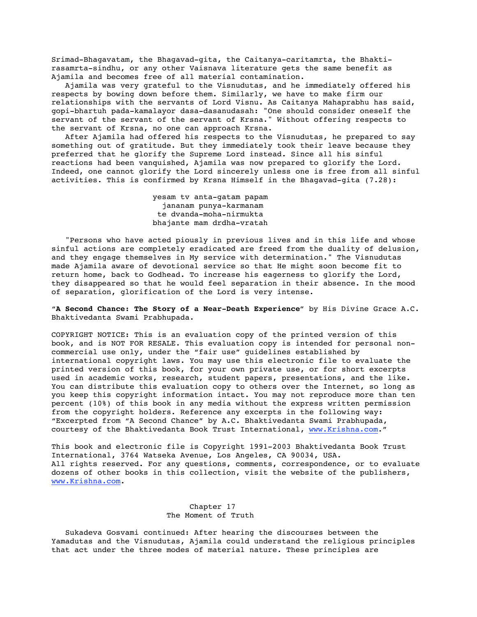Srimad-Bhagavatam, the Bhagavad-gita, the Caitanya-caritamrta, the Bhaktirasamrta-sindhu, or any other Vaisnava literature gets the same benefit as Ajamila and becomes free of all material contamination.

 Ajamila was very grateful to the Visnudutas, and he immediately offered his respects by bowing down before them. Similarly, we have to make firm our relationships with the servants of Lord Visnu. As Caitanya Mahaprabhu has said, gopi-bhartuh pada-kamalayor dasa-dasanudasah: "One should consider oneself the servant of the servant of the servant of Krsna." Without offering respects to the servant of Krsna, no one can approach Krsna.

 After Ajamila had offered his respects to the Visnudutas, he prepared to say something out of gratitude. But they immediately took their leave because they preferred that he glorify the Supreme Lord instead. Since all his sinful reactions had been vanquished, Ajamila was now prepared to glorify the Lord. Indeed, one cannot glorify the Lord sincerely unless one is free from all sinful activities. This is confirmed by Krsna Himself in the Bhagavad-gita (7.28):

> yesam tv anta-gatam papam jananam punya-karmanam te dvanda-moha-nirmukta bhajante mam drdha-vratah

 "Persons who have acted piously in previous lives and in this life and whose sinful actions are completely eradicated are freed from the duality of delusion, and they engage themselves in My service with determination." The Visnudutas made Ajamila aware of devotional service so that He might soon become fit to return home, back to Godhead. To increase his eagerness to glorify the Lord, they disappeared so that he would feel separation in their absence. In the mood of separation, glorification of the Lord is very intense.

# "**A Second Chance: The Story of a Near-Death Experience**" by His Divine Grace A.C. Bhaktivedanta Swami Prabhupada.

COPYRIGHT NOTICE: This is an evaluation copy of the printed version of this book, and is NOT FOR RESALE. This evaluation copy is intended for personal noncommercial use only, under the "fair use" guidelines established by international copyright laws. You may use this electronic file to evaluate the printed version of this book, for your own private use, or for short excerpts used in academic works, research, student papers, presentations, and the like. You can distribute this evaluation copy to others over the Internet, so long as you keep this copyright information intact. You may not reproduce more than ten percent (10%) of this book in any media without the express written permission from the copyright holders. Reference any excerpts in the following way: "Excerpted from "A Second Chance" by A.C. Bhaktivedanta Swami Prabhupada, courtesy of the Bhaktivedanta Book Trust International, www.Krishna.com."

This book and electronic file is Copyright 1991-2003 Bhaktivedanta Book Trust International, 3764 Watseka Avenue, Los Angeles, CA 90034, USA. All rights reserved. For any questions, comments, correspondence, or to evaluate dozens of other books in this collection, visit the website of the publishers, www.Krishna.com.

# Chapter 17 The Moment of Truth

 Sukadeva Gosvami continued: After hearing the discourses between the Yamadutas and the Visnudutas, Ajamila could understand the religious principles that act under the three modes of material nature. These principles are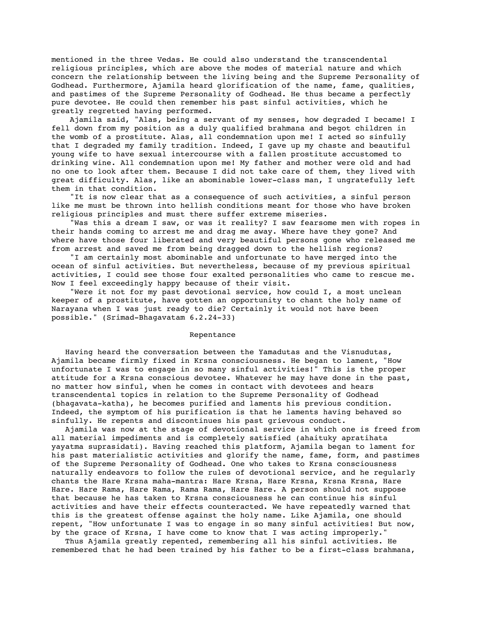mentioned in the three Vedas. He could also understand the transcendental religious principles, which are above the modes of material nature and which concern the relationship between the living being and the Supreme Personality of Godhead. Furthermore, Ajamila heard glorification of the name, fame, qualities, and pastimes of the Supreme Personality of Godhead. He thus became a perfectly pure devotee. He could then remember his past sinful activities, which he greatly regretted having performed.

 Ajamila said, "Alas, being a servant of my senses, how degraded I became! I fell down from my position as a duly qualified brahmana and begot children in the womb of a prostitute. Alas, all condemnation upon me! I acted so sinfully that I degraded my family tradition. Indeed, I gave up my chaste and beautiful young wife to have sexual intercourse with a fallen prostitute accustomed to drinking wine. All condemnation upon me! My father and mother were old and had no one to look after them. Because I did not take care of them, they lived with great difficulty. Alas, like an abominable lower-class man, I ungratefully left them in that condition.

 "It is now clear that as a consequence of such activities, a sinful person like me must be thrown into hellish conditions meant for those who have broken religious principles and must there suffer extreme miseries.

 "Was this a dream I saw, or was it reality? I saw fearsome men with ropes in their hands coming to arrest me and drag me away. Where have they gone? And where have those four liberated and very beautiful persons gone who released me from arrest and saved me from being dragged down to the hellish regions?

 "I am certainly most abominable and unfortunate to have merged into the ocean of sinful activities. But nevertheless, because of my previous spiritual activities, I could see those four exalted personalities who came to rescue me. Now I feel exceedingly happy because of their visit.

 "Were it not for my past devotional service, how could I, a most unclean keeper of a prostitute, have gotten an opportunity to chant the holy name of Narayana when I was just ready to die? Certainly it would not have been possible." (Srimad-Bhagavatam 6.2.24-33)

# Repentance

 Having heard the conversation between the Yamadutas and the Visnudutas, Ajamila became firmly fixed in Krsna consciousness. He began to lament, "How unfortunate I was to engage in so many sinful activities!" This is the proper attitude for a Krsna conscious devotee. Whatever he may have done in the past, no matter how sinful, when he comes in contact with devotees and hears transcendental topics in relation to the Supreme Personality of Godhead (bhagavata-katha), he becomes purified and laments his previous condition. Indeed, the symptom of his purification is that he laments having behaved so sinfully. He repents and discontinues his past grievous conduct.

 Ajamila was now at the stage of devotional service in which one is freed from all material impediments and is completely satisfied (ahaituky apratihata yayatma suprasidati). Having reached this platform, Ajamila began to lament for his past materialistic activities and glorify the name, fame, form, and pastimes of the Supreme Personality of Godhead. One who takes to Krsna consciousness naturally endeavors to follow the rules of devotional service, and he regularly chants the Hare Krsna maha-mantra: Hare Krsna, Hare Krsna, Krsna Krsna, Hare Hare. Hare Rama, Hare Rama, Rama Rama, Hare Hare. A person should not suppose that because he has taken to Krsna consciousness he can continue his sinful activities and have their effects counteracted. We have repeatedly warned that this is the greatest offense against the holy name. Like Ajamila, one should repent, "How unfortunate I was to engage in so many sinful activities! But now, by the grace of Krsna, I have come to know that I was acting improperly."

 Thus Ajamila greatly repented, remembering all his sinful activities. He remembered that he had been trained by his father to be a first-class brahmana,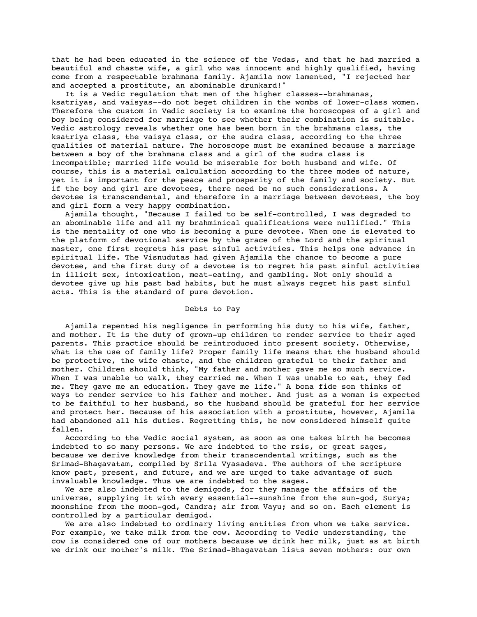that he had been educated in the science of the Vedas, and that he had married a beautiful and chaste wife, a girl who was innocent and highly qualified, having come from a respectable brahmana family. Ajamila now lamented, "I rejected her and accepted a prostitute, an abominable drunkard!"

 It is a Vedic regulation that men of the higher classes--brahmanas, ksatriyas, and vaisyas--do not beget children in the wombs of lower-class women. Therefore the custom in Vedic society is to examine the horoscopes of a girl and boy being considered for marriage to see whether their combination is suitable. Vedic astrology reveals whether one has been born in the brahmana class, the ksatriya class, the vaisya class, or the sudra class, according to the three qualities of material nature. The horoscope must be examined because a marriage between a boy of the brahmana class and a girl of the sudra class is incompatible; married life would be miserable for both husband and wife. Of course, this is a material calculation according to the three modes of nature, yet it is important for the peace and prosperity of the family and society. But if the boy and girl are devotees, there need be no such considerations. A devotee is transcendental, and therefore in a marriage between devotees, the boy and girl form a very happy combination.

 Ajamila thought, "Because I failed to be self-controlled, I was degraded to an abominable life and all my brahminical qualifications were nullified." This is the mentality of one who is becoming a pure devotee. When one is elevated to the platform of devotional service by the grace of the Lord and the spiritual master, one first regrets his past sinful activities. This helps one advance in spiritual life. The Visnudutas had given Ajamila the chance to become a pure devotee, and the first duty of a devotee is to regret his past sinful activities in illicit sex, intoxication, meat-eating, and gambling. Not only should a devotee give up his past bad habits, but he must always regret his past sinful acts. This is the standard of pure devotion.

## Debts to Pay

 Ajamila repented his negligence in performing his duty to his wife, father, and mother. It is the duty of grown-up children to render service to their aged parents. This practice should be reintroduced into present society. Otherwise, what is the use of family life? Proper family life means that the husband should be protective, the wife chaste, and the children grateful to their father and mother. Children should think, "My father and mother gave me so much service. When I was unable to walk, they carried me. When I was unable to eat, they fed me. They gave me an education. They gave me life." A bona fide son thinks of ways to render service to his father and mother. And just as a woman is expected to be faithful to her husband, so the husband should be grateful for her service and protect her. Because of his association with a prostitute, however, Ajamila had abandoned all his duties. Regretting this, he now considered himself quite fallen.

 According to the Vedic social system, as soon as one takes birth he becomes indebted to so many persons. We are indebted to the rsis, or great sages, because we derive knowledge from their transcendental writings, such as the Srimad-Bhagavatam, compiled by Srila Vyasadeva. The authors of the scripture know past, present, and future, and we are urged to take advantage of such invaluable knowledge. Thus we are indebted to the sages.

 We are also indebted to the demigods, for they manage the affairs of the universe, supplying it with every essential--sunshine from the sun-god, Surya; moonshine from the moon-god, Candra; air from Vayu; and so on. Each element is controlled by a particular demigod.

 We are also indebted to ordinary living entities from whom we take service. For example, we take milk from the cow. According to Vedic understanding, the cow is considered one of our mothers because we drink her milk, just as at birth we drink our mother's milk. The Srimad-Bhagavatam lists seven mothers: our own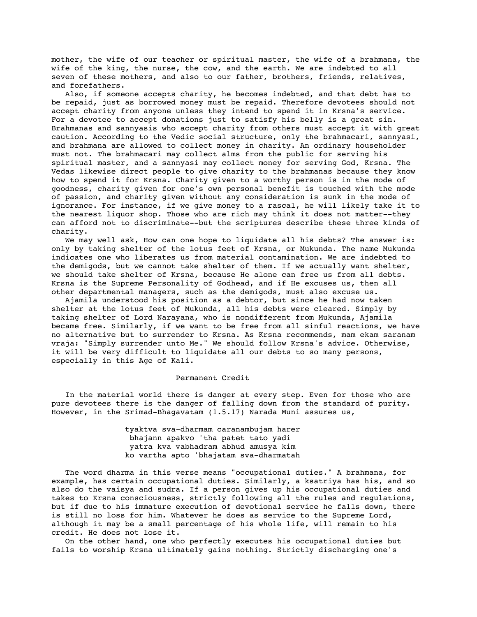mother, the wife of our teacher or spiritual master, the wife of a brahmana, the wife of the king, the nurse, the cow, and the earth. We are indebted to all seven of these mothers, and also to our father, brothers, friends, relatives, and forefathers.

 Also, if someone accepts charity, he becomes indebted, and that debt has to be repaid, just as borrowed money must be repaid. Therefore devotees should not accept charity from anyone unless they intend to spend it in Krsna's service. For a devotee to accept donations just to satisfy his belly is a great sin. Brahmanas and sannyasis who accept charity from others must accept it with great caution. According to the Vedic social structure, only the brahmacari, sannyasi, and brahmana are allowed to collect money in charity. An ordinary householder must not. The brahmacari may collect alms from the public for serving his spiritual master, and a sannyasi may collect money for serving God, Krsna. The Vedas likewise direct people to give charity to the brahmanas because they know how to spend it for Krsna. Charity given to a worthy person is in the mode of goodness, charity given for one's own personal benefit is touched with the mode of passion, and charity given without any consideration is sunk in the mode of ignorance. For instance, if we give money to a rascal, he will likely take it to the nearest liquor shop. Those who are rich may think it does not matter--they can afford not to discriminate--but the scriptures describe these three kinds of charity.

We may well ask, How can one hope to liquidate all his debts? The answer is: only by taking shelter of the lotus feet of Krsna, or Mukunda. The name Mukunda indicates one who liberates us from material contamination. We are indebted to the demigods, but we cannot take shelter of them. If we actually want shelter, we should take shelter of Krsna, because He alone can free us from all debts. Krsna is the Supreme Personality of Godhead, and if He excuses us, then all other departmental managers, such as the demigods, must also excuse us.

 Ajamila understood his position as a debtor, but since he had now taken shelter at the lotus feet of Mukunda, all his debts were cleared. Simply by taking shelter of Lord Narayana, who is nondifferent from Mukunda, Ajamila became free. Similarly, if we want to be free from all sinful reactions, we have no alternative but to surrender to Krsna. As Krsna recommends, mam ekam saranam vraja: "Simply surrender unto Me." We should follow Krsna's advice. Otherwise, it will be very difficult to liquidate all our debts to so many persons, especially in this Age of Kali.

#### Permanent Credit

 In the material world there is danger at every step. Even for those who are pure devotees there is the danger of falling down from the standard of purity. However, in the Srimad-Bhagavatam (1.5.17) Narada Muni assures us,

> tyaktva sva-dharmam caranambujam harer bhajann apakvo 'tha patet tato yadi yatra kva vabhadram abhud amusya kim ko vartha apto 'bhajatam sva-dharmatah

 The word dharma in this verse means "occupational duties." A brahmana, for example, has certain occupational duties. Similarly, a ksatriya has his, and so also do the vaisya and sudra. If a person gives up his occupational duties and takes to Krsna consciousness, strictly following all the rules and regulations, but if due to his immature execution of devotional service he falls down, there is still no loss for him. Whatever he does as service to the Supreme Lord, although it may be a small percentage of his whole life, will remain to his credit. He does not lose it.

 On the other hand, one who perfectly executes his occupational duties but fails to worship Krsna ultimately gains nothing. Strictly discharging one's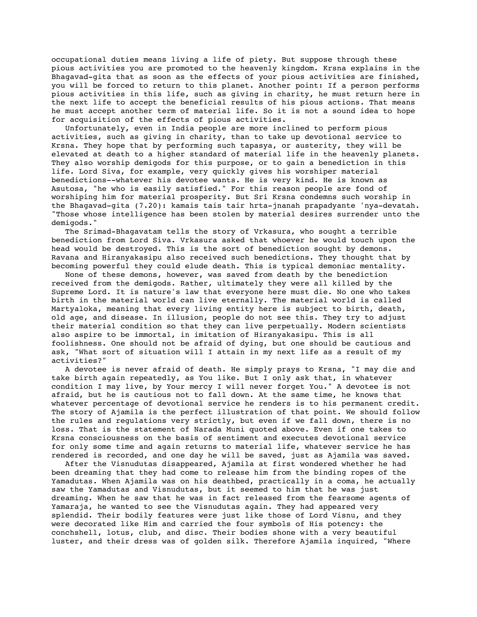occupational duties means living a life of piety. But suppose through these pious activities you are promoted to the heavenly kingdom. Krsna explains in the Bhagavad-gita that as soon as the effects of your pious activities are finished, you will be forced to return to this planet. Another point: If a person performs pious activities in this life, such as giving in charity, he must return here in the next life to accept the beneficial results of his pious actions. That means he must accept another term of material life. So it is not a sound idea to hope for acquisition of the effects of pious activities.

 Unfortunately, even in India people are more inclined to perform pious activities, such as giving in charity, than to take up devotional service to Krsna. They hope that by performing such tapasya, or austerity, they will be elevated at death to a higher standard of material life in the heavenly planets. They also worship demigods for this purpose, or to gain a benediction in this life. Lord Siva, for example, very quickly gives his worshiper material benedictions--whatever his devotee wants. He is very kind. He is known as Asutosa, "he who is easily satisfied." For this reason people are fond of worshiping him for material prosperity. But Sri Krsna condemns such worship in the Bhagavad-gita (7.20): kamais tais tair hrta-jnanah prapadyante 'nya-devatah. "Those whose intelligence has been stolen by material desires surrender unto the demigods."

 The Srimad-Bhagavatam tells the story of Vrkasura, who sought a terrible benediction from Lord Siva. Vrkasura asked that whoever he would touch upon the head would be destroyed. This is the sort of benediction sought by demons. Ravana and Hiranyakasipu also received such benedictions. They thought that by becoming powerful they could elude death. This is typical demoniac mentality.

 None of these demons, however, was saved from death by the benediction received from the demigods. Rather, ultimately they were all killed by the Supreme Lord. It is nature's law that everyone here must die. No one who takes birth in the material world can live eternally. The material world is called Martyaloka, meaning that every living entity here is subject to birth, death, old age, and disease. In illusion, people do not see this. They try to adjust their material condition so that they can live perpetually. Modern scientists also aspire to be immortal, in imitation of Hiranyakasipu. This is all foolishness. One should not be afraid of dying, but one should be cautious and ask, "What sort of situation will I attain in my next life as a result of my activities?"

 A devotee is never afraid of death. He simply prays to Krsna, "I may die and take birth again repeatedly, as You like. But I only ask that, in whatever condition I may live, by Your mercy I will never forget You." A devotee is not afraid, but he is cautious not to fall down. At the same time, he knows that whatever percentage of devotional service he renders is to his permanent credit. The story of Ajamila is the perfect illustration of that point. We should follow the rules and regulations very strictly, but even if we fall down, there is no loss. That is the statement of Narada Muni quoted above. Even if one takes to Krsna consciousness on the basis of sentiment and executes devotional service for only some time and again returns to material life, whatever service he has rendered is recorded, and one day he will be saved, just as Ajamila was saved.

 After the Visnudutas disappeared, Ajamila at first wondered whether he had been dreaming that they had come to release him from the binding ropes of the Yamadutas. When Ajamila was on his deathbed, practically in a coma, he actually saw the Yamadutas and Visnudutas, but it seemed to him that he was just dreaming. When he saw that he was in fact released from the fearsome agents of Yamaraja, he wanted to see the Visnudutas again. They had appeared very splendid. Their bodily features were just like those of Lord Visnu, and they were decorated like Him and carried the four symbols of His potency: the conchshell, lotus, club, and disc. Their bodies shone with a very beautiful luster, and their dress was of golden silk. Therefore Ajamila inquired, "Where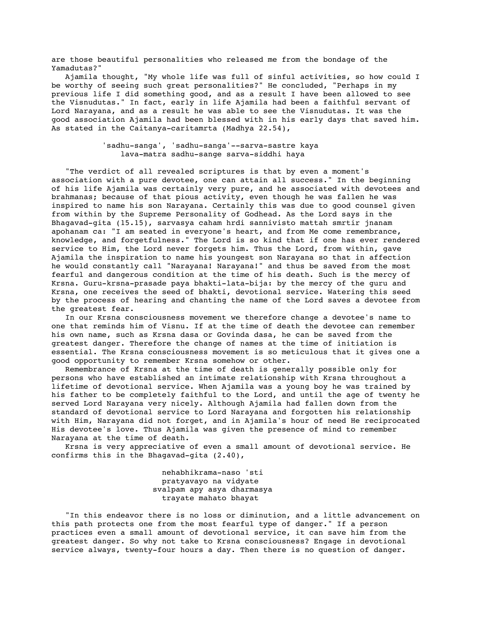are those beautiful personalities who released me from the bondage of the Yamadutas?"

 Ajamila thought, "My whole life was full of sinful activities, so how could I be worthy of seeing such great personalities?" He concluded, "Perhaps in my previous life I did something good, and as a result I have been allowed to see the Visnudutas." In fact, early in life Ajamila had been a faithful servant of Lord Narayana, and as a result he was able to see the Visnudutas. It was the good association Ajamila had been blessed with in his early days that saved him. As stated in the Caitanya-caritamrta (Madhya 22.54),

# 'sadhu-sanga', 'sadhu-sanga'--sarva-sastre kaya lava-matra sadhu-sange sarva-siddhi haya

 "The verdict of all revealed scriptures is that by even a moment's association with a pure devotee, one can attain all success." In the beginning of his life Ajamila was certainly very pure, and he associated with devotees and brahmanas; because of that pious activity, even though he was fallen he was inspired to name his son Narayana. Certainly this was due to good counsel given from within by the Supreme Personality of Godhead. As the Lord says in the Bhagavad-gita (15.15), sarvasya caham hrdi sannivisto mattah smrtir jnanam apohanam ca: "I am seated in everyone's heart, and from Me come remembrance, knowledge, and forgetfulness." The Lord is so kind that if one has ever rendered service to Him, the Lord never forgets him. Thus the Lord, from within, gave Ajamila the inspiration to name his youngest son Narayana so that in affection he would constantly call "Narayana! Narayana!" and thus be saved from the most fearful and dangerous condition at the time of his death. Such is the mercy of Krsna. Guru-krsna-prasade paya bhakti-lata-bija: by the mercy of the guru and Krsna, one receives the seed of bhakti, devotional service. Watering this seed by the process of hearing and chanting the name of the Lord saves a devotee from the greatest fear.

 In our Krsna consciousness movement we therefore change a devotee's name to one that reminds him of Visnu. If at the time of death the devotee can remember his own name, such as Krsna dasa or Govinda dasa, he can be saved from the greatest danger. Therefore the change of names at the time of initiation is essential. The Krsna consciousness movement is so meticulous that it gives one a good opportunity to remember Krsna somehow or other.

 Remembrance of Krsna at the time of death is generally possible only for persons who have established an intimate relationship with Krsna throughout a lifetime of devotional service. When Ajamila was a young boy he was trained by his father to be completely faithful to the Lord, and until the age of twenty he served Lord Narayana very nicely. Although Ajamila had fallen down from the standard of devotional service to Lord Narayana and forgotten his relationship with Him, Narayana did not forget, and in Ajamila's hour of need He reciprocated His devotee's love. Thus Ajamila was given the presence of mind to remember Narayana at the time of death.

 Krsna is very appreciative of even a small amount of devotional service. He confirms this in the Bhagavad-gita (2.40),

> nehabhikrama-naso 'sti pratyavayo na vidyate svalpam apy asya dharmasya trayate mahato bhayat

 "In this endeavor there is no loss or diminution, and a little advancement on this path protects one from the most fearful type of danger." If a person practices even a small amount of devotional service, it can save him from the greatest danger. So why not take to Krsna consciousness? Engage in devotional service always, twenty-four hours a day. Then there is no question of danger.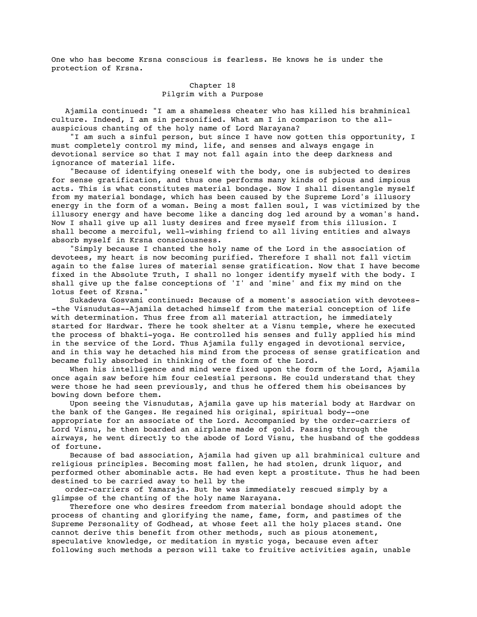One who has become Krsna conscious is fearless. He knows he is under the protection of Krsna.

> Chapter 18 Pilgrim with a Purpose

 Ajamila continued: "I am a shameless cheater who has killed his brahminical culture. Indeed, I am sin personified. What am I in comparison to the allauspicious chanting of the holy name of Lord Narayana?

 "I am such a sinful person, but since I have now gotten this opportunity, I must completely control my mind, life, and senses and always engage in devotional service so that I may not fall again into the deep darkness and ignorance of material life.

 "Because of identifying oneself with the body, one is subjected to desires for sense gratification, and thus one performs many kinds of pious and impious acts. This is what constitutes material bondage. Now I shall disentangle myself from my material bondage, which has been caused by the Supreme Lord's illusory energy in the form of a woman. Being a most fallen soul, I was victimized by the illusory energy and have become like a dancing dog led around by a woman's hand. Now I shall give up all lusty desires and free myself from this illusion. I shall become a merciful, well-wishing friend to all living entities and always absorb myself in Krsna consciousness.

 "Simply because I chanted the holy name of the Lord in the association of devotees, my heart is now becoming purified. Therefore I shall not fall victim again to the false lures of material sense gratification. Now that I have become fixed in the Absolute Truth, I shall no longer identify myself with the body. I shall give up the false conceptions of 'I' and 'mine' and fix my mind on the lotus feet of Krsna."

 Sukadeva Gosvami continued: Because of a moment's association with devotees- -the Visnudutas--Ajamila detached himself from the material conception of life with determination. Thus free from all material attraction, he immediately started for Hardwar. There he took shelter at a Visnu temple, where he executed the process of bhakti-yoga. He controlled his senses and fully applied his mind in the service of the Lord. Thus Ajamila fully engaged in devotional service, and in this way he detached his mind from the process of sense gratification and became fully absorbed in thinking of the form of the Lord.

 When his intelligence and mind were fixed upon the form of the Lord, Ajamila once again saw before him four celestial persons. He could understand that they were those he had seen previously, and thus he offered them his obeisances by bowing down before them.

 Upon seeing the Visnudutas, Ajamila gave up his material body at Hardwar on the bank of the Ganges. He regained his original, spiritual body--one appropriate for an associate of the Lord. Accompanied by the order-carriers of Lord Visnu, he then boarded an airplane made of gold. Passing through the airways, he went directly to the abode of Lord Visnu, the husband of the goddess of fortune.

 Because of bad association, Ajamila had given up all brahminical culture and religious principles. Becoming most fallen, he had stolen, drunk liquor, and performed other abominable acts. He had even kept a prostitute. Thus he had been destined to be carried away to hell by the

 order-carriers of Yamaraja. But he was immediately rescued simply by a glimpse of the chanting of the holy name Narayana.

 Therefore one who desires freedom from material bondage should adopt the process of chanting and glorifying the name, fame, form, and pastimes of the Supreme Personality of Godhead, at whose feet all the holy places stand. One cannot derive this benefit from other methods, such as pious atonement, speculative knowledge, or meditation in mystic yoga, because even after following such methods a person will take to fruitive activities again, unable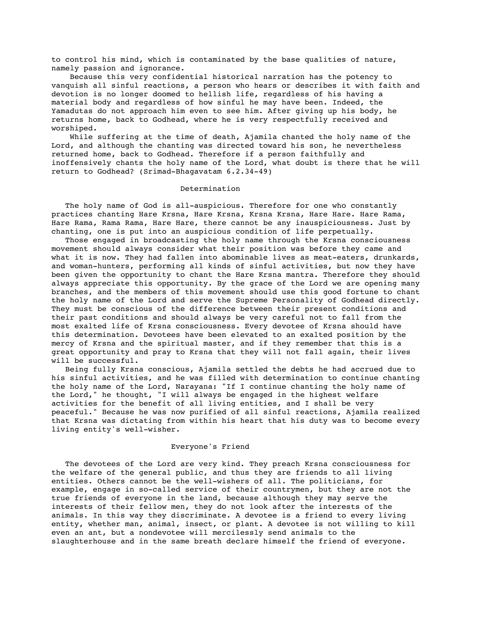to control his mind, which is contaminated by the base qualities of nature, namely passion and ignorance.

 Because this very confidential historical narration has the potency to vanquish all sinful reactions, a person who hears or describes it with faith and devotion is no longer doomed to hellish life, regardless of his having a material body and regardless of how sinful he may have been. Indeed, the Yamadutas do not approach him even to see him. After giving up his body, he returns home, back to Godhead, where he is very respectfully received and worshiped.

 While suffering at the time of death, Ajamila chanted the holy name of the Lord, and although the chanting was directed toward his son, he nevertheless returned home, back to Godhead. Therefore if a person faithfully and inoffensively chants the holy name of the Lord, what doubt is there that he will return to Godhead? (Srimad-Bhagavatam 6.2.34-49)

## Determination

 The holy name of God is all-auspicious. Therefore for one who constantly practices chanting Hare Krsna, Hare Krsna, Krsna Krsna, Hare Hare. Hare Rama, Hare Rama, Rama Rama, Hare Hare, there cannot be any inauspiciousness. Just by chanting, one is put into an auspicious condition of life perpetually.

 Those engaged in broadcasting the holy name through the Krsna consciousness movement should always consider what their position was before they came and what it is now. They had fallen into abominable lives as meat-eaters, drunkards, and woman-hunters, performing all kinds of sinful activities, but now they have been given the opportunity to chant the Hare Krsna mantra. Therefore they should always appreciate this opportunity. By the grace of the Lord we are opening many branches, and the members of this movement should use this good fortune to chant the holy name of the Lord and serve the Supreme Personality of Godhead directly. They must be conscious of the difference between their present conditions and their past conditions and should always be very careful not to fall from the most exalted life of Krsna consciousness. Every devotee of Krsna should have this determination. Devotees have been elevated to an exalted position by the mercy of Krsna and the spiritual master, and if they remember that this is a great opportunity and pray to Krsna that they will not fall again, their lives will be successful.

 Being fully Krsna conscious, Ajamila settled the debts he had accrued due to his sinful activities, and he was filled with determination to continue chanting the holy name of the Lord, Narayana: "If I continue chanting the holy name of the Lord," he thought, "I will always be engaged in the highest welfare activities for the benefit of all living entities, and I shall be very peaceful." Because he was now purified of all sinful reactions, Ajamila realized that Krsna was dictating from within his heart that his duty was to become every living entity's well-wisher.

## Everyone's Friend

 The devotees of the Lord are very kind. They preach Krsna consciousness for the welfare of the general public, and thus they are friends to all living entities. Others cannot be the well-wishers of all. The politicians, for example, engage in so-called service of their countrymen, but they are not the true friends of everyone in the land, because although they may serve the interests of their fellow men, they do not look after the interests of the animals. In this way they discriminate. A devotee is a friend to every living entity, whether man, animal, insect, or plant. A devotee is not willing to kill even an ant, but a nondevotee will mercilessly send animals to the slaughterhouse and in the same breath declare himself the friend of everyone.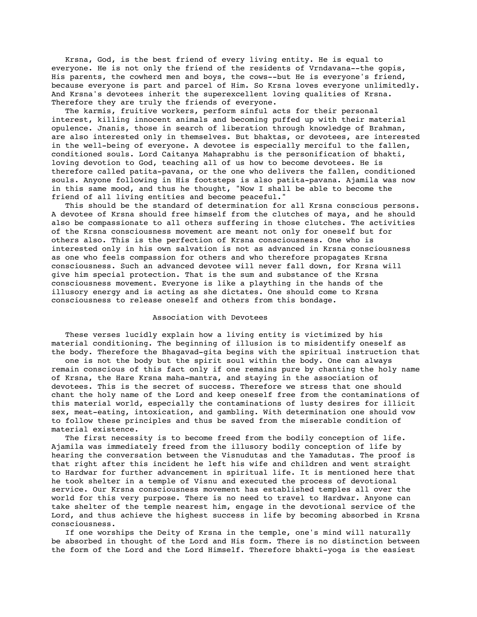Krsna, God, is the best friend of every living entity. He is equal to everyone. He is not only the friend of the residents of Vrndavana--the gopis, His parents, the cowherd men and boys, the cows--but He is everyone's friend, because everyone is part and parcel of Him. So Krsna loves everyone unlimitedly. And Krsna's devotees inherit the superexcellent loving qualities of Krsna. Therefore they are truly the friends of everyone.

 The karmis, fruitive workers, perform sinful acts for their personal interest, killing innocent animals and becoming puffed up with their material opulence. Jnanis, those in search of liberation through knowledge of Brahman, are also interested only in themselves. But bhaktas, or devotees, are interested in the well-being of everyone. A devotee is especially merciful to the fallen, conditioned souls. Lord Caitanya Mahaprabhu is the personification of bhakti, loving devotion to God, teaching all of us how to become devotees. He is therefore called patita-pavana, or the one who delivers the fallen, conditioned souls. Anyone following in His footsteps is also patita-pavana. Ajamila was now in this same mood, and thus he thought, "Now I shall be able to become the friend of all living entities and become peaceful."

 This should be the standard of determination for all Krsna conscious persons. A devotee of Krsna should free himself from the clutches of maya, and he should also be compassionate to all others suffering in those clutches. The activities of the Krsna consciousness movement are meant not only for oneself but for others also. This is the perfection of Krsna consciousness. One who is interested only in his own salvation is not as advanced in Krsna consciousness as one who feels compassion for others and who therefore propagates Krsna consciousness. Such an advanced devotee will never fall down, for Krsna will give him special protection. That is the sum and substance of the Krsna consciousness movement. Everyone is like a plaything in the hands of the illusory energy and is acting as she dictates. One should come to Krsna consciousness to release oneself and others from this bondage.

## Association with Devotees

 These verses lucidly explain how a living entity is victimized by his material conditioning. The beginning of illusion is to misidentify oneself as the body. Therefore the Bhagavad-gita begins with the spiritual instruction that

 one is not the body but the spirit soul within the body. One can always remain conscious of this fact only if one remains pure by chanting the holy name of Krsna, the Hare Krsna maha-mantra, and staying in the association of devotees. This is the secret of success. Therefore we stress that one should chant the holy name of the Lord and keep oneself free from the contaminations of this material world, especially the contaminations of lusty desires for illicit sex, meat-eating, intoxication, and gambling. With determination one should vow to follow these principles and thus be saved from the miserable condition of material existence.

 The first necessity is to become freed from the bodily conception of life. Ajamila was immediately freed from the illusory bodily conception of life by hearing the conversation between the Visnudutas and the Yamadutas. The proof is that right after this incident he left his wife and children and went straight to Hardwar for further advancement in spiritual life. It is mentioned here that he took shelter in a temple of Visnu and executed the process of devotional service. Our Krsna consciousness movement has established temples all over the world for this very purpose. There is no need to travel to Hardwar. Anyone can take shelter of the temple nearest him, engage in the devotional service of the Lord, and thus achieve the highest success in life by becoming absorbed in Krsna consciousness.

 If one worships the Deity of Krsna in the temple, one's mind will naturally be absorbed in thought of the Lord and His form. There is no distinction between the form of the Lord and the Lord Himself. Therefore bhakti-yoga is the easiest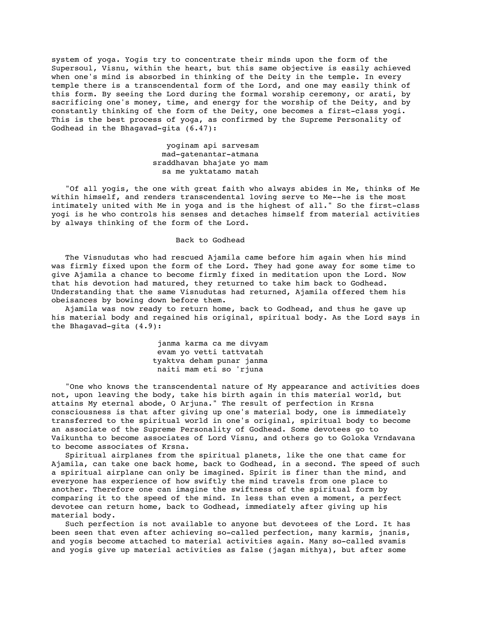system of yoga. Yogis try to concentrate their minds upon the form of the Supersoul, Visnu, within the heart, but this same objective is easily achieved when one's mind is absorbed in thinking of the Deity in the temple. In every temple there is a transcendental form of the Lord, and one may easily think of this form. By seeing the Lord during the formal worship ceremony, or arati, by sacrificing one's money, time, and energy for the worship of the Deity, and by constantly thinking of the form of the Deity, one becomes a first-class yogi. This is the best process of yoga, as confirmed by the Supreme Personality of Godhead in the Bhagavad-gita (6.47):

> yoginam api sarvesam mad-gatenantar-atmana sraddhavan bhajate yo mam sa me yuktatamo matah

 "Of all yogis, the one with great faith who always abides in Me, thinks of Me within himself, and renders transcendental loving serve to Me--he is the most intimately united with Me in yoga and is the highest of all." So the first-class yogi is he who controls his senses and detaches himself from material activities by always thinking of the form of the Lord.

## Back to Godhead

 The Visnudutas who had rescued Ajamila came before him again when his mind was firmly fixed upon the form of the Lord. They had gone away for some time to give Ajamila a chance to become firmly fixed in meditation upon the Lord. Now that his devotion had matured, they returned to take him back to Godhead. Understanding that the same Visnudutas had returned, Ajamila offered them his obeisances by bowing down before them.

 Ajamila was now ready to return home, back to Godhead, and thus he gave up his material body and regained his original, spiritual body. As the Lord says in the Bhagavad-gita (4.9):

> janma karma ca me divyam evam yo vetti tattvatah tyaktva deham punar janma naiti mam eti so 'rjuna

 "One who knows the transcendental nature of My appearance and activities does not, upon leaving the body, take his birth again in this material world, but attains My eternal abode, O Arjuna." The result of perfection in Krsna consciousness is that after giving up one's material body, one is immediately transferred to the spiritual world in one's original, spiritual body to become an associate of the Supreme Personality of Godhead. Some devotees go to Vaikuntha to become associates of Lord Visnu, and others go to Goloka Vrndavana to become associates of Krsna.

 Spiritual airplanes from the spiritual planets, like the one that came for Ajamila, can take one back home, back to Godhead, in a second. The speed of such a spiritual airplane can only be imagined. Spirit is finer than the mind, and everyone has experience of how swiftly the mind travels from one place to another. Therefore one can imagine the swiftness of the spiritual form by comparing it to the speed of the mind. In less than even a moment, a perfect devotee can return home, back to Godhead, immediately after giving up his material body.

 Such perfection is not available to anyone but devotees of the Lord. It has been seen that even after achieving so-called perfection, many karmis, jnanis, and yogis become attached to material activities again. Many so-called svamis and yogis give up material activities as false (jagan mithya), but after some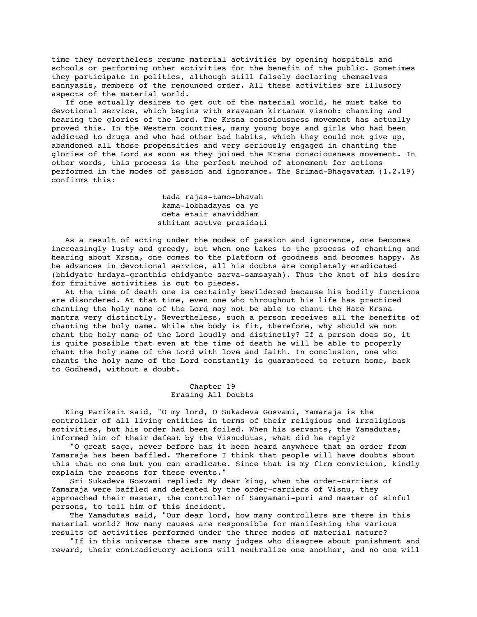time they nevertheless resume material activities by opening hospitals and schools or performing other activities for the benefit of the public. Sometimes they participate in politics, although still falsely declaring themselves sannyasis, members of the renounced order. All these activities are illusory aspects of the material world.

 If one actually desires to get out of the material world, he must take to devotional service, which begins with sravanam kirtanam visnoh: chanting and hearing the glories of the Lord. The Krsna consciousness movement has actually proved this. In the Western countries, many young boys and girls who had been addicted to drugs and who had other bad habits, which they could not give up, abandoned all those propensities and very seriously engaged in chanting the glories of the Lord as soon as they joined the Krsna consciousness movement. In other words, this process is the perfect method of atonement for actions performed in the modes of passion and ignorance. The Srimad-Bhagavatam (1.2.19) confirms this:

> tada rajas-tamo-bhavah kama-lobhadayas ca ye ceta etair anaviddham sthitam sattve prasidati

 As a result of acting under the modes of passion and ignorance, one becomes increasingly lusty and greedy, but when one takes to the process of chanting and hearing about Krsna, one comes to the platform of goodness and becomes happy. As he advances in devotional service, all his doubts are completely eradicated (bhidyate hrdaya-granthis chidyante sarva-samsayah). Thus the knot of his desire for fruitive activities is cut to pieces.

 At the time of death one is certainly bewildered because his bodily functions are disordered. At that time, even one who throughout his life has practiced chanting the holy name of the Lord may not be able to chant the Hare Krsna mantra very distinctly. Nevertheless, such a person receives all the benefits of chanting the holy name. While the body is fit, therefore, why should we not chant the holy name of the Lord loudly and distinctly? If a person does so, it is quite possible that even at the time of death he will be able to properly chant the holy name of the Lord with love and faith. In conclusion, one who chants the holy name of the Lord constantly is guaranteed to return home, back to Godhead, without a doubt.

> Chapter 19 Erasing All Doubts

 King Pariksit said, "O my lord, O Sukadeva Gosvami, Yamaraja is the controller of all living entities in terms of their religious and irreligious activities, but his order had been foiled. When his servants, the Yamadutas, informed him of their defeat by the Visnudutas, what did he reply?

 "O great sage, never before has it been heard anywhere that an order from Yamaraja has been baffled. Therefore I think that people will have doubts about this that no one but you can eradicate. Since that is my firm conviction, kindly explain the reasons for these events."

 Sri Sukadeva Gosvami replied: My dear king, when the order-carriers of Yamaraja were baffled and defeated by the order-carriers of Visnu, they approached their master, the controller of Samyamani-puri and master of sinful persons, to tell him of this incident.

 The Yamadutas said, "Our dear lord, how many controllers are there in this material world? How many causes are responsible for manifesting the various results of activities performed under the three modes of material nature?

 "If in this universe there are many judges who disagree about punishment and reward, their contradictory actions will neutralize one another, and no one will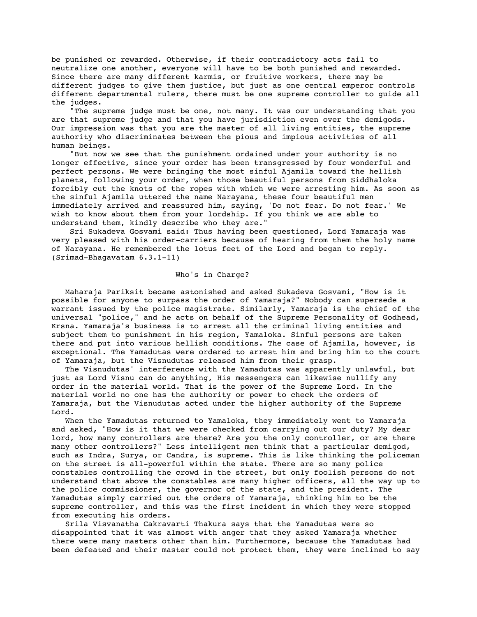be punished or rewarded. Otherwise, if their contradictory acts fail to neutralize one another, everyone will have to be both punished and rewarded. Since there are many different karmis, or fruitive workers, there may be different judges to give them justice, but just as one central emperor controls different departmental rulers, there must be one supreme controller to guide all the judges.

 "The supreme judge must be one, not many. It was our understanding that you are that supreme judge and that you have jurisdiction even over the demigods. Our impression was that you are the master of all living entities, the supreme authority who discriminates between the pious and impious activities of all human beings.

 "But now we see that the punishment ordained under your authority is no longer effective, since your order has been transgressed by four wonderful and perfect persons. We were bringing the most sinful Ajamila toward the hellish planets, following your order, when those beautiful persons from Siddhaloka forcibly cut the knots of the ropes with which we were arresting him. As soon as the sinful Ajamila uttered the name Narayana, these four beautiful men immediately arrived and reassured him, saying, 'Do not fear. Do not fear.' We wish to know about them from your lordship. If you think we are able to understand them, kindly describe who they are."

 Sri Sukadeva Gosvami said: Thus having been questioned, Lord Yamaraja was very pleased with his order-carriers because of hearing from them the holy name of Narayana. He remembered the lotus feet of the Lord and began to reply. (Srimad-Bhagavatam 6.3.1-11)

## Who's in Charge?

 Maharaja Pariksit became astonished and asked Sukadeva Gosvami, "How is it possible for anyone to surpass the order of Yamaraja?" Nobody can supersede a warrant issued by the police magistrate. Similarly, Yamaraja is the chief of the universal "police," and he acts on behalf of the Supreme Personality of Godhead, Krsna. Yamaraja's business is to arrest all the criminal living entities and subject them to punishment in his region, Yamaloka. Sinful persons are taken there and put into various hellish conditions. The case of Ajamila, however, is exceptional. The Yamadutas were ordered to arrest him and bring him to the court of Yamaraja, but the Visnudutas released him from their grasp.

 The Visnudutas' interference with the Yamadutas was apparently unlawful, but just as Lord Visnu can do anything, His messengers can likewise nullify any order in the material world. That is the power of the Supreme Lord. In the material world no one has the authority or power to check the orders of Yamaraja, but the Visnudutas acted under the higher authority of the Supreme Lord.

 When the Yamadutas returned to Yamaloka, they immediately went to Yamaraja and asked, "How is it that we were checked from carrying out our duty? My dear lord, how many controllers are there? Are you the only controller, or are there many other controllers?" Less intelligent men think that a particular demigod, such as Indra, Surya, or Candra, is supreme. This is like thinking the policeman on the street is all-powerful within the state. There are so many police constables controlling the crowd in the street, but only foolish persons do not understand that above the constables are many higher officers, all the way up to the police commissioner, the governor of the state, and the president. The Yamadutas simply carried out the orders of Yamaraja, thinking him to be the supreme controller, and this was the first incident in which they were stopped from executing his orders.

 Srila Visvanatha Cakravarti Thakura says that the Yamadutas were so disappointed that it was almost with anger that they asked Yamaraja whether there were many masters other than him. Furthermore, because the Yamadutas had been defeated and their master could not protect them, they were inclined to say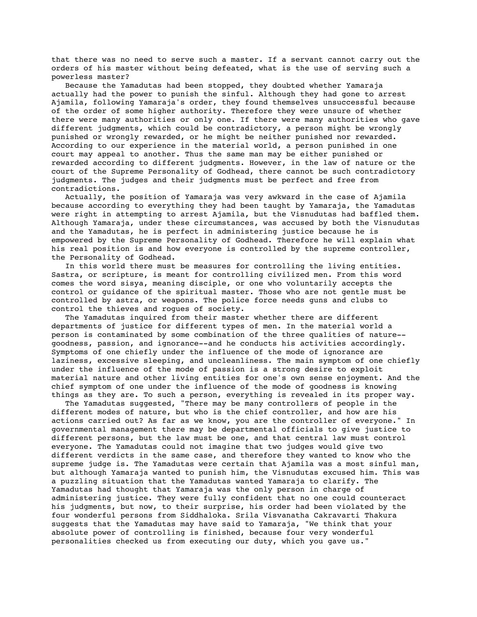that there was no need to serve such a master. If a servant cannot carry out the orders of his master without being defeated, what is the use of serving such a powerless master?

 Because the Yamadutas had been stopped, they doubted whether Yamaraja actually had the power to punish the sinful. Although they had gone to arrest Ajamila, following Yamaraja's order, they found themselves unsuccessful because of the order of some higher authority. Therefore they were unsure of whether there were many authorities or only one. If there were many authorities who gave different judgments, which could be contradictory, a person might be wrongly punished or wrongly rewarded, or he might be neither punished nor rewarded. According to our experience in the material world, a person punished in one court may appeal to another. Thus the same man may be either punished or rewarded according to different judgments. However, in the law of nature or the court of the Supreme Personality of Godhead, there cannot be such contradictory judgments. The judges and their judgments must be perfect and free from contradictions.

 Actually, the position of Yamaraja was very awkward in the case of Ajamila because according to everything they had been taught by Yamaraja, the Yamadutas were right in attempting to arrest Ajamila, but the Visnudutas had baffled them. Although Yamaraja, under these circumstances, was accused by both the Visnudutas and the Yamadutas, he is perfect in administering justice because he is empowered by the Supreme Personality of Godhead. Therefore he will explain what his real position is and how everyone is controlled by the supreme controller, the Personality of Godhead.

 In this world there must be measures for controlling the living entities. Sastra, or scripture, is meant for controlling civilized men. From this word comes the word sisya, meaning disciple, or one who voluntarily accepts the control or guidance of the spiritual master. Those who are not gentle must be controlled by astra, or weapons. The police force needs guns and clubs to control the thieves and rogues of society.

 The Yamadutas inquired from their master whether there are different departments of justice for different types of men. In the material world a person is contaminated by some combination of the three qualities of nature- goodness, passion, and ignorance--and he conducts his activities accordingly. Symptoms of one chiefly under the influence of the mode of ignorance are laziness, excessive sleeping, and uncleanliness. The main symptom of one chiefly under the influence of the mode of passion is a strong desire to exploit material nature and other living entities for one's own sense enjoyment. And the chief symptom of one under the influence of the mode of goodness is knowing things as they are. To such a person, everything is revealed in its proper way.

 The Yamadutas suggested, "There may be many controllers of people in the different modes of nature, but who is the chief controller, and how are his actions carried out? As far as we know, you are the controller of everyone." In governmental management there may be departmental officials to give justice to different persons, but the law must be one, and that central law must control everyone. The Yamadutas could not imagine that two judges would give two different verdicts in the same case, and therefore they wanted to know who the supreme judge is. The Yamadutas were certain that Ajamila was a most sinful man, but although Yamaraja wanted to punish him, the Visnudutas excused him. This was a puzzling situation that the Yamadutas wanted Yamaraja to clarify. The Yamadutas had thought that Yamaraja was the only person in charge of administering justice. They were fully confident that no one could counteract his judgments, but now, to their surprise, his order had been violated by the four wonderful persons from Siddhaloka. Srila Visvanatha Cakravarti Thakura suggests that the Yamadutas may have said to Yamaraja, "We think that your absolute power of controlling is finished, because four very wonderful personalities checked us from executing our duty, which you gave us."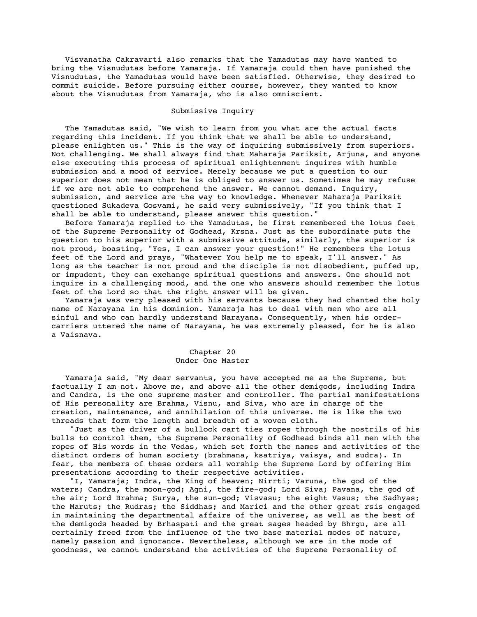Visvanatha Cakravarti also remarks that the Yamadutas may have wanted to bring the Visnudutas before Yamaraja. If Yamaraja could then have punished the Visnudutas, the Yamadutas would have been satisfied. Otherwise, they desired to commit suicide. Before pursuing either course, however, they wanted to know about the Visnudutas from Yamaraja, who is also omniscient.

## Submissive Inquiry

 The Yamadutas said, "We wish to learn from you what are the actual facts regarding this incident. If you think that we shall be able to understand, please enlighten us." This is the way of inquiring submissively from superiors. Not challenging. We shall always find that Maharaja Pariksit, Arjuna, and anyone else executing this process of spiritual enlightenment inquires with humble submission and a mood of service. Merely because we put a question to our superior does not mean that he is obliged to answer us. Sometimes he may refuse if we are not able to comprehend the answer. We cannot demand. Inquiry, submission, and service are the way to knowledge. Whenever Maharaja Pariksit questioned Sukadeva Gosvami, he said very submissively, "If you think that I shall be able to understand, please answer this question."

 Before Yamaraja replied to the Yamadutas, he first remembered the lotus feet of the Supreme Personality of Godhead, Krsna. Just as the subordinate puts the question to his superior with a submissive attitude, similarly, the superior is not proud, boasting, "Yes, I can answer your question!" He remembers the lotus feet of the Lord and prays, "Whatever You help me to speak, I'll answer." As long as the teacher is not proud and the disciple is not disobedient, puffed up, or impudent, they can exchange spiritual questions and answers. One should not inquire in a challenging mood, and the one who answers should remember the lotus feet of the Lord so that the right answer will be given.

 Yamaraja was very pleased with his servants because they had chanted the holy name of Narayana in his dominion. Yamaraja has to deal with men who are all sinful and who can hardly understand Narayana. Consequently, when his ordercarriers uttered the name of Narayana, he was extremely pleased, for he is also a Vaisnava.

## Chapter 20 Under One Master

 Yamaraja said, "My dear servants, you have accepted me as the Supreme, but factually I am not. Above me, and above all the other demigods, including Indra and Candra, is the one supreme master and controller. The partial manifestations of His personality are Brahma, Visnu, and Siva, who are in charge of the creation, maintenance, and annihilation of this universe. He is like the two threads that form the length and breadth of a woven cloth.

 "Just as the driver of a bullock cart ties ropes through the nostrils of his bulls to control them, the Supreme Personality of Godhead binds all men with the ropes of His words in the Vedas, which set forth the names and activities of the distinct orders of human society (brahmana, ksatriya, vaisya, and sudra). In fear, the members of these orders all worship the Supreme Lord by offering Him presentations according to their respective activities.

 "I, Yamaraja; Indra, the King of heaven; Nirrti; Varuna, the god of the waters; Candra, the moon-god; Agni, the fire-god; Lord Siva; Pavana, the god of the air; Lord Brahma; Surya, the sun-god; Visvasu; the eight Vasus; the Sadhyas; the Maruts; the Rudras; the Siddhas; and Marici and the other great rsis engaged in maintaining the departmental affairs of the universe, as well as the best of the demigods headed by Brhaspati and the great sages headed by Bhrgu, are all certainly freed from the influence of the two base material modes of nature, namely passion and ignorance. Nevertheless, although we are in the mode of goodness, we cannot understand the activities of the Supreme Personality of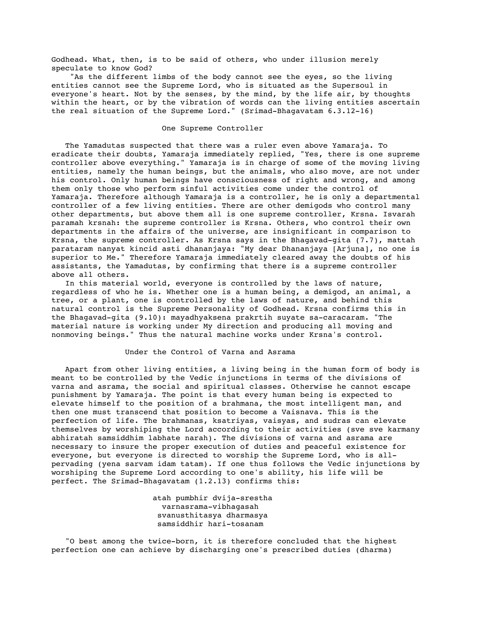Godhead. What, then, is to be said of others, who under illusion merely speculate to know God?

 "As the different limbs of the body cannot see the eyes, so the living entities cannot see the Supreme Lord, who is situated as the Supersoul in everyone's heart. Not by the senses, by the mind, by the life air, by thoughts within the heart, or by the vibration of words can the living entities ascertain the real situation of the Supreme Lord." (Srimad-Bhagavatam 6.3.12-16)

## One Supreme Controller

 The Yamadutas suspected that there was a ruler even above Yamaraja. To eradicate their doubts, Yamaraja immediately replied, "Yes, there is one supreme controller above everything." Yamaraja is in charge of some of the moving living entities, namely the human beings, but the animals, who also move, are not under his control. Only human beings have consciousness of right and wrong, and among them only those who perform sinful activities come under the control of Yamaraja. Therefore although Yamaraja is a controller, he is only a departmental controller of a few living entities. There are other demigods who control many other departments, but above them all is one supreme controller, Krsna. Isvarah paramah krsnah: the supreme controller is Krsna. Others, who control their own departments in the affairs of the universe, are insignificant in comparison to Krsna, the supreme controller. As Krsna says in the Bhagavad-gita (7.7), mattah parataram nanyat kincid asti dhananjaya: "My dear Dhananjaya [Arjuna], no one is superior to Me." Therefore Yamaraja immediately cleared away the doubts of his assistants, the Yamadutas, by confirming that there is a supreme controller above all others.

 In this material world, everyone is controlled by the laws of nature, regardless of who he is. Whether one is a human being, a demigod, an animal, a tree, or a plant, one is controlled by the laws of nature, and behind this natural control is the Supreme Personality of Godhead. Krsna confirms this in the Bhagavad-gita (9.10): mayadhyaksena prakrtih suyate sa-caracaram. "The material nature is working under My direction and producing all moving and nonmoving beings." Thus the natural machine works under Krsna's control.

### Under the Control of Varna and Asrama

 Apart from other living entities, a living being in the human form of body is meant to be controlled by the Vedic injunctions in terms of the divisions of varna and asrama, the social and spiritual classes. Otherwise he cannot escape punishment by Yamaraja. The point is that every human being is expected to elevate himself to the position of a brahmana, the most intelligent man, and then one must transcend that position to become a Vaisnava. This is the perfection of life. The brahmanas, ksatriyas, vaisyas, and sudras can elevate themselves by worshiping the Lord according to their activities (sve sve karmany abhiratah samsiddhim labhate narah). The divisions of varna and asrama are necessary to insure the proper execution of duties and peaceful existence for everyone, but everyone is directed to worship the Supreme Lord, who is allpervading (yena sarvam idam tatam). If one thus follows the Vedic injunctions by worshiping the Supreme Lord according to one's ability, his life will be perfect. The Srimad-Bhagavatam (1.2.13) confirms this:

> atah pumbhir dvija-srestha varnasrama-vibhagasah svanusthitasya dharmasya samsiddhir hari-tosanam

 "O best among the twice-born, it is therefore concluded that the highest perfection one can achieve by discharging one's prescribed duties (dharma)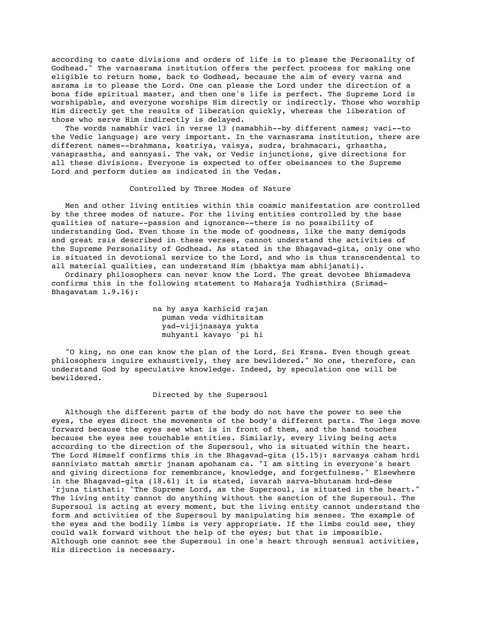according to caste divisions and orders of life is to please the Personality of Godhead." The varnasrama institution offers the perfect process for making one eligible to return home, back to Godhead, because the aim of every varna and asrama is to please the Lord. One can please the Lord under the direction of a bona fide spiritual master, and then one's life is perfect. The Supreme Lord is worshipable, and everyone worships Him directly or indirectly. Those who worship Him directly get the results of liberation quickly, whereas the liberation of those who serve Him indirectly is delayed.

 The words namabhir vaci in verse 13 (namabhih--by different names; vaci--to the Vedic language) are very important. In the varnasrama institution, there are different names--brahmana, ksatriya, vaisya, sudra, brahmacari, grhastha, vanaprastha, and sannyasi. The vak, or Vedic injunctions, give directions for all these divisions. Everyone is expected to offer obeisances to the Supreme Lord and perform duties as indicated in the Vedas.

#### Controlled by Three Modes of Nature

 Men and other living entities within this cosmic manifestation are controlled by the three modes of nature. For the living entities controlled by the base qualities of nature--passion and ignorance--there is no possibility of understanding God. Even those in the mode of goodness, like the many demigods and great rsis described in these verses, cannot understand the activities of the Supreme Personality of Godhead. As stated in the Bhagavad-gita, only one who is situated in devotional service to the Lord, and who is thus transcendental to all material qualities, can understand Him (bhaktya mam abhijanati).

 Ordinary philosophers can never know the Lord. The great devotee Bhismadeva confirms this in the following statement to Maharaja Yudhisthira (Srimad-Bhagavatam 1.9.16):

> na hy asya karhicid rajan puman veda vidhitsitam yad-vijijnasaya yukta muhyanti kavayo 'pi hi

 "O king, no one can know the plan of the Lord, Sri Krsna. Even though great philosophers inquire exhaustively, they are bewildered." No one, therefore, can understand God by speculative knowledge. Indeed, by speculation one will be bewildered.

## Directed by the Supersoul

 Although the different parts of the body do not have the power to see the eyes, the eyes direct the movements of the body's different parts. The legs move forward because the eyes see what is in front of them, and the hand touches because the eyes see touchable entities. Similarly, every living being acts according to the direction of the Supersoul, who is situated within the heart. The Lord Himself confirms this in the Bhagavad-gita (15.15): sarvasya caham hrdi sannivisto mattah smrtir jnanam apohanam ca. "I am sitting in everyone's heart and giving directions for remembrance, knowledge, and forgetfulness." Elsewhere in the Bhagavad-gita (18.61) it is stated, isvarah sarva-bhutanam hrd-dese 'rjuna tisthati: "The Supreme Lord, as the Supersoul, is situated in the heart." The living entity cannot do anything without the sanction of the Supersoul. The Supersoul is acting at every moment, but the living entity cannot understand the form and activities of the Supersoul by manipulating his senses. The example of the eyes and the bodily limbs is very appropriate. If the limbs could see, they could walk forward without the help of the eyes; but that is impossible. Although one cannot see the Supersoul in one's heart through sensual activities, His direction is necessary.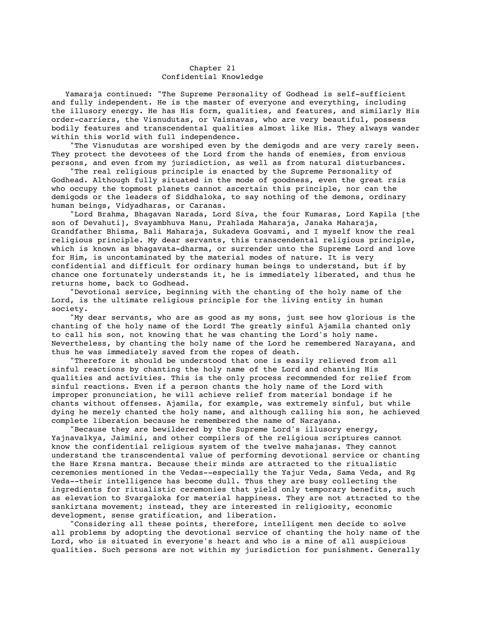## Chapter 21 Confidential Knowledge

 Yamaraja continued: "The Supreme Personality of Godhead is self-sufficient and fully independent. He is the master of everyone and everything, including the illusory energy. He has His form, qualities, and features, and similarly His order-carriers, the Visnudutas, or Vaisnavas, who are very beautiful, possess bodily features and transcendental qualities almost like His. They always wander within this world with full independence.

 "The Visnudutas are worshiped even by the demigods and are very rarely seen. They protect the devotees of the Lord from the hands of enemies, from envious persons, and even from my jurisdiction, as well as from natural disturbances.

 "The real religious principle is enacted by the Supreme Personality of Godhead. Although fully situated in the mode of goodness, even the great rsis who occupy the topmost planets cannot ascertain this principle, nor can the demigods or the leaders of Siddhaloka, to say nothing of the demons, ordinary human beings, Vidyadharas, or Caranas.

 "Lord Brahma, Bhagavan Narada, Lord Siva, the four Kumaras, Lord Kapila [the son of Devahuti], Svayambhuva Manu, Prahlada Maharaja, Janaka Maharaja, Grandfather Bhisma, Bali Maharaja, Sukadeva Gosvami, and I myself know the real religious principle. My dear servants, this transcendental religious principle, which is known as bhagavata-dharma, or surrender unto the Supreme Lord and love for Him, is uncontaminated by the material modes of nature. It is very confidential and difficult for ordinary human beings to understand, but if by chance one fortunately understands it, he is immediately liberated, and thus he returns home, back to Godhead.

 "Devotional service, beginning with the chanting of the holy name of the Lord, is the ultimate religious principle for the living entity in human society.

 "My dear servants, who are as good as my sons, just see how glorious is the chanting of the holy name of the Lord! The greatly sinful Ajamila chanted only to call his son, not knowing that he was chanting the Lord's holy name. Nevertheless, by chanting the holy name of the Lord he remembered Narayana, and thus he was immediately saved from the ropes of death.

 "Therefore it should be understood that one is easily relieved from all sinful reactions by chanting the holy name of the Lord and chanting His qualities and activities. This is the only process recommended for relief from sinful reactions. Even if a person chants the holy name of the Lord with improper pronunciation, he will achieve relief from material bondage if he chants without offenses. Ajamila, for example, was extremely sinful, but while dying he merely chanted the holy name, and although calling his son, he achieved complete liberation because he remembered the name of Narayana.

 "Because they are bewildered by the Supreme Lord's illusory energy, Yajnavalkya, Jaimini, and other compilers of the religious scriptures cannot know the confidential religious system of the twelve mahajanas. They cannot understand the transcendental value of performing devotional service or chanting the Hare Krsna mantra. Because their minds are attracted to the ritualistic ceremonies mentioned in the Vedas--especially the Yajur Veda, Sama Veda, and Rg Veda--their intelligence has become dull. Thus they are busy collecting the ingredients for ritualistic ceremonies that yield only temporary benefits, such as elevation to Svargaloka for material happiness. They are not attracted to the sankirtana movement; instead, they are interested in religiosity, economic development, sense gratification, and liberation.

 "Considering all these points, therefore, intelligent men decide to solve all problems by adopting the devotional service of chanting the holy name of the Lord, who is situated in everyone's heart and who is a mine of all auspicious qualities. Such persons are not within my jurisdiction for punishment. Generally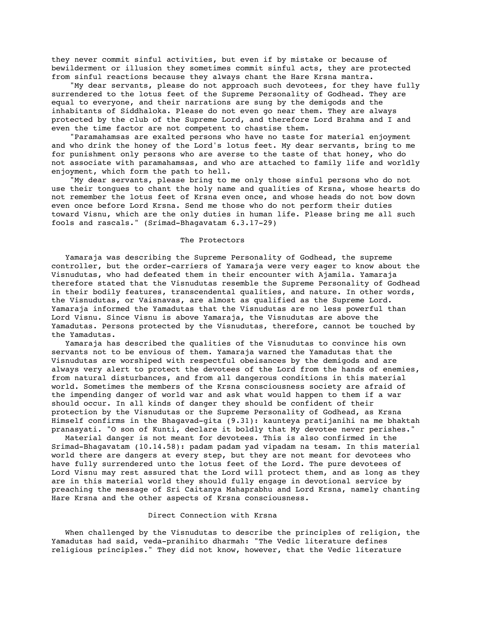they never commit sinful activities, but even if by mistake or because of bewilderment or illusion they sometimes commit sinful acts, they are protected from sinful reactions because they always chant the Hare Krsna mantra.

 "My dear servants, please do not approach such devotees, for they have fully surrendered to the lotus feet of the Supreme Personality of Godhead. They are equal to everyone, and their narrations are sung by the demigods and the inhabitants of Siddhaloka. Please do not even go near them. They are always protected by the club of the Supreme Lord, and therefore Lord Brahma and I and even the time factor are not competent to chastise them.

 "Paramahamsas are exalted persons who have no taste for material enjoyment and who drink the honey of the Lord's lotus feet. My dear servants, bring to me for punishment only persons who are averse to the taste of that honey, who do not associate with paramahamsas, and who are attached to family life and worldly enjoyment, which form the path to hell.

 "My dear servants, please bring to me only those sinful persons who do not use their tongues to chant the holy name and qualities of Krsna, whose hearts do not remember the lotus feet of Krsna even once, and whose heads do not bow down even once before Lord Krsna. Send me those who do not perform their duties toward Visnu, which are the only duties in human life. Please bring me all such fools and rascals." (Srimad-Bhagavatam 6.3.17-29)

#### The Protectors

 Yamaraja was describing the Supreme Personality of Godhead, the supreme controller, but the order-carriers of Yamaraja were very eager to know about the Visnudutas, who had defeated them in their encounter with Ajamila. Yamaraja therefore stated that the Visnudutas resemble the Supreme Personality of Godhead in their bodily features, transcendental qualities, and nature. In other words, the Visnudutas, or Vaisnavas, are almost as qualified as the Supreme Lord. Yamaraja informed the Yamadutas that the Visnudutas are no less powerful than Lord Visnu. Since Visnu is above Yamaraja, the Visnudutas are above the Yamadutas. Persons protected by the Visnudutas, therefore, cannot be touched by the Yamadutas.

 Yamaraja has described the qualities of the Visnudutas to convince his own servants not to be envious of them. Yamaraja warned the Yamadutas that the Visnudutas are worshiped with respectful obeisances by the demigods and are always very alert to protect the devotees of the Lord from the hands of enemies, from natural disturbances, and from all dangerous conditions in this material world. Sometimes the members of the Krsna consciousness society are afraid of the impending danger of world war and ask what would happen to them if a war should occur. In all kinds of danger they should be confident of their protection by the Visnudutas or the Supreme Personality of Godhead, as Krsna Himself confirms in the Bhagavad-gita (9.31): kaunteya pratijanihi na me bhaktah pranasyati. "O son of Kunti, declare it boldly that My devotee never perishes."

 Material danger is not meant for devotees. This is also confirmed in the Srimad-Bhagavatam (10.14.58): padam padam yad vipadam na tesam. In this material world there are dangers at every step, but they are not meant for devotees who have fully surrendered unto the lotus feet of the Lord. The pure devotees of Lord Visnu may rest assured that the Lord will protect them, and as long as they are in this material world they should fully engage in devotional service by preaching the message of Sri Caitanya Mahaprabhu and Lord Krsna, namely chanting Hare Krsna and the other aspects of Krsna consciousness.

#### Direct Connection with Krsna

 When challenged by the Visnudutas to describe the principles of religion, the Yamadutas had said, veda-pranihito dharmah: "The Vedic literature defines religious principles." They did not know, however, that the Vedic literature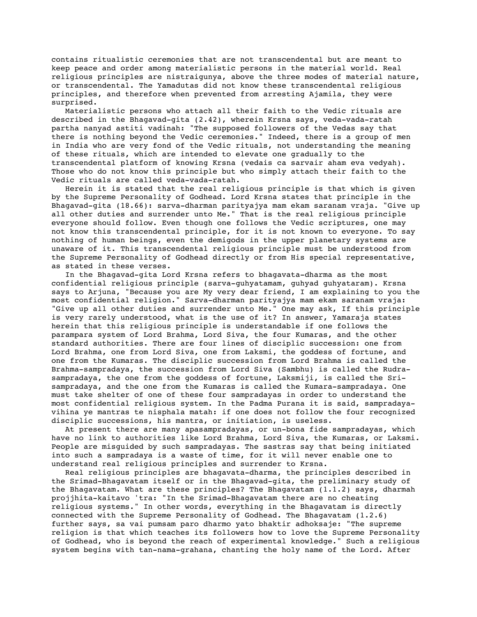contains ritualistic ceremonies that are not transcendental but are meant to keep peace and order among materialistic persons in the material world. Real religious principles are nistraigunya, above the three modes of material nature, or transcendental. The Yamadutas did not know these transcendental religious principles, and therefore when prevented from arresting Ajamila, they were surprised.

 Materialistic persons who attach all their faith to the Vedic rituals are described in the Bhagavad-gita (2.42), wherein Krsna says, veda-vada-ratah partha nanyad astiti vadinah: "The supposed followers of the Vedas say that there is nothing beyond the Vedic ceremonies." Indeed, there is a group of men in India who are very fond of the Vedic rituals, not understanding the meaning of these rituals, which are intended to elevate one gradually to the transcendental platform of knowing Krsna (vedais ca sarvair aham eva vedyah). Those who do not know this principle but who simply attach their faith to the Vedic rituals are called veda-vada-ratah.

 Herein it is stated that the real religious principle is that which is given by the Supreme Personality of Godhead. Lord Krsna states that principle in the Bhagavad-gita (18.66): sarva-dharman parityajya mam ekam saranam vraja. "Give up all other duties and surrender unto Me." That is the real religious principle everyone should follow. Even though one follows the Vedic scriptures, one may not know this transcendental principle, for it is not known to everyone. To say nothing of human beings, even the demigods in the upper planetary systems are unaware of it. This transcendental religious principle must be understood from the Supreme Personality of Godhead directly or from His special representative, as stated in these verses.

 In the Bhagavad-gita Lord Krsna refers to bhagavata-dharma as the most confidential religious principle (sarva-guhyatamam, guhyad guhyataram). Krsna says to Arjuna, "Because you are My very dear friend, I am explaining to you the most confidential religion." Sarva-dharman parityajya mam ekam saranam vraja: "Give up all other duties and surrender unto Me." One may ask, If this principle is very rarely understood, what is the use of it? In answer, Yamaraja states herein that this religious principle is understandable if one follows the parampara system of Lord Brahma, Lord Siva, the four Kumaras, and the other standard authorities. There are four lines of disciplic succession: one from Lord Brahma, one from Lord Siva, one from Laksmi, the goddess of fortune, and one from the Kumaras. The disciplic succession from Lord Brahma is called the Brahma-sampradaya, the succession from Lord Siva (Sambhu) is called the Rudrasampradaya, the one from the goddess of fortune, Laksmiji, is called the Srisampradaya, and the one from the Kumaras is called the Kumara-sampradaya. One must take shelter of one of these four sampradayas in order to understand the most confidential religious system. In the Padma Purana it is said, sampradayavihina ye mantras te nisphala matah: if one does not follow the four recognized disciplic successions, his mantra, or initiation, is useless.

 At present there are many apasampradayas, or un-bona fide sampradayas, which have no link to authorities like Lord Brahma, Lord Siva, the Kumaras, or Laksmi. People are misguided by such sampradayas. The sastras say that being initiated into such a sampradaya is a waste of time, for it will never enable one to understand real religious principles and surrender to Krsna.

 Real religious principles are bhagavata-dharma, the principles described in the Srimad-Bhagavatam itself or in the Bhagavad-gita, the preliminary study of the Bhagavatam. What are these principles? The Bhagavatam (1.1.2) says, dharmah projjhita-kaitavo 'tra: "In the Srimad-Bhagavatam there are no cheating religious systems." In other words, everything in the Bhagavatam is directly connected with the Supreme Personality of Godhead. The Bhagavatam (1.2.6) further says, sa vai pumsam paro dharmo yato bhaktir adhoksaje: "The supreme religion is that which teaches its followers how to love the Supreme Personality of Godhead, who is beyond the reach of experimental knowledge." Such a religious system begins with tan-nama-grahana, chanting the holy name of the Lord. After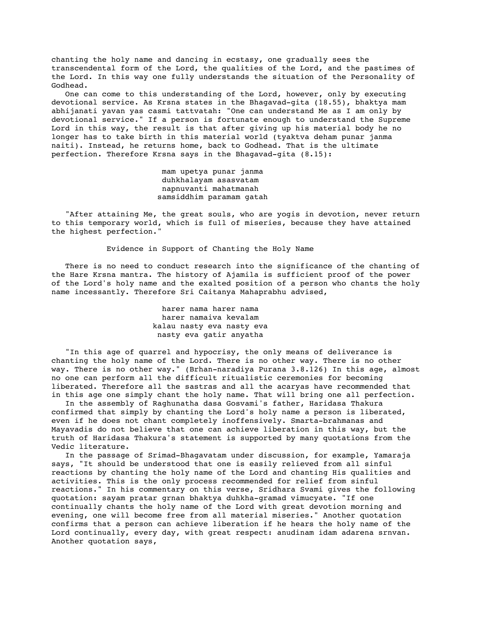chanting the holy name and dancing in ecstasy, one gradually sees the transcendental form of the Lord, the qualities of the Lord, and the pastimes of the Lord. In this way one fully understands the situation of the Personality of Godhead.

 One can come to this understanding of the Lord, however, only by executing devotional service. As Krsna states in the Bhagavad-gita (18.55), bhaktya mam abhijanati yavan yas casmi tattvatah: "One can understand Me as I am only by devotional service." If a person is fortunate enough to understand the Supreme Lord in this way, the result is that after giving up his material body he no longer has to take birth in this material world (tyaktva deham punar janma naiti). Instead, he returns home, back to Godhead. That is the ultimate perfection. Therefore Krsna says in the Bhagavad-gita (8.15):

> mam upetya punar janma duhkhalayam asasvatam napnuvanti mahatmanah samsiddhim paramam gatah

 "After attaining Me, the great souls, who are yogis in devotion, never return to this temporary world, which is full of miseries, because they have attained the highest perfection."

Evidence in Support of Chanting the Holy Name

 There is no need to conduct research into the significance of the chanting of the Hare Krsna mantra. The history of Ajamila is sufficient proof of the power of the Lord's holy name and the exalted position of a person who chants the holy name incessantly. Therefore Sri Caitanya Mahaprabhu advised,

> harer nama harer nama harer namaiva kevalam kalau nasty eva nasty eva nasty eva gatir anyatha

 "In this age of quarrel and hypocrisy, the only means of deliverance is chanting the holy name of the Lord. There is no other way. There is no other way. There is no other way." (Brhan-naradiya Purana 3.8.126) In this age, almost no one can perform all the difficult ritualistic ceremonies for becoming liberated. Therefore all the sastras and all the acaryas have recommended that in this age one simply chant the holy name. That will bring one all perfection.

 In the assembly of Raghunatha dasa Gosvami's father, Haridasa Thakura confirmed that simply by chanting the Lord's holy name a person is liberated, even if he does not chant completely inoffensively. Smarta-brahmanas and Mayavadis do not believe that one can achieve liberation in this way, but the truth of Haridasa Thakura's statement is supported by many quotations from the Vedic literature.

 In the passage of Srimad-Bhagavatam under discussion, for example, Yamaraja says, "It should be understood that one is easily relieved from all sinful reactions by chanting the holy name of the Lord and chanting His qualities and activities. This is the only process recommended for relief from sinful reactions." In his commentary on this verse, Sridhara Svami gives the following quotation: sayam pratar grnan bhaktya duhkha-gramad vimucyate. "If one continually chants the holy name of the Lord with great devotion morning and evening, one will become free from all material miseries." Another quotation confirms that a person can achieve liberation if he hears the holy name of the Lord continually, every day, with great respect: anudinam idam adarena srnvan. Another quotation says,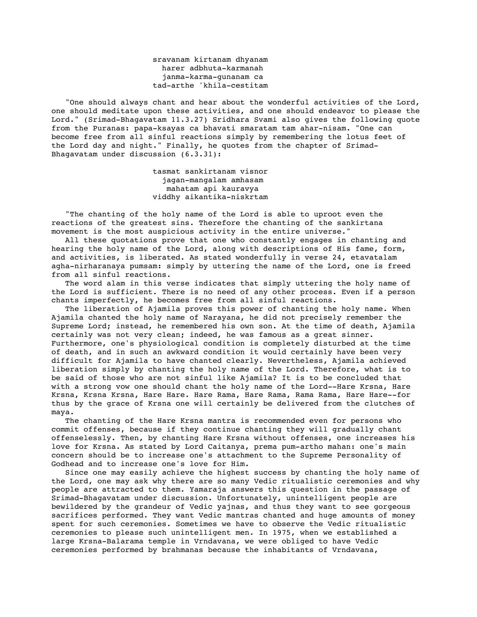## sravanam kirtanam dhyanam harer adbhuta-karmanah janma-karma-gunanam ca tad-arthe 'khila-cestitam

 "One should always chant and hear about the wonderful activities of the Lord, one should meditate upon these activities, and one should endeavor to please the Lord." (Srimad-Bhagavatam 11.3.27) Sridhara Svami also gives the following quote from the Puranas: papa-ksayas ca bhavati smaratam tam ahar-nisam. "One can become free from all sinful reactions simply by remembering the lotus feet of the Lord day and night." Finally, he quotes from the chapter of Srimad-Bhagavatam under discussion (6.3.31):

> tasmat sankirtanam visnor jagan-mangalam amhasam mahatam api kauravya viddhy aikantika-niskrtam

 "The chanting of the holy name of the Lord is able to uproot even the reactions of the greatest sins. Therefore the chanting of the sankirtana movement is the most auspicious activity in the entire universe."

 All these quotations prove that one who constantly engages in chanting and hearing the holy name of the Lord, along with descriptions of His fame, form, and activities, is liberated. As stated wonderfully in verse 24, etavatalam agha-nirharanaya pumsam: simply by uttering the name of the Lord, one is freed from all sinful reactions.

 The word alam in this verse indicates that simply uttering the holy name of the Lord is sufficient. There is no need of any other process. Even if a person chants imperfectly, he becomes free from all sinful reactions.

 The liberation of Ajamila proves this power of chanting the holy name. When Ajamila chanted the holy name of Narayana, he did not precisely remember the Supreme Lord; instead, he remembered his own son. At the time of death, Ajamila certainly was not very clean; indeed, he was famous as a great sinner. Furthermore, one's physiological condition is completely disturbed at the time of death, and in such an awkward condition it would certainly have been very difficult for Ajamila to have chanted clearly. Nevertheless, Ajamila achieved liberation simply by chanting the holy name of the Lord. Therefore, what is to be said of those who are not sinful like Ajamila? It is to be concluded that with a strong vow one should chant the holy name of the Lord--Hare Krsna, Hare Krsna, Krsna Krsna, Hare Hare. Hare Rama, Hare Rama, Rama Rama, Hare Hare--for thus by the grace of Krsna one will certainly be delivered from the clutches of maya.

 The chanting of the Hare Krsna mantra is recommended even for persons who commit offenses, because if they continue chanting they will gradually chant offenselessly. Then, by chanting Hare Krsna without offenses, one increases his love for Krsna. As stated by Lord Caitanya, prema pum-artho mahan: one's main concern should be to increase one's attachment to the Supreme Personality of Godhead and to increase one's love for Him.

 Since one may easily achieve the highest success by chanting the holy name of the Lord, one may ask why there are so many Vedic ritualistic ceremonies and why people are attracted to them. Yamaraja answers this question in the passage of Srimad-Bhagavatam under discussion. Unfortunately, unintelligent people are bewildered by the grandeur of Vedic yajnas, and thus they want to see gorgeous sacrifices performed. They want Vedic mantras chanted and huge amounts of money spent for such ceremonies. Sometimes we have to observe the Vedic ritualistic ceremonies to please such unintelligent men. In 1975, when we established a large Krsna-Balarama temple in Vrndavana, we were obliged to have Vedic ceremonies performed by brahmanas because the inhabitants of Vrndavana,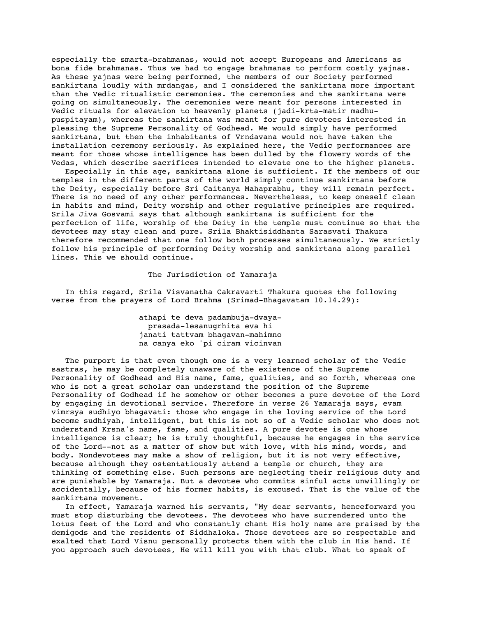especially the smarta-brahmanas, would not accept Europeans and Americans as bona fide brahmanas. Thus we had to engage brahmanas to perform costly yajnas. As these yajnas were being performed, the members of our Society performed sankirtana loudly with mrdangas, and I considered the sankirtana more important than the Vedic ritualistic ceremonies. The ceremonies and the sankirtana were going on simultaneously. The ceremonies were meant for persons interested in Vedic rituals for elevation to heavenly planets (jadi-krta-matir madhupuspitayam), whereas the sankirtana was meant for pure devotees interested in pleasing the Supreme Personality of Godhead. We would simply have performed sankirtana, but then the inhabitants of Vrndavana would not have taken the installation ceremony seriously. As explained here, the Vedic performances are meant for those whose intelligence has been dulled by the flowery words of the Vedas, which describe sacrifices intended to elevate one to the higher planets.

 Especially in this age, sankirtana alone is sufficient. If the members of our temples in the different parts of the world simply continue sankirtana before the Deity, especially before Sri Caitanya Mahaprabhu, they will remain perfect. There is no need of any other performances. Nevertheless, to keep oneself clean in habits and mind, Deity worship and other regulative principles are required. Srila Jiva Gosvami says that although sankirtana is sufficient for the perfection of life, worship of the Deity in the temple must continue so that the devotees may stay clean and pure. Srila Bhaktisiddhanta Sarasvati Thakura therefore recommended that one follow both processes simultaneously. We strictly follow his principle of performing Deity worship and sankirtana along parallel lines. This we should continue.

## The Jurisdiction of Yamaraja

 In this regard, Srila Visvanatha Cakravarti Thakura quotes the following verse from the prayers of Lord Brahma (Srimad-Bhagavatam 10.14.29):

> athapi te deva padambuja-dvaya prasada-lesanugrhita eva hi janati tattvam bhagavan-mahimno na canya eko 'pi ciram vicinvan

 The purport is that even though one is a very learned scholar of the Vedic sastras, he may be completely unaware of the existence of the Supreme Personality of Godhead and His name, fame, qualities, and so forth, whereas one who is not a great scholar can understand the position of the Supreme Personality of Godhead if he somehow or other becomes a pure devotee of the Lord by engaging in devotional service. Therefore in verse 26 Yamaraja says, evam vimrsya sudhiyo bhagavati: those who engage in the loving service of the Lord become sudhiyah, intelligent, but this is not so of a Vedic scholar who does not understand Krsna's name, fame, and qualities. A pure devotee is one whose intelligence is clear; he is truly thoughtful, because he engages in the service of the Lord--not as a matter of show but with love, with his mind, words, and body. Nondevotees may make a show of religion, but it is not very effective, because although they ostentatiously attend a temple or church, they are thinking of something else. Such persons are neglecting their religious duty and are punishable by Yamaraja. But a devotee who commits sinful acts unwillingly or accidentally, because of his former habits, is excused. That is the value of the sankirtana movement.

 In effect, Yamaraja warned his servants, "My dear servants, henceforward you must stop disturbing the devotees. The devotees who have surrendered unto the lotus feet of the Lord and who constantly chant His holy name are praised by the demigods and the residents of Siddhaloka. Those devotees are so respectable and exalted that Lord Visnu personally protects them with the club in His hand. If you approach such devotees, He will kill you with that club. What to speak of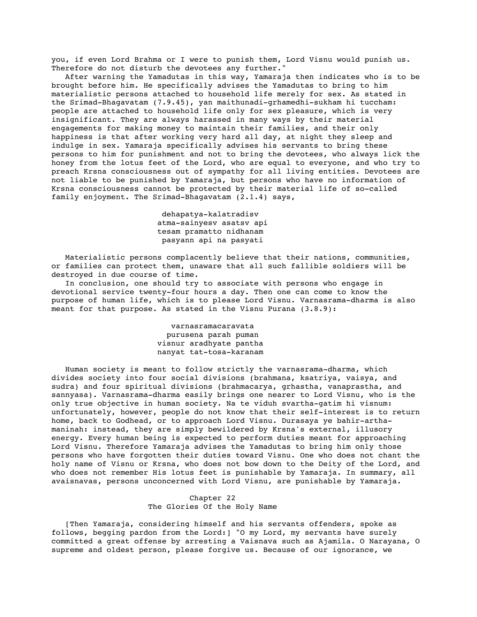you, if even Lord Brahma or I were to punish them, Lord Visnu would punish us. Therefore do not disturb the devotees any further."

 After warning the Yamadutas in this way, Yamaraja then indicates who is to be brought before him. He specifically advises the Yamadutas to bring to him materialistic persons attached to household life merely for sex. As stated in the Srimad-Bhagavatam (7.9.45), yan maithunadi-grhamedhi-sukham hi tuccham: people are attached to household life only for sex pleasure, which is very insignificant. They are always harassed in many ways by their material engagements for making money to maintain their families, and their only happiness is that after working very hard all day, at night they sleep and indulge in sex. Yamaraja specifically advises his servants to bring these persons to him for punishment and not to bring the devotees, who always lick the honey from the lotus feet of the Lord, who are equal to everyone, and who try to preach Krsna consciousness out of sympathy for all living entities. Devotees are not liable to be punished by Yamaraja, but persons who have no information of Krsna consciousness cannot be protected by their material life of so-called family enjoyment. The Srimad-Bhagavatam (2.1.4) says,

> dehapatya-kalatradisv atma-sainyesv asatsv api tesam pramatto nidhanam pasyann api na pasyati

 Materialistic persons complacently believe that their nations, communities, or families can protect them, unaware that all such fallible soldiers will be destroyed in due course of time.

 In conclusion, one should try to associate with persons who engage in devotional service twenty-four hours a day. Then one can come to know the purpose of human life, which is to please Lord Visnu. Varnasrama-dharma is also meant for that purpose. As stated in the Visnu Purana (3.8.9):

> varnasramacaravata purusena parah puman visnur aradhyate pantha nanyat tat-tosa-karanam

 Human society is meant to follow strictly the varnasrama-dharma, which divides society into four social divisions (brahmana, ksatriya, vaisya, and sudra) and four spiritual divisions (brahmacarya, grhastha, vanaprastha, and sannyasa). Varnasrama-dharma easily brings one nearer to Lord Visnu, who is the only true objective in human society. Na te viduh svartha-gatim hi visnum: unfortunately, however, people do not know that their self-interest is to return home, back to Godhead, or to approach Lord Visnu. Durasaya ye bahir-arthamaninah: instead, they are simply bewildered by Krsna's external, illusory energy. Every human being is expected to perform duties meant for approaching Lord Visnu. Therefore Yamaraja advises the Yamadutas to bring him only those persons who have forgotten their duties toward Visnu. One who does not chant the holy name of Visnu or Krsna, who does not bow down to the Deity of the Lord, and who does not remember His lotus feet is punishable by Yamaraja. In summary, all avaisnavas, persons unconcerned with Lord Visnu, are punishable by Yamaraja.

### Chapter 22 The Glories Of the Holy Name

 [Then Yamaraja, considering himself and his servants offenders, spoke as follows, begging pardon from the Lord:] "O my Lord, my servants have surely committed a great offense by arresting a Vaisnava such as Ajamila. O Narayana, O supreme and oldest person, please forgive us. Because of our ignorance, we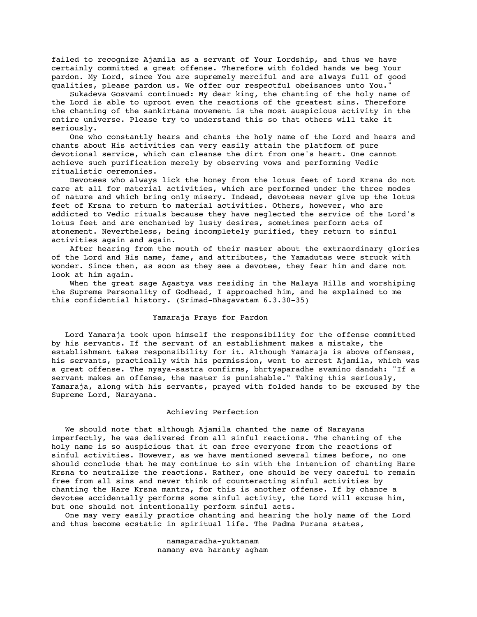failed to recognize Ajamila as a servant of Your Lordship, and thus we have certainly committed a great offense. Therefore with folded hands we beg Your pardon. My Lord, since You are supremely merciful and are always full of good qualities, please pardon us. We offer our respectful obeisances unto You."

 Sukadeva Gosvami continued: My dear king, the chanting of the holy name of the Lord is able to uproot even the reactions of the greatest sins. Therefore the chanting of the sankirtana movement is the most auspicious activity in the entire universe. Please try to understand this so that others will take it seriously.

 One who constantly hears and chants the holy name of the Lord and hears and chants about His activities can very easily attain the platform of pure devotional service, which can cleanse the dirt from one's heart. One cannot achieve such purification merely by observing vows and performing Vedic ritualistic ceremonies.

 Devotees who always lick the honey from the lotus feet of Lord Krsna do not care at all for material activities, which are performed under the three modes of nature and which bring only misery. Indeed, devotees never give up the lotus feet of Krsna to return to material activities. Others, however, who are addicted to Vedic rituals because they have neglected the service of the Lord's lotus feet and are enchanted by lusty desires, sometimes perform acts of atonement. Nevertheless, being incompletely purified, they return to sinful activities again and again.

 After hearing from the mouth of their master about the extraordinary glories of the Lord and His name, fame, and attributes, the Yamadutas were struck with wonder. Since then, as soon as they see a devotee, they fear him and dare not look at him again.

 When the great sage Agastya was residing in the Malaya Hills and worshiping the Supreme Personality of Godhead, I approached him, and he explained to me this confidential history. (Srimad-Bhagavatam 6.3.30-35)

# Yamaraja Prays for Pardon

 Lord Yamaraja took upon himself the responsibility for the offense committed by his servants. If the servant of an establishment makes a mistake, the establishment takes responsibility for it. Although Yamaraja is above offenses, his servants, practically with his permission, went to arrest Ajamila, which was a great offense. The nyaya-sastra confirms, bhrtyaparadhe svamino dandah: "If a servant makes an offense, the master is punishable." Taking this seriously, Yamaraja, along with his servants, prayed with folded hands to be excused by the Supreme Lord, Narayana.

## Achieving Perfection

 We should note that although Ajamila chanted the name of Narayana imperfectly, he was delivered from all sinful reactions. The chanting of the holy name is so auspicious that it can free everyone from the reactions of sinful activities. However, as we have mentioned several times before, no one should conclude that he may continue to sin with the intention of chanting Hare Krsna to neutralize the reactions. Rather, one should be very careful to remain free from all sins and never think of counteracting sinful activities by chanting the Hare Krsna mantra, for this is another offense. If by chance a devotee accidentally performs some sinful activity, the Lord will excuse him, but one should not intentionally perform sinful acts.

 One may very easily practice chanting and hearing the holy name of the Lord and thus become ecstatic in spiritual life. The Padma Purana states,

> namaparadha-yuktanam namany eva haranty agham